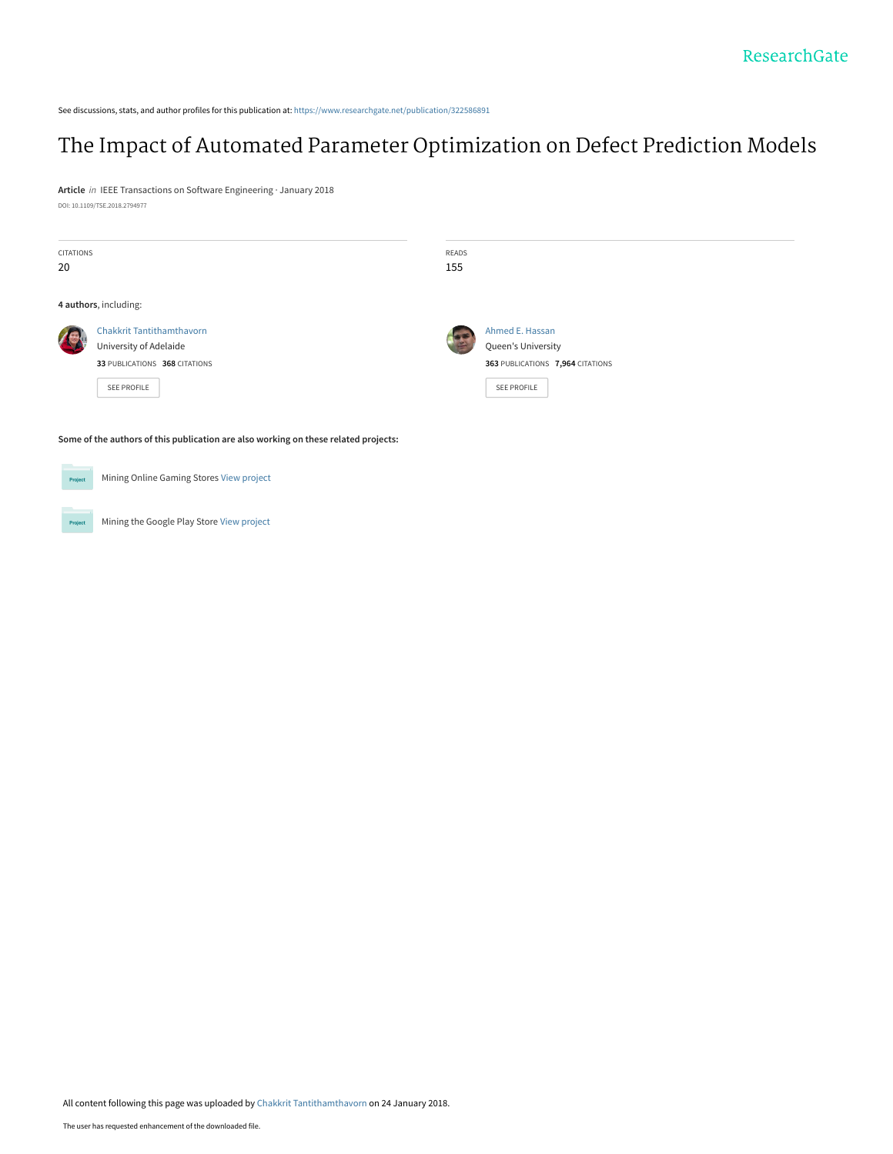See discussions, stats, and author profiles for this publication at: [https://www.researchgate.net/publication/322586891](https://www.researchgate.net/publication/322586891_The_Impact_of_Automated_Parameter_Optimization_on_Defect_Prediction_Models?enrichId=rgreq-c58f3459108079aa60816e60825f9f00-XXX&enrichSource=Y292ZXJQYWdlOzMyMjU4Njg5MTtBUzo1ODYxMjE1MDc1MDgyMjRAMTUxNjc1MzY2NTA4OQ%3D%3D&el=1_x_2&_esc=publicationCoverPdf)

# [The Impact of Automated Parameter Optimization on Defect Prediction Models](https://www.researchgate.net/publication/322586891_The_Impact_of_Automated_Parameter_Optimization_on_Defect_Prediction_Models?enrichId=rgreq-c58f3459108079aa60816e60825f9f00-XXX&enrichSource=Y292ZXJQYWdlOzMyMjU4Njg5MTtBUzo1ODYxMjE1MDc1MDgyMjRAMTUxNjc1MzY2NTA4OQ%3D%3D&el=1_x_3&_esc=publicationCoverPdf)

**Article** in IEEE Transactions on Software Engineering · January 2018 DOI: 10.1109/TSE.2018.2794977

| CITATIONS<br>20 |                                                                                                            | READS<br>155 |                                                                                                 |  |  |  |  |  |  |
|-----------------|------------------------------------------------------------------------------------------------------------|--------------|-------------------------------------------------------------------------------------------------|--|--|--|--|--|--|
|                 | 4 authors, including:                                                                                      |              |                                                                                                 |  |  |  |  |  |  |
|                 | <b>Chakkrit Tantithamthavorn</b><br>University of Adelaide<br>33 PUBLICATIONS 368 CITATIONS<br>SEE PROFILE |              | Ahmed E. Hassan<br>Queen's University<br>363 PUBLICATIONS 7,964 CITATIONS<br><b>SEE PROFILE</b> |  |  |  |  |  |  |

**Some of the authors of this publication are also working on these related projects:**

Mining Online Gaming Stores [View project](https://www.researchgate.net/project/Mining-Online-Gaming-Stores?enrichId=rgreq-c58f3459108079aa60816e60825f9f00-XXX&enrichSource=Y292ZXJQYWdlOzMyMjU4Njg5MTtBUzo1ODYxMjE1MDc1MDgyMjRAMTUxNjc1MzY2NTA4OQ%3D%3D&el=1_x_9&_esc=publicationCoverPdf) Project

**Proje** 

Mining the Google Play Store [View project](https://www.researchgate.net/project/Mining-the-Google-Play-Store?enrichId=rgreq-c58f3459108079aa60816e60825f9f00-XXX&enrichSource=Y292ZXJQYWdlOzMyMjU4Njg5MTtBUzo1ODYxMjE1MDc1MDgyMjRAMTUxNjc1MzY2NTA4OQ%3D%3D&el=1_x_9&_esc=publicationCoverPdf)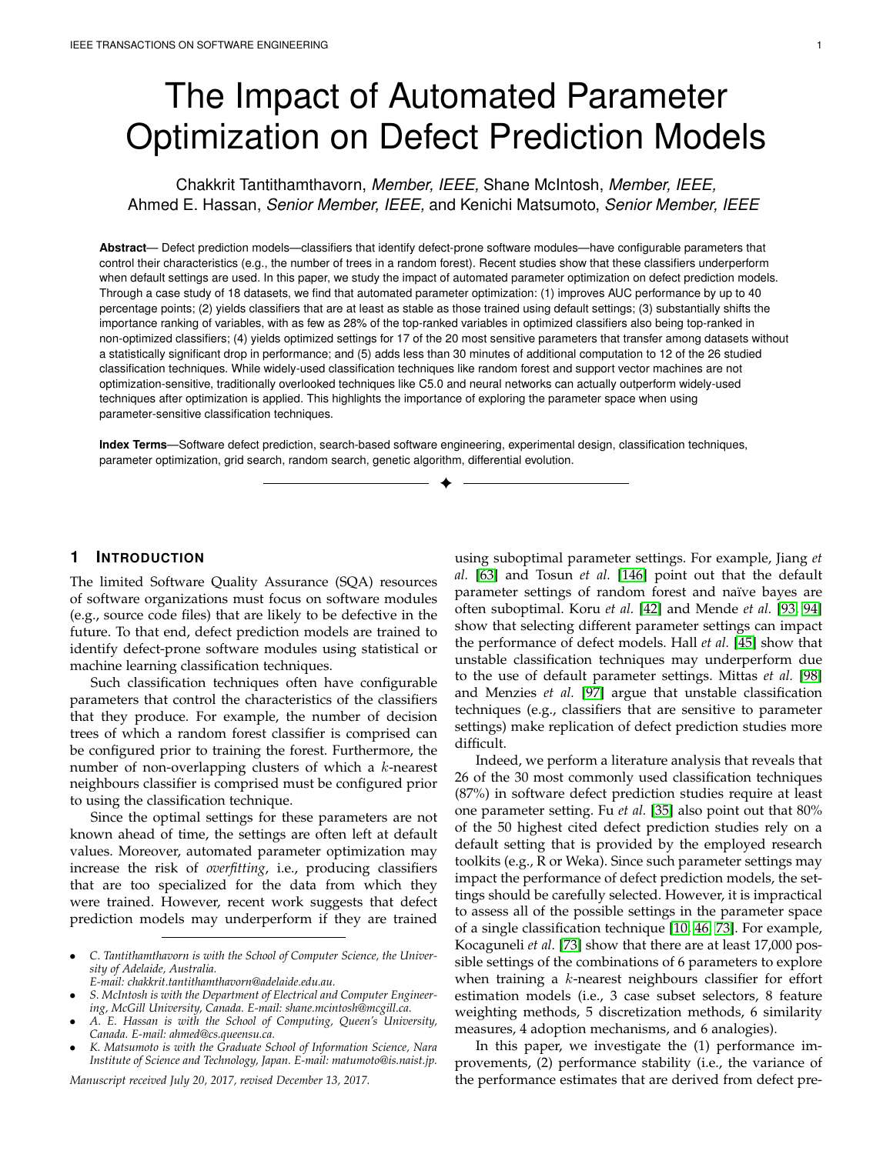# The Impact of Automated Parameter Optimization on Defect Prediction Models

Chakkrit Tantithamthavorn, *Member, IEEE,* Shane McIntosh, *Member, IEEE,* Ahmed E. Hassan, *Senior Member, IEEE,* and Kenichi Matsumoto, *Senior Member, IEEE*

**Abstract**— Defect prediction models—classifiers that identify defect-prone software modules—have configurable parameters that control their characteristics (e.g., the number of trees in a random forest). Recent studies show that these classifiers underperform when default settings are used. In this paper, we study the impact of automated parameter optimization on defect prediction models. Through a case study of 18 datasets, we find that automated parameter optimization: (1) improves AUC performance by up to 40 percentage points; (2) yields classifiers that are at least as stable as those trained using default settings; (3) substantially shifts the importance ranking of variables, with as few as 28% of the top-ranked variables in optimized classifiers also being top-ranked in non-optimized classifiers; (4) yields optimized settings for 17 of the 20 most sensitive parameters that transfer among datasets without a statistically significant drop in performance; and (5) adds less than 30 minutes of additional computation to 12 of the 26 studied classification techniques. While widely-used classification techniques like random forest and support vector machines are not optimization-sensitive, traditionally overlooked techniques like C5.0 and neural networks can actually outperform widely-used techniques after optimization is applied. This highlights the importance of exploring the parameter space when using parameter-sensitive classification techniques.

**Index Terms**—Software defect prediction, search-based software engineering, experimental design, classification techniques, parameter optimization, grid search, random search, genetic algorithm, differential evolution.

✦

#### **1 INTRODUCTION**

The limited Software Quality Assurance (SQA) resources of software organizations must focus on software modules (e.g., source code files) that are likely to be defective in the future. To that end, defect prediction models are trained to identify defect-prone software modules using statistical or machine learning classification techniques.

Such classification techniques often have configurable parameters that control the characteristics of the classifiers that they produce. For example, the number of decision trees of which a random forest classifier is comprised can be configured prior to training the forest. Furthermore, the number of non-overlapping clusters of which a k-nearest neighbours classifier is comprised must be configured prior to using the classification technique.

Since the optimal settings for these parameters are not known ahead of time, the settings are often left at default values. Moreover, automated parameter optimization may increase the risk of *overfitting*, i.e., producing classifiers that are too specialized for the data from which they were trained. However, recent work suggests that defect prediction models may underperform if they are trained

- *C. Tantithamthavorn is with the School of Computer Science, the University of Adelaide, Australia.*
- *E-mail: chakkrit.tantithamthavorn@adelaide.edu.au.*
- *S. McIntosh is with the Department of Electrical and Computer Engineering, McGill University, Canada. E-mail: shane.mcintosh@mcgill.ca.*
- *A. E. Hassan is with the School of Computing, Queen's University, Canada. E-mail: ahmed@cs.queensu.ca.*
- *K. Matsumoto is with the Graduate School of Information Science, Nara Institute of Science and Technology, Japan. E-mail: matumoto@is.naist.jp.*

*Manuscript received July 20, 2017, revised December 13, 2017.*

using suboptimal parameter settings. For example, Jiang *et al.* [\[63\]](#page-28-0) and Tosun *et al.* [\[146\]](#page-31-0) point out that the default parameter settings of random forest and naïve bayes are often suboptimal. Koru *et al.* [\[42\]](#page-28-1) and Mende *et al.* [\[93,](#page-29-0) [94\]](#page-29-1) show that selecting different parameter settings can impact the performance of defect models. Hall *et al.* [\[45\]](#page-28-2) show that unstable classification techniques may underperform due to the use of default parameter settings. Mittas *et al.* [\[98\]](#page-29-2) and Menzies *et al.* [\[97\]](#page-29-3) argue that unstable classification techniques (e.g., classifiers that are sensitive to parameter settings) make replication of defect prediction studies more difficult.

Indeed, we perform a literature analysis that reveals that 26 of the 30 most commonly used classification techniques (87%) in software defect prediction studies require at least one parameter setting. Fu *et al.* [\[35\]](#page-27-0) also point out that 80% of the 50 highest cited defect prediction studies rely on a default setting that is provided by the employed research toolkits (e.g., R or Weka). Since such parameter settings may impact the performance of defect prediction models, the settings should be carefully selected. However, it is impractical to assess all of the possible settings in the parameter space of a single classification technique [\[10,](#page-27-1) [46,](#page-28-3) [73\]](#page-29-4). For example, Kocaguneli *et al.* [\[73\]](#page-29-4) show that there are at least 17,000 possible settings of the combinations of 6 parameters to explore when training a  $k$ -nearest neighbours classifier for effort estimation models (i.e., 3 case subset selectors, 8 feature weighting methods, 5 discretization methods, 6 similarity measures, 4 adoption mechanisms, and 6 analogies).

In this paper, we investigate the (1) performance improvements, (2) performance stability (i.e., the variance of the performance estimates that are derived from defect pre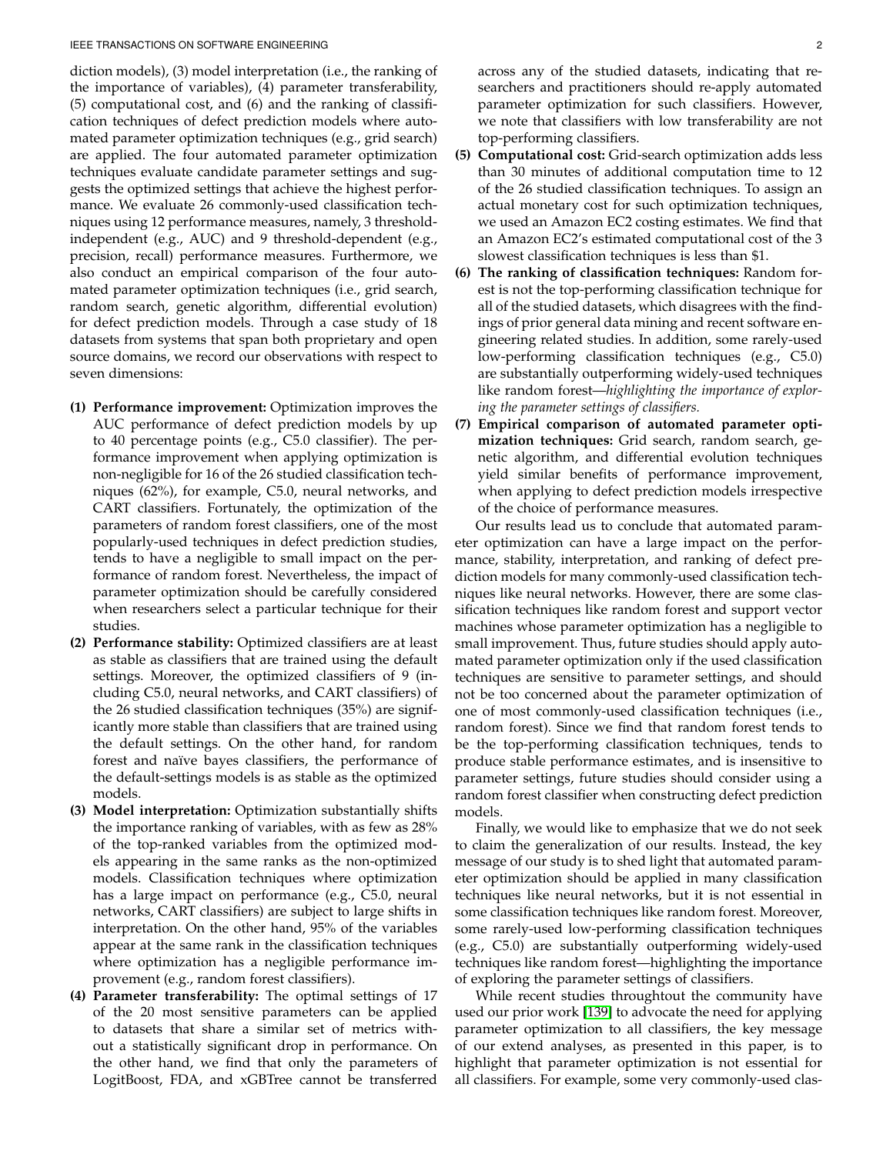diction models), (3) model interpretation (i.e., the ranking of the importance of variables), (4) parameter transferability, (5) computational cost, and (6) and the ranking of classification techniques of defect prediction models where automated parameter optimization techniques (e.g., grid search) are applied. The four automated parameter optimization techniques evaluate candidate parameter settings and suggests the optimized settings that achieve the highest performance. We evaluate 26 commonly-used classification techniques using 12 performance measures, namely, 3 thresholdindependent (e.g., AUC) and 9 threshold-dependent (e.g., precision, recall) performance measures. Furthermore, we also conduct an empirical comparison of the four automated parameter optimization techniques (i.e., grid search, random search, genetic algorithm, differential evolution) for defect prediction models. Through a case study of 18 datasets from systems that span both proprietary and open source domains, we record our observations with respect to seven dimensions:

- **(1) Performance improvement:** Optimization improves the AUC performance of defect prediction models by up to 40 percentage points (e.g., C5.0 classifier). The performance improvement when applying optimization is non-negligible for 16 of the 26 studied classification techniques (62%), for example, C5.0, neural networks, and CART classifiers. Fortunately, the optimization of the parameters of random forest classifiers, one of the most popularly-used techniques in defect prediction studies, tends to have a negligible to small impact on the performance of random forest. Nevertheless, the impact of parameter optimization should be carefully considered when researchers select a particular technique for their studies.
- **(2) Performance stability:** Optimized classifiers are at least as stable as classifiers that are trained using the default settings. Moreover, the optimized classifiers of 9 (including C5.0, neural networks, and CART classifiers) of the 26 studied classification techniques (35%) are significantly more stable than classifiers that are trained using the default settings. On the other hand, for random forest and naïve bayes classifiers, the performance of the default-settings models is as stable as the optimized models.
- **(3) Model interpretation:** Optimization substantially shifts the importance ranking of variables, with as few as 28% of the top-ranked variables from the optimized models appearing in the same ranks as the non-optimized models. Classification techniques where optimization has a large impact on performance (e.g., C5.0, neural networks, CART classifiers) are subject to large shifts in interpretation. On the other hand, 95% of the variables appear at the same rank in the classification techniques where optimization has a negligible performance improvement (e.g., random forest classifiers).
- **(4) Parameter transferability:** The optimal settings of 17 of the 20 most sensitive parameters can be applied to datasets that share a similar set of metrics without a statistically significant drop in performance. On the other hand, we find that only the parameters of LogitBoost, FDA, and xGBTree cannot be transferred

across any of the studied datasets, indicating that researchers and practitioners should re-apply automated parameter optimization for such classifiers. However, we note that classifiers with low transferability are not top-performing classifiers.

- **(5) Computational cost:** Grid-search optimization adds less than 30 minutes of additional computation time to 12 of the 26 studied classification techniques. To assign an actual monetary cost for such optimization techniques, we used an Amazon EC2 costing estimates. We find that an Amazon EC2's estimated computational cost of the 3 slowest classification techniques is less than \$1.
- **(6) The ranking of classification techniques:** Random forest is not the top-performing classification technique for all of the studied datasets, which disagrees with the findings of prior general data mining and recent software engineering related studies. In addition, some rarely-used low-performing classification techniques (e.g., C5.0) are substantially outperforming widely-used techniques like random forest—*highlighting the importance of exploring the parameter settings of classifiers.*
- **(7) Empirical comparison of automated parameter optimization techniques:** Grid search, random search, genetic algorithm, and differential evolution techniques yield similar benefits of performance improvement, when applying to defect prediction models irrespective of the choice of performance measures.

Our results lead us to conclude that automated parameter optimization can have a large impact on the performance, stability, interpretation, and ranking of defect prediction models for many commonly-used classification techniques like neural networks. However, there are some classification techniques like random forest and support vector machines whose parameter optimization has a negligible to small improvement. Thus, future studies should apply automated parameter optimization only if the used classification techniques are sensitive to parameter settings, and should not be too concerned about the parameter optimization of one of most commonly-used classification techniques (i.e., random forest). Since we find that random forest tends to be the top-performing classification techniques, tends to produce stable performance estimates, and is insensitive to parameter settings, future studies should consider using a random forest classifier when constructing defect prediction models.

Finally, we would like to emphasize that we do not seek to claim the generalization of our results. Instead, the key message of our study is to shed light that automated parameter optimization should be applied in many classification techniques like neural networks, but it is not essential in some classification techniques like random forest. Moreover, some rarely-used low-performing classification techniques (e.g., C5.0) are substantially outperforming widely-used techniques like random forest—highlighting the importance of exploring the parameter settings of classifiers.

While recent studies throughtout the community have used our prior work [\[139\]](#page-31-1) to advocate the need for applying parameter optimization to all classifiers, the key message of our extend analyses, as presented in this paper, is to highlight that parameter optimization is not essential for all classifiers. For example, some very commonly-used clas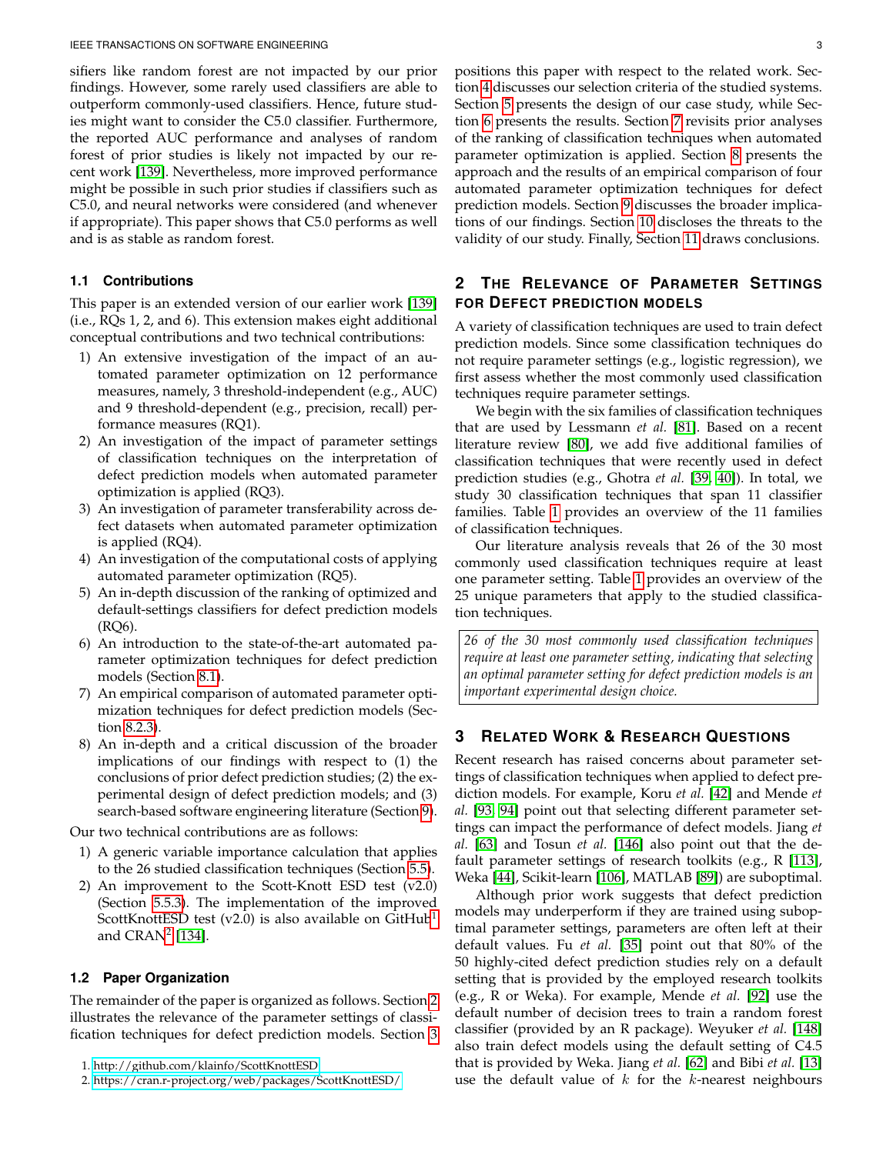sifiers like random forest are not impacted by our prior findings. However, some rarely used classifiers are able to outperform commonly-used classifiers. Hence, future studies might want to consider the C5.0 classifier. Furthermore, the reported AUC performance and analyses of random forest of prior studies is likely not impacted by our recent work [\[139\]](#page-31-1). Nevertheless, more improved performance might be possible in such prior studies if classifiers such as C5.0, and neural networks were considered (and whenever if appropriate). This paper shows that C5.0 performs as well and is as stable as random forest.

#### **1.1 Contributions**

This paper is an extended version of our earlier work [\[139\]](#page-31-1) (i.e., RQs 1, 2, and 6). This extension makes eight additional conceptual contributions and two technical contributions:

- 1) An extensive investigation of the impact of an automated parameter optimization on 12 performance measures, namely, 3 threshold-independent (e.g., AUC) and 9 threshold-dependent (e.g., precision, recall) performance measures (RQ1).
- 2) An investigation of the impact of parameter settings of classification techniques on the interpretation of defect prediction models when automated parameter optimization is applied (RQ3).
- 3) An investigation of parameter transferability across defect datasets when automated parameter optimization is applied (RQ4).
- 4) An investigation of the computational costs of applying automated parameter optimization (RQ5).
- 5) An in-depth discussion of the ranking of optimized and default-settings classifiers for defect prediction models (RQ6).
- 6) An introduction to the state-of-the-art automated parameter optimization techniques for defect prediction models (Section [8.1\)](#page-19-0).
- 7) An empirical comparison of automated parameter optimization techniques for defect prediction models (Section [8.2.3\)](#page-21-0).
- 8) An in-depth and a critical discussion of the broader implications of our findings with respect to (1) the conclusions of prior defect prediction studies; (2) the experimental design of defect prediction models; and (3) search-based software engineering literature (Section [9\)](#page-22-0).

Our two technical contributions are as follows:

- 1) A generic variable importance calculation that applies to the 26 studied classification techniques (Section [5.5\)](#page-9-0).
- 2) An improvement to the Scott-Knott ESD test (v2.0) (Section [5.5.3\)](#page-10-0). The implementation of the improved ScottKnottESD test (v2.0) is also available on  $G$ itHub<sup>[1](#page-3-0)</sup> and  $CRAN^2$  $CRAN^2$  [\[134\]](#page-31-2).

#### **1.2 Paper Organization**

The remainder of the paper is organized as follows. Section [2](#page-3-2) illustrates the relevance of the parameter settings of classification techniques for defect prediction models. Section [3](#page-3-3) positions this paper with respect to the related work. Section [4](#page-4-0) discusses our selection criteria of the studied systems. Section [5](#page-6-0) presents the design of our case study, while Section [6](#page-10-1) presents the results. Section [7](#page-17-0) revisits prior analyses of the ranking of classification techniques when automated parameter optimization is applied. Section [8](#page-19-1) presents the approach and the results of an empirical comparison of four automated parameter optimization techniques for defect prediction models. Section [9](#page-22-0) discusses the broader implications of our findings. Section [10](#page-23-0) discloses the threats to the validity of our study. Finally, Section [11](#page-24-0) draws conclusions.

# <span id="page-3-2"></span>**2 THE RELEVANCE OF PARAMETER SETTINGS FOR DEFECT PREDICTION MODELS**

A variety of classification techniques are used to train defect prediction models. Since some classification techniques do not require parameter settings (e.g., logistic regression), we first assess whether the most commonly used classification techniques require parameter settings.

We begin with the six families of classification techniques that are used by Lessmann *et al.* [\[81\]](#page-29-5). Based on a recent literature review [\[80\]](#page-29-6), we add five additional families of classification techniques that were recently used in defect prediction studies (e.g., Ghotra *et al.* [\[39,](#page-28-4) [40\]](#page-28-5)). In total, we study 30 classification techniques that span 11 classifier families. Table [1](#page-5-0) provides an overview of the 11 families of classification techniques.

Our literature analysis reveals that 26 of the 30 most commonly used classification techniques require at least one parameter setting. Table [1](#page-5-0) provides an overview of the 25 unique parameters that apply to the studied classification techniques.

*26 of the 30 most commonly used classification techniques require at least one parameter setting, indicating that selecting an optimal parameter setting for defect prediction models is an important experimental design choice.*

# <span id="page-3-3"></span>**3 RELATED WORK & RESEARCH QUESTIONS**

Recent research has raised concerns about parameter settings of classification techniques when applied to defect prediction models. For example, Koru *et al.* [\[42\]](#page-28-1) and Mende *et al.* [\[93,](#page-29-0) [94\]](#page-29-1) point out that selecting different parameter settings can impact the performance of defect models. Jiang *et al.* [\[63\]](#page-28-0) and Tosun *et al.* [\[146\]](#page-31-0) also point out that the default parameter settings of research toolkits (e.g., R [\[113\]](#page-30-0), Weka [\[44\]](#page-28-6), Scikit-learn [\[106\]](#page-30-1), MATLAB [\[89\]](#page-29-7)) are suboptimal.

Although prior work suggests that defect prediction models may underperform if they are trained using suboptimal parameter settings, parameters are often left at their default values. Fu *et al.* [\[35\]](#page-27-0) point out that 80% of the 50 highly-cited defect prediction studies rely on a default setting that is provided by the employed research toolkits (e.g., R or Weka). For example, Mende *et al.* [\[92\]](#page-29-8) use the default number of decision trees to train a random forest classifier (provided by an R package). Weyuker *et al.* [\[148\]](#page-31-3) also train defect models using the default setting of C4.5 that is provided by Weka. Jiang *et al.* [\[62\]](#page-28-7) and Bibi *et al.* [\[13\]](#page-27-2) use the default value of  $k$  for the  $k$ -nearest neighbours

<span id="page-3-0"></span><sup>1.</sup><http://github.com/klainfo/ScottKnottESD>

<span id="page-3-1"></span><sup>2.</sup><https://cran.r-project.org/web/packages/ScottKnottESD/>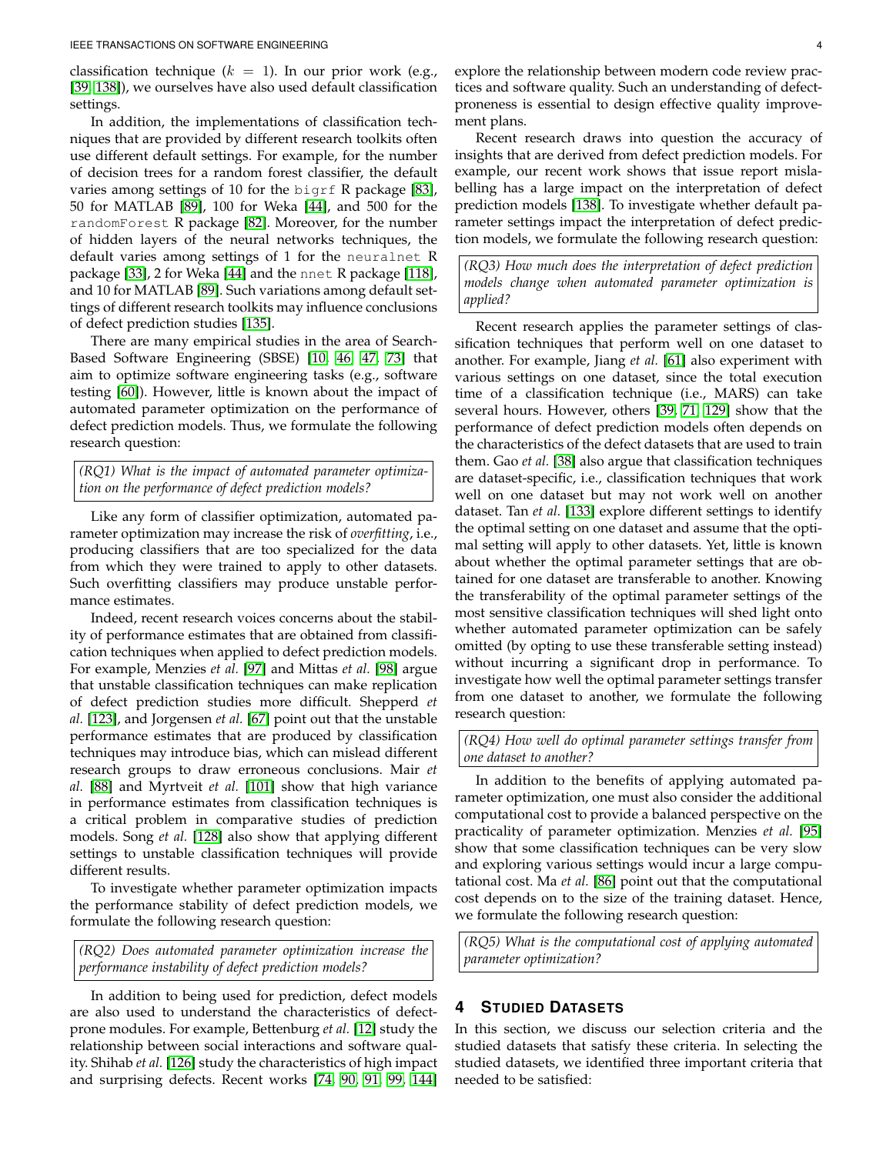classification technique ( $k = 1$ ). In our prior work (e.g., [\[39,](#page-28-4) [138\]](#page-31-4)), we ourselves have also used default classification settings.

In addition, the implementations of classification techniques that are provided by different research toolkits often use different default settings. For example, for the number of decision trees for a random forest classifier, the default varies among settings of 10 for the bigrf R package [\[83\]](#page-29-9), 50 for MATLAB [\[89\]](#page-29-7), 100 for Weka [\[44\]](#page-28-6), and 500 for the randomForest R package [\[82\]](#page-29-10). Moreover, for the number of hidden layers of the neural networks techniques, the default varies among settings of 1 for the neuralnet R package [\[33\]](#page-27-3), 2 for Weka [\[44\]](#page-28-6) and the nnet R package [\[118\]](#page-30-2), and 10 for MATLAB [\[89\]](#page-29-7). Such variations among default settings of different research toolkits may influence conclusions of defect prediction studies [\[135\]](#page-31-5).

There are many empirical studies in the area of Search-Based Software Engineering (SBSE) [\[10,](#page-27-1) [46,](#page-28-3) [47,](#page-28-8) [73\]](#page-29-4) that aim to optimize software engineering tasks (e.g., software testing [\[60\]](#page-28-9)). However, little is known about the impact of automated parameter optimization on the performance of defect prediction models. Thus, we formulate the following research question:

*(RQ1) What is the impact of automated parameter optimization on the performance of defect prediction models?*

Like any form of classifier optimization, automated parameter optimization may increase the risk of *overfitting*, i.e., producing classifiers that are too specialized for the data from which they were trained to apply to other datasets. Such overfitting classifiers may produce unstable performance estimates.

Indeed, recent research voices concerns about the stability of performance estimates that are obtained from classification techniques when applied to defect prediction models. For example, Menzies *et al.* [\[97\]](#page-29-3) and Mittas *et al.* [\[98\]](#page-29-2) argue that unstable classification techniques can make replication of defect prediction studies more difficult. Shepperd *et al.* [\[123\]](#page-30-3), and Jorgensen *et al.* [\[67\]](#page-28-10) point out that the unstable performance estimates that are produced by classification techniques may introduce bias, which can mislead different research groups to draw erroneous conclusions. Mair *et al.* [\[88\]](#page-29-11) and Myrtveit *et al.* [\[101\]](#page-30-4) show that high variance in performance estimates from classification techniques is a critical problem in comparative studies of prediction models. Song *et al.* [\[128\]](#page-30-5) also show that applying different settings to unstable classification techniques will provide different results.

To investigate whether parameter optimization impacts the performance stability of defect prediction models, we formulate the following research question:

*(RQ2) Does automated parameter optimization increase the performance instability of defect prediction models?*

In addition to being used for prediction, defect models are also used to understand the characteristics of defectprone modules. For example, Bettenburg *et al.* [\[12\]](#page-27-4) study the relationship between social interactions and software quality. Shihab *et al.* [\[126\]](#page-30-6) study the characteristics of high impact and surprising defects. Recent works [\[74,](#page-29-12) [90,](#page-29-13) [91,](#page-29-14) [99,](#page-29-15) [144\]](#page-31-6)

explore the relationship between modern code review practices and software quality. Such an understanding of defectproneness is essential to design effective quality improvement plans.

Recent research draws into question the accuracy of insights that are derived from defect prediction models. For example, our recent work shows that issue report mislabelling has a large impact on the interpretation of defect prediction models [\[138\]](#page-31-4). To investigate whether default parameter settings impact the interpretation of defect prediction models, we formulate the following research question:

*(RQ3) How much does the interpretation of defect prediction models change when automated parameter optimization is applied?*

Recent research applies the parameter settings of classification techniques that perform well on one dataset to another. For example, Jiang *et al.* [\[61\]](#page-28-11) also experiment with various settings on one dataset, since the total execution time of a classification technique (i.e., MARS) can take several hours. However, others [\[39,](#page-28-4) [71,](#page-29-16) [129\]](#page-31-7) show that the performance of defect prediction models often depends on the characteristics of the defect datasets that are used to train them. Gao *et al.* [\[38\]](#page-28-12) also argue that classification techniques are dataset-specific, i.e., classification techniques that work well on one dataset but may not work well on another dataset. Tan *et al.* [\[133\]](#page-31-8) explore different settings to identify the optimal setting on one dataset and assume that the optimal setting will apply to other datasets. Yet, little is known about whether the optimal parameter settings that are obtained for one dataset are transferable to another. Knowing the transferability of the optimal parameter settings of the most sensitive classification techniques will shed light onto whether automated parameter optimization can be safely omitted (by opting to use these transferable setting instead) without incurring a significant drop in performance. To investigate how well the optimal parameter settings transfer from one dataset to another, we formulate the following research question:

*(RQ4) How well do optimal parameter settings transfer from one dataset to another?*

In addition to the benefits of applying automated parameter optimization, one must also consider the additional computational cost to provide a balanced perspective on the practicality of parameter optimization. Menzies *et al.* [\[95\]](#page-29-17) show that some classification techniques can be very slow and exploring various settings would incur a large computational cost. Ma *et al.* [\[86\]](#page-29-18) point out that the computational cost depends on to the size of the training dataset. Hence, we formulate the following research question:

*(RQ5) What is the computational cost of applying automated parameter optimization?*

## <span id="page-4-0"></span>**4 STUDIED DATASETS**

In this section, we discuss our selection criteria and the studied datasets that satisfy these criteria. In selecting the studied datasets, we identified three important criteria that needed to be satisfied: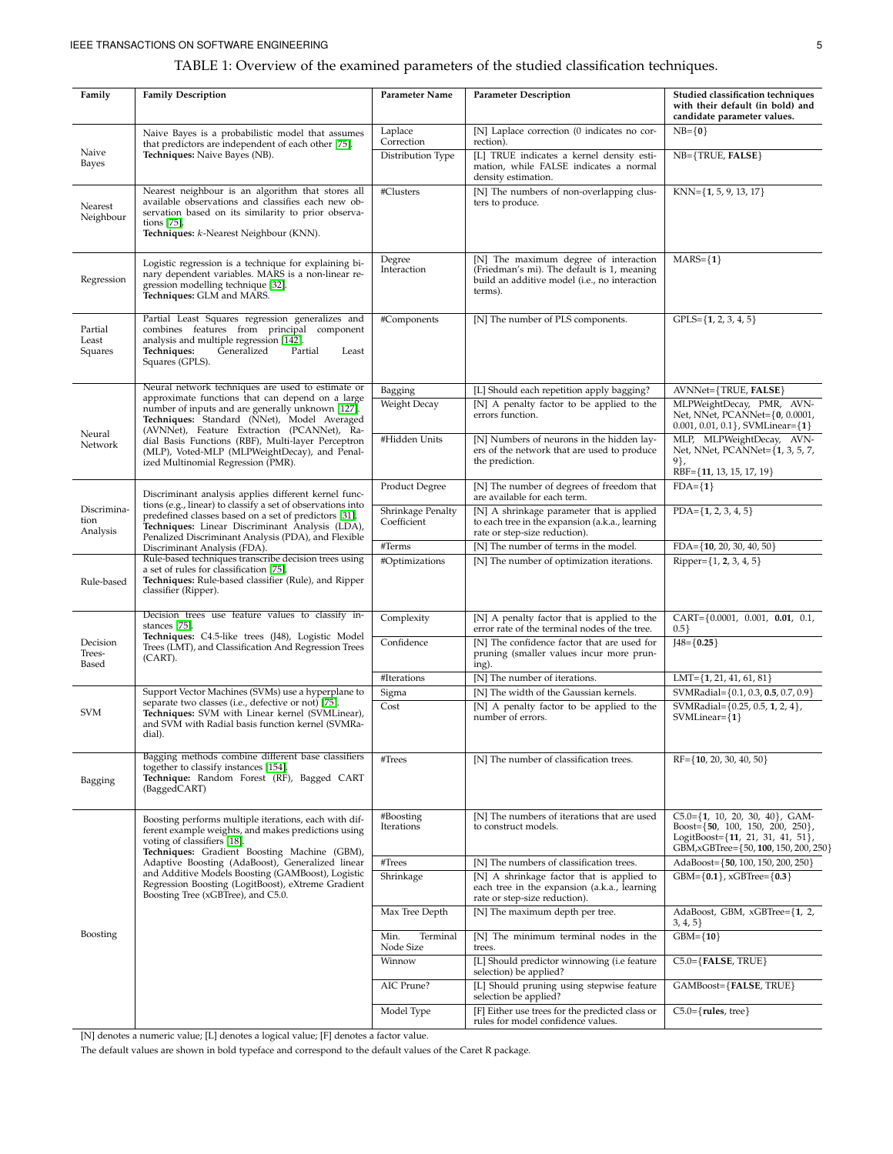#### <span id="page-5-0"></span>IEEE TRANSACTIONS ON SOFTWARE ENGINEERING 5

# TABLE 1: Overview of the examined parameters of the studied classification techniques.

| Family                          | <b>Family Description</b>                                                                                                                                                                                                  | Parameter Name                   | <b>Parameter Description</b>                                                                                                                    | Studied classification techniques<br>with their default (in bold) and<br>candidate parameter values.                                                            |  |  |  |  |
|---------------------------------|----------------------------------------------------------------------------------------------------------------------------------------------------------------------------------------------------------------------------|----------------------------------|-------------------------------------------------------------------------------------------------------------------------------------------------|-----------------------------------------------------------------------------------------------------------------------------------------------------------------|--|--|--|--|
|                                 | Naive Bayes is a probabilistic model that assumes<br>that predictors are independent of each other [75].                                                                                                                   | Laplace<br>Correction            | [N] Laplace correction (0 indicates no cor-<br>rection).                                                                                        | $NB = \{0\}$                                                                                                                                                    |  |  |  |  |
| Naive<br>Bayes                  | Techniques: Naive Bayes (NB).                                                                                                                                                                                              | Distribution Type                | [L] TRUE indicates a kernel density esti-<br>mation, while FALSE indicates a normal<br>density estimation.                                      | NB={TRUE, FALSE}                                                                                                                                                |  |  |  |  |
| Nearest<br>Neighbour            | Nearest neighbour is an algorithm that stores all<br>available observations and classifies each new ob-<br>servation based on its similarity to prior observa-<br>tions $[75]$ .<br>Techniques: k-Nearest Neighbour (KNN). | #Clusters                        | [N] The numbers of non-overlapping clus-<br>ters to produce.                                                                                    | $KNN = \{1, 5, 9, 13, 17\}$                                                                                                                                     |  |  |  |  |
| Regression                      | Logistic regression is a technique for explaining bi-<br>nary dependent variables. MARS is a non-linear re-<br>gression modelling technique [32].<br>Techniques: GLM and MARS.                                             | Degree<br>Interaction            | [N] The maximum degree of interaction<br>(Friedman's mi). The default is 1, meaning<br>build an additive model (i.e., no interaction<br>terms). | $MARS = \{1\}$                                                                                                                                                  |  |  |  |  |
| Partial<br>Least<br>Squares     | Partial Least Squares regression generalizes and<br>combines features from principal component<br>analysis and multiple regression [142].<br>Techniques:<br>Generalized<br>Partial<br>Least<br>Squares (GPLS).             | #Components                      | [N] The number of PLS components.                                                                                                               | $GPLS = \{1, 2, 3, 4, 5\}$                                                                                                                                      |  |  |  |  |
|                                 | Neural network techniques are used to estimate or                                                                                                                                                                          | Bagging                          | [L] Should each repetition apply bagging?                                                                                                       | AVNNet={TRUE, FALSE}                                                                                                                                            |  |  |  |  |
|                                 | approximate functions that can depend on a large<br>number of inputs and are generally unknown [127].<br>Techniques: Standard (NNet), Model Averaged<br>(AVNNet), Feature Extraction (PCANNet), Ra-                        | Weight Decay                     | [N] A penalty factor to be applied to the<br>errors function.                                                                                   | MLPWeightDecay, PMR, AVN-<br>Net, NNet, PCANNet={0, 0.0001,<br>$0.001, 0.01, 0.1$ , SVMLinear={1}                                                               |  |  |  |  |
| Neural<br>Network               | dial Basis Functions (RBF), Multi-layer Perceptron<br>(MLP), Voted-MLP (MLPWeightDecay), and Penal-<br>ized Multinomial Regression (PMR).                                                                                  | #Hidden Units                    | [N] Numbers of neurons in the hidden lay-<br>ers of the network that are used to produce<br>the prediction.                                     | MLP, MLPWeightDecay, AVN-<br>Net, NNet, PCANNet={1, 3, 5, 7,<br>9},<br>$RBF = \{11, 13, 15, 17, 19\}$                                                           |  |  |  |  |
|                                 | Discriminant analysis applies different kernel func-<br>tions (e.g., linear) to classify a set of observations into                                                                                                        | Product Degree                   | [N] The number of degrees of freedom that<br>are available for each term.                                                                       | $FDA=\{1\}$                                                                                                                                                     |  |  |  |  |
| Discrimina-<br>tion<br>Analysis | predefined classes based on a set of predictors [31].<br>Techniques: Linear Discriminant Analysis (LDA),<br>Penalized Discriminant Analysis (PDA), and Flexible                                                            | Shrinkage Penalty<br>Coefficient | [N] A shrinkage parameter that is applied<br>to each tree in the expansion (a.k.a., learning<br>rate or step-size reduction).                   | $PDA = \{1, 2, 3, 4, 5\}$                                                                                                                                       |  |  |  |  |
|                                 | Discriminant Analysis (FDA).                                                                                                                                                                                               | #Terms                           | [N] The number of terms in the model.                                                                                                           | $FDA = \{10, 20, 30, 40, 50\}$                                                                                                                                  |  |  |  |  |
| Rule-based                      | Rule-based techniques transcribe decision trees using<br>a set of rules for classification [75].<br>Techniques: Rule-based classifier (Rule), and Ripper<br>classifier (Ripper).                                           | #Optimizations                   | [N] The number of optimization iterations.                                                                                                      | Ripper= $\{1, 2, 3, 4, 5\}$                                                                                                                                     |  |  |  |  |
|                                 | Decision trees use feature values to classify in-<br>stances [75].<br>Techniques: C4.5-like trees (J48), Logistic Model                                                                                                    | Complexity                       | [N] A penalty factor that is applied to the<br>error rate of the terminal nodes of the tree.                                                    | $CART = \{0.0001, 0.001, 0.01, 0.1,$<br>$0.5\}$                                                                                                                 |  |  |  |  |
| Decision<br>Trees-<br>Based     | Trees (LMT), and Classification And Regression Trees<br>(CART).                                                                                                                                                            | Confidence                       | [N] The confidence factor that are used for<br>pruning (smaller values incur more prun-<br>ing).                                                | $J48 = \{0.25\}$                                                                                                                                                |  |  |  |  |
|                                 |                                                                                                                                                                                                                            | #Iterations                      | [N] The number of iterations.                                                                                                                   | LMT= $\{1, 21, 41, 61, 81\}$                                                                                                                                    |  |  |  |  |
|                                 | Support Vector Machines (SVMs) use a hyperplane to                                                                                                                                                                         | Sigma                            | [N] The width of the Gaussian kernels.                                                                                                          | SVMRadial={0.1, 0.3, 0.5, 0.7, 0.9}                                                                                                                             |  |  |  |  |
| <b>SVM</b>                      | separate two classes (i.e., defective or not) [75].<br>Techniques: SVM with Linear kernel (SVMLinear),<br>and SVM with Radial basis function kernel (SVMRa-<br>dial).                                                      | Cost                             | [N] A penalty factor to be applied to the<br>number of errors.                                                                                  | SVMRadial={0.25, 0.5, 1, 2, 4},<br>$SVMLinear={1}$                                                                                                              |  |  |  |  |
| Bagging                         | Bagging methods combine different base classifiers<br>together to classify instances [154].<br>Technique: Random Forest (RF), Bagged CART<br>(BaggedCART)                                                                  | #Trees                           | [N] The number of classification trees.                                                                                                         | $RF = \{10, 20, 30, 40, 50\}$                                                                                                                                   |  |  |  |  |
|                                 | Boosting performs multiple iterations, each with dif-<br>ferent example weights, and makes predictions using<br>voting of classifiers [18].<br>Techniques: Gradient Boosting Machine (GBM),                                | #Boosting<br>Iterations          | [N] The numbers of iterations that are used<br>to construct models.                                                                             | $C5.0=\{1, 10, 20, 30, 40\}$ , GAM-<br>Boost= $\{50, 100, 150, 200, 250\}$ ,<br>LogitBoost= $\{11, 21, 31, 41, 51\}$ ,<br>GBM, xGBTree={50, 100, 150, 200, 250} |  |  |  |  |
|                                 | Adaptive Boosting (AdaBoost), Generalized linear                                                                                                                                                                           | #Trees                           | [N] The numbers of classification trees.                                                                                                        | AdaBoost={50, 100, 150, 200, 250}                                                                                                                               |  |  |  |  |
|                                 | and Additive Models Boosting (GAMBoost), Logistic<br>Regression Boosting (LogitBoost), eXtreme Gradient<br>Boosting Tree (xGBTree), and C5.0.                                                                              | Shrinkage                        | [N] A shrinkage factor that is applied to<br>each tree in the expansion (a.k.a., learning<br>rate or step-size reduction).                      | GBM= $\{0.1\}$ , xGBTree= $\{0.3\}$                                                                                                                             |  |  |  |  |
|                                 |                                                                                                                                                                                                                            | Max Tree Depth                   | [N] The maximum depth per tree.                                                                                                                 | AdaBoost, GBM, xGBTree={1, 2,<br>3, 4, 5                                                                                                                        |  |  |  |  |
| <b>Boosting</b>                 |                                                                                                                                                                                                                            | Terminal<br>Min.<br>Node Size    | [N] The minimum terminal nodes in the<br>trees.                                                                                                 | $GBM = \{10\}$                                                                                                                                                  |  |  |  |  |
|                                 |                                                                                                                                                                                                                            | Winnow                           | [L] Should predictor winnowing (i.e feature<br>selection) be applied?                                                                           | $C5.0=\{FALSE, TRUE\}$                                                                                                                                          |  |  |  |  |
|                                 |                                                                                                                                                                                                                            | AIC Prune?                       | [L] Should pruning using stepwise feature<br>selection be applied?                                                                              | GAMBoost={FALSE, TRUE}                                                                                                                                          |  |  |  |  |
|                                 |                                                                                                                                                                                                                            | Model Type                       | [F] Either use trees for the predicted class or<br>rules for model confidence values.                                                           | $C5.0 = {rules, tree}$                                                                                                                                          |  |  |  |  |

[N] denotes a numeric value; [L] denotes a logical value; [F] denotes a factor value.

The default values are shown in bold typeface and correspond to the default values of the Caret R package.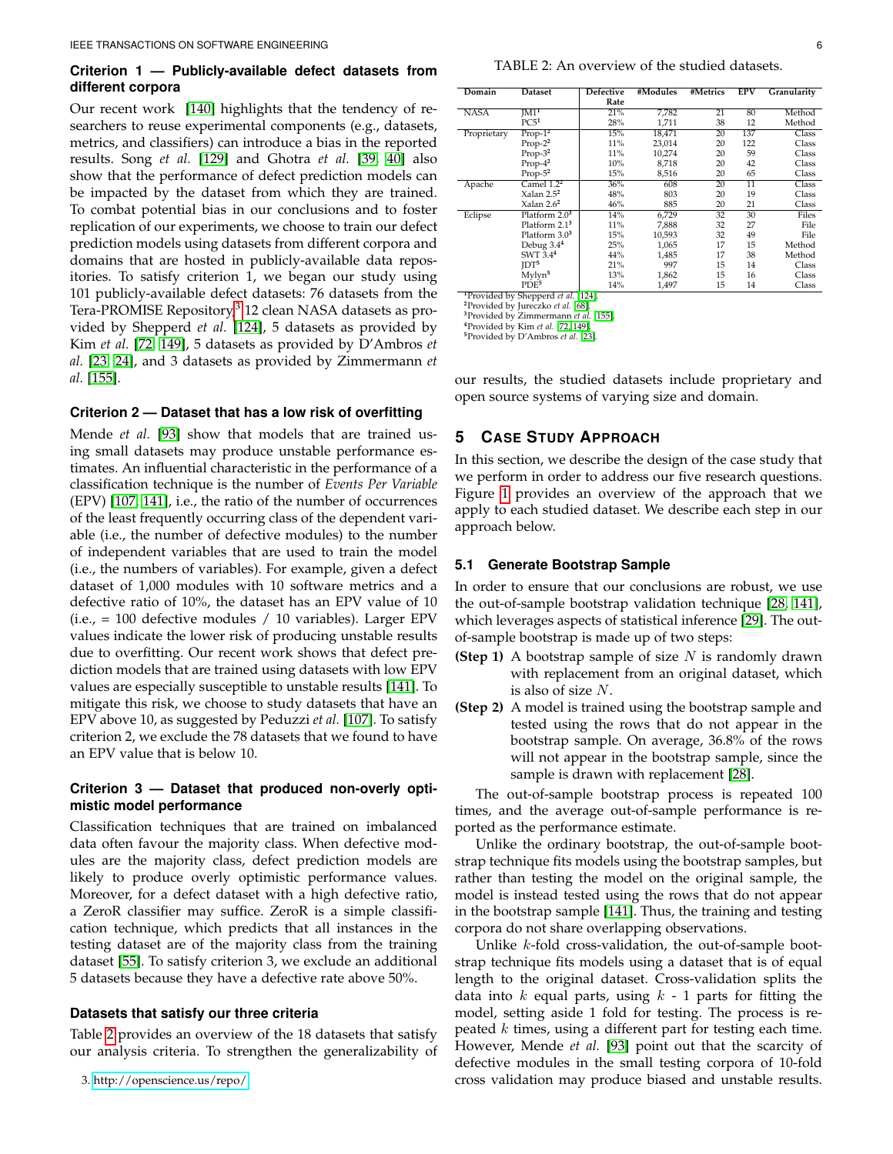#### **Criterion 1 — Publicly-available defect datasets from different corpora**

Our recent work [\[140\]](#page-31-11) highlights that the tendency of researchers to reuse experimental components (e.g., datasets, metrics, and classifiers) can introduce a bias in the reported results. Song *et al.* [\[129\]](#page-31-7) and Ghotra *et al.* [\[39,](#page-28-4) [40\]](#page-28-5) also show that the performance of defect prediction models can be impacted by the dataset from which they are trained. To combat potential bias in our conclusions and to foster replication of our experiments, we choose to train our defect prediction models using datasets from different corpora and domains that are hosted in publicly-available data repositories. To satisfy criterion 1, we began our study using 101 publicly-available defect datasets: 76 datasets from the Tera-PROMISE Repository,<sup>[3](#page-6-1)</sup> 12 clean NASA datasets as provided by Shepperd *et al.* [\[124\]](#page-30-8), 5 datasets as provided by Kim *et al.* [\[72,](#page-29-20) [149\]](#page-31-12), 5 datasets as provided by D'Ambros *et al.* [\[23,](#page-27-8) [24\]](#page-27-9), and 3 datasets as provided by Zimmermann *et al.* [\[155\]](#page-31-13).

#### **Criterion 2 — Dataset that has a low risk of overfitting**

Mende *et al.* [\[93\]](#page-29-0) show that models that are trained using small datasets may produce unstable performance estimates. An influential characteristic in the performance of a classification technique is the number of *Events Per Variable* (EPV) [\[107,](#page-30-9) [141\]](#page-31-14), i.e., the ratio of the number of occurrences of the least frequently occurring class of the dependent variable (i.e., the number of defective modules) to the number of independent variables that are used to train the model (i.e., the numbers of variables). For example, given a defect dataset of 1,000 modules with 10 software metrics and a defective ratio of 10%, the dataset has an EPV value of 10 (i.e., = 100 defective modules / 10 variables). Larger EPV values indicate the lower risk of producing unstable results due to overfitting. Our recent work shows that defect prediction models that are trained using datasets with low EPV values are especially susceptible to unstable results [\[141\]](#page-31-14). To mitigate this risk, we choose to study datasets that have an EPV above 10, as suggested by Peduzzi *et al.* [\[107\]](#page-30-9). To satisfy criterion 2, we exclude the 78 datasets that we found to have an EPV value that is below 10.

#### **Criterion 3 — Dataset that produced non-overly optimistic model performance**

Classification techniques that are trained on imbalanced data often favour the majority class. When defective modules are the majority class, defect prediction models are likely to produce overly optimistic performance values. Moreover, for a defect dataset with a high defective ratio, a ZeroR classifier may suffice. ZeroR is a simple classification technique, which predicts that all instances in the testing dataset are of the majority class from the training dataset [\[55\]](#page-28-13). To satisfy criterion 3, we exclude an additional 5 datasets because they have a defective rate above 50%.

#### **Datasets that satisfy our three criteria**

<span id="page-6-1"></span>Table [2](#page-6-2) provides an overview of the 18 datasets that satisfy our analysis criteria. To strengthen the generalizability of

TABLE 2: An overview of the studied datasets.

<span id="page-6-2"></span>

| Domain      | Dataset                           | <b>Defective</b> | #Modules | #Metrics | <b>EPV</b> | Granularity |
|-------------|-----------------------------------|------------------|----------|----------|------------|-------------|
|             |                                   | Rate             |          |          |            |             |
| <b>NASA</b> | $J\overline{M1}$ <sup>1</sup>     | 21%              | 7,782    | 21       | 80         | Method      |
|             | PC5 <sup>1</sup>                  | 28%              | 1,711    | 38       | 12         | Method      |
| Proprietary | $Prop-1^2$                        | 15%              | 18,471   | 20       | 137        | Class       |
|             | Prop-2 <sup>2</sup>               | 11%              | 23,014   | 20       | 122        | Class       |
|             | $Prop-32$                         | 11%              | 10,274   | 20       | 59         | Class       |
|             | $Prop-42$                         | 10%              | 8,718    | 20       | 42         | Class       |
|             | $Prop-52$                         | 15%              | 8,516    | 20       | 65         | Class       |
| Apache      | Camel $1.22$                      | 36%              | 608      | 20       | 11         | Class       |
|             | $X$ alan $2.52$                   | 48%              | 803      | 20       | 19         | Class       |
|             | Xalan 2.6 <sup>2</sup>            | 46%              | 885      | 20       | 21         | Class       |
| Eclipse     | Platform $2.03$                   | 14%              | 6,729    | 32       | 30         | Files       |
|             | Platform 2.1 <sup>3</sup>         | 11%              | 7,888    | 32       | 27         | File        |
|             | Platform 3.0 <sup>3</sup>         | 15%              | 10,593   | 32       | 49         | File        |
|             | Debug 3.4 <sup>4</sup>            | 25%              | 1,065    | 17       | 15         | Method      |
|             | SWT $3.44$                        | 44%              | 1,485    | 17       | 38         | Method      |
|             | JDT <sup>5</sup>                  | 21%              | 997      | 15       | 14         | Class       |
|             | Mylyn <sup>5</sup>                | 13%              | 1,862    | 15       | 16         | Class       |
|             | PDE <sup>5</sup>                  | 14%              | 1,497    | 15       | 14         | Class       |
|             | 1Provided by Shepperd et al [124] |                  |          |          |            |             |

**<sup>1</sup>**Provided by Shepperd *et al.* [\[124\].](#page-30-8) **<sup>2</sup>**Provided by Jureczko *et al.* [\[68\]](#page-28-14). **<sup>3</sup>**Provided by Zimmermann *et al.* [\[155\]](#page-31-13).

**<sup>4</sup>**Provided by Kim *et al.* [\[72,](#page-29-20) [149\]](#page-31-12).

**<sup>5</sup>**Provided by D'Ambros *et al.* [\[23\]](#page-27-8).

our results, the studied datasets include proprietary and open source systems of varying size and domain.

#### <span id="page-6-0"></span>**5 CASE STUDY APPROACH**

In this section, we describe the design of the case study that we perform in order to address our five research questions. Figure [1](#page-7-0) provides an overview of the approach that we apply to each studied dataset. We describe each step in our approach below.

#### **5.1 Generate Bootstrap Sample**

In order to ensure that our conclusions are robust, we use the out-of-sample bootstrap validation technique [\[28,](#page-27-10) [141\]](#page-31-14), which leverages aspects of statistical inference [\[29\]](#page-27-11). The outof-sample bootstrap is made up of two steps:

- **(Step 1)** A bootstrap sample of size  $N$  is randomly drawn with replacement from an original dataset, which is also of size N.
- **(Step 2)** A model is trained using the bootstrap sample and tested using the rows that do not appear in the bootstrap sample. On average, 36.8% of the rows will not appear in the bootstrap sample, since the sample is drawn with replacement [\[28\]](#page-27-10).

The out-of-sample bootstrap process is repeated 100 times, and the average out-of-sample performance is reported as the performance estimate.

Unlike the ordinary bootstrap, the out-of-sample bootstrap technique fits models using the bootstrap samples, but rather than testing the model on the original sample, the model is instead tested using the rows that do not appear in the bootstrap sample [\[141\]](#page-31-14). Thus, the training and testing corpora do not share overlapping observations.

Unlike  $k$ -fold cross-validation, the out-of-sample bootstrap technique fits models using a dataset that is of equal length to the original dataset. Cross-validation splits the data into k equal parts, using  $k - 1$  parts for fitting the model, setting aside 1 fold for testing. The process is repeated  $k$  times, using a different part for testing each time. However, Mende *et al.* [\[93\]](#page-29-0) point out that the scarcity of defective modules in the small testing corpora of 10-fold cross validation may produce biased and unstable results.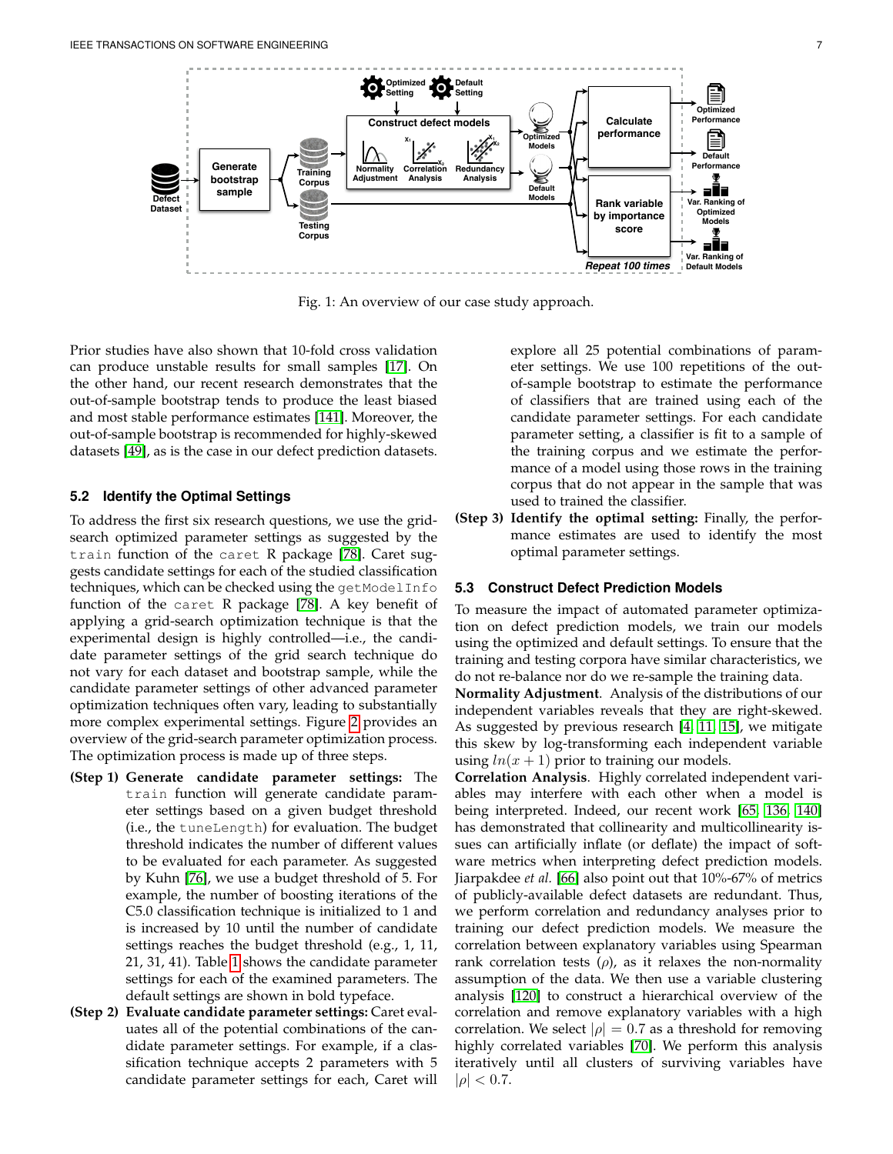<span id="page-7-0"></span>

Fig. 1: An overview of our case study approach.

Prior studies have also shown that 10-fold cross validation can produce unstable results for small samples [\[17\]](#page-27-12). On the other hand, our recent research demonstrates that the out-of-sample bootstrap tends to produce the least biased and most stable performance estimates [\[141\]](#page-31-14). Moreover, the out-of-sample bootstrap is recommended for highly-skewed datasets [\[49\]](#page-28-15), as is the case in our defect prediction datasets.

#### **5.2 Identify the Optimal Settings**

To address the first six research questions, we use the gridsearch optimized parameter settings as suggested by the train function of the caret R package [\[78\]](#page-29-21). Caret suggests candidate settings for each of the studied classification techniques, which can be checked using the getModelInfo function of the caret R package [\[78\]](#page-29-21). A key benefit of applying a grid-search optimization technique is that the experimental design is highly controlled—i.e., the candidate parameter settings of the grid search technique do not vary for each dataset and bootstrap sample, while the candidate parameter settings of other advanced parameter optimization techniques often vary, leading to substantially more complex experimental settings. Figure [2](#page-8-0) provides an overview of the grid-search parameter optimization process. The optimization process is made up of three steps.

- **(Step 1) Generate candidate parameter settings:** The train function will generate candidate parameter settings based on a given budget threshold (i.e., the tuneLength) for evaluation. The budget threshold indicates the number of different values to be evaluated for each parameter. As suggested by Kuhn [\[76\]](#page-29-22), we use a budget threshold of 5. For example, the number of boosting iterations of the C5.0 classification technique is initialized to 1 and is increased by 10 until the number of candidate settings reaches the budget threshold (e.g., 1, 11, 21, 31, 41). Table [1](#page-5-0) shows the candidate parameter settings for each of the examined parameters. The default settings are shown in bold typeface.
- **(Step 2) Evaluate candidate parameter settings:** Caret evaluates all of the potential combinations of the candidate parameter settings. For example, if a classification technique accepts 2 parameters with 5 candidate parameter settings for each, Caret will

explore all 25 potential combinations of parameter settings. We use 100 repetitions of the outof-sample bootstrap to estimate the performance of classifiers that are trained using each of the candidate parameter settings. For each candidate parameter setting, a classifier is fit to a sample of the training corpus and we estimate the performance of a model using those rows in the training corpus that do not appear in the sample that was used to trained the classifier.

**(Step 3) Identify the optimal setting:** Finally, the performance estimates are used to identify the most optimal parameter settings.

#### **5.3 Construct Defect Prediction Models**

To measure the impact of automated parameter optimization on defect prediction models, we train our models using the optimized and default settings. To ensure that the training and testing corpora have similar characteristics, we do not re-balance nor do we re-sample the training data.

**Normality Adjustment**. Analysis of the distributions of our independent variables reveals that they are right-skewed. As suggested by previous research [\[4,](#page-27-13) [11,](#page-27-14) [15\]](#page-27-15), we mitigate this skew by log-transforming each independent variable using  $ln(x + 1)$  prior to training our models.

**Correlation Analysis**. Highly correlated independent variables may interfere with each other when a model is being interpreted. Indeed, our recent work [\[65,](#page-28-16) [136,](#page-31-15) [140\]](#page-31-11) has demonstrated that collinearity and multicollinearity issues can artificially inflate (or deflate) the impact of software metrics when interpreting defect prediction models. Jiarpakdee *et al.* [\[66\]](#page-28-17) also point out that 10%-67% of metrics of publicly-available defect datasets are redundant. Thus, we perform correlation and redundancy analyses prior to training our defect prediction models. We measure the correlation between explanatory variables using Spearman rank correlation tests  $(\rho)$ , as it relaxes the non-normality assumption of the data. We then use a variable clustering analysis [\[120\]](#page-30-10) to construct a hierarchical overview of the correlation and remove explanatory variables with a high correlation. We select  $|\rho| = 0.7$  as a threshold for removing highly correlated variables [\[70\]](#page-29-23). We perform this analysis iteratively until all clusters of surviving variables have  $|\rho| < 0.7$ .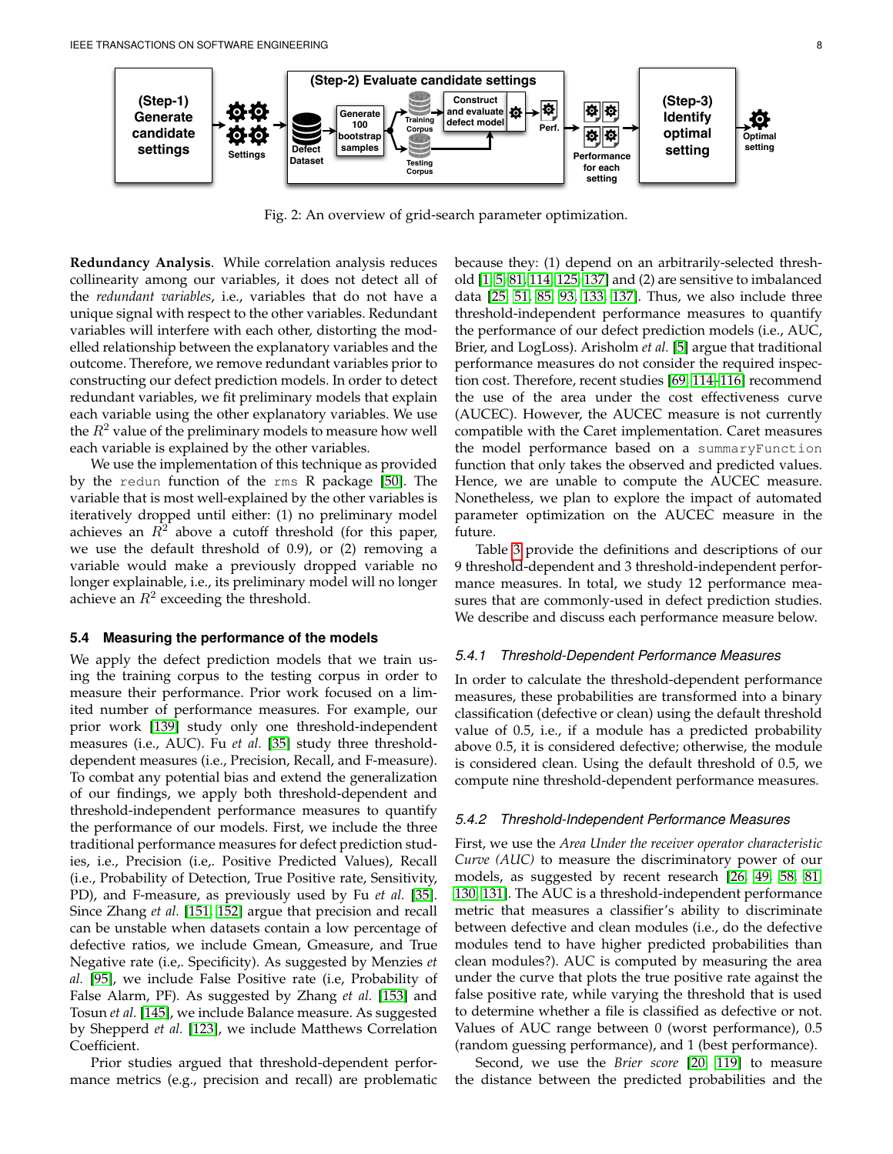<span id="page-8-0"></span>

Fig. 2: An overview of grid-search parameter optimization.

**Redundancy Analysis**. While correlation analysis reduces collinearity among our variables, it does not detect all of the *redundant variables*, i.e., variables that do not have a unique signal with respect to the other variables. Redundant variables will interfere with each other, distorting the modelled relationship between the explanatory variables and the outcome. Therefore, we remove redundant variables prior to constructing our defect prediction models. In order to detect redundant variables, we fit preliminary models that explain each variable using the other explanatory variables. We use the  $R^2$  value of the preliminary models to measure how well each variable is explained by the other variables.

We use the implementation of this technique as provided by the redun function of the rms R package [\[50\]](#page-28-18). The variable that is most well-explained by the other variables is iteratively dropped until either: (1) no preliminary model achieves an  $R^2$  above a cutoff threshold (for this paper, we use the default threshold of 0.9), or (2) removing a variable would make a previously dropped variable no longer explainable, i.e., its preliminary model will no longer achieve an  $R^2$  exceeding the threshold.

#### **5.4 Measuring the performance of the models**

We apply the defect prediction models that we train using the training corpus to the testing corpus in order to measure their performance. Prior work focused on a limited number of performance measures. For example, our prior work [\[139\]](#page-31-1) study only one threshold-independent measures (i.e., AUC). Fu *et al.* [\[35\]](#page-27-0) study three thresholddependent measures (i.e., Precision, Recall, and F-measure). To combat any potential bias and extend the generalization of our findings, we apply both threshold-dependent and threshold-independent performance measures to quantify the performance of our models. First, we include the three traditional performance measures for defect prediction studies, i.e., Precision (i.e,. Positive Predicted Values), Recall (i.e., Probability of Detection, True Positive rate, Sensitivity, PD), and F-measure, as previously used by Fu *et al.* [\[35\]](#page-27-0). Since Zhang *et al.* [\[151,](#page-31-16) [152\]](#page-31-17) argue that precision and recall can be unstable when datasets contain a low percentage of defective ratios, we include Gmean, Gmeasure, and True Negative rate (i.e,. Specificity). As suggested by Menzies *et al.* [\[95\]](#page-29-17), we include False Positive rate (i.e, Probability of False Alarm, PF). As suggested by Zhang *et al.* [\[153\]](#page-31-18) and Tosun *et al.* [\[145\]](#page-31-19), we include Balance measure. As suggested by Shepperd *et al.* [\[123\]](#page-30-3), we include Matthews Correlation Coefficient.

Prior studies argued that threshold-dependent performance metrics (e.g., precision and recall) are problematic because they: (1) depend on an arbitrarily-selected threshold [\[1,](#page-26-0) [5,](#page-27-16) [81,](#page-29-5) [114,](#page-30-11) [125,](#page-30-12) [137\]](#page-31-20) and (2) are sensitive to imbalanced data [\[25,](#page-27-17) [51,](#page-28-19) [85,](#page-29-24) [93,](#page-29-0) [133,](#page-31-8) [137\]](#page-31-20). Thus, we also include three threshold-independent performance measures to quantify the performance of our defect prediction models (i.e., AUC, Brier, and LogLoss). Arisholm *et al.* [\[5\]](#page-27-16) argue that traditional performance measures do not consider the required inspection cost. Therefore, recent studies [\[69,](#page-28-20) [114](#page-30-11)[–116\]](#page-30-13) recommend the use of the area under the cost effectiveness curve (AUCEC). However, the AUCEC measure is not currently compatible with the Caret implementation. Caret measures the model performance based on a summaryFunction function that only takes the observed and predicted values. Hence, we are unable to compute the AUCEC measure. Nonetheless, we plan to explore the impact of automated parameter optimization on the AUCEC measure in the future.

Table [3](#page-9-1) provide the definitions and descriptions of our 9 threshold-dependent and 3 threshold-independent performance measures. In total, we study 12 performance measures that are commonly-used in defect prediction studies. We describe and discuss each performance measure below.

#### *5.4.1 Threshold-Dependent Performance Measures*

In order to calculate the threshold-dependent performance measures, these probabilities are transformed into a binary classification (defective or clean) using the default threshold value of 0.5, i.e., if a module has a predicted probability above 0.5, it is considered defective; otherwise, the module is considered clean. Using the default threshold of 0.5, we compute nine threshold-dependent performance measures.

#### <span id="page-8-1"></span>*5.4.2 Threshold-Independent Performance Measures*

First, we use the *Area Under the receiver operator characteristic Curve (AUC)* to measure the discriminatory power of our models, as suggested by recent research [\[26,](#page-27-18) [49,](#page-28-15) [58,](#page-28-21) [81,](#page-29-5) [130,](#page-31-21) [131\]](#page-31-22). The AUC is a threshold-independent performance metric that measures a classifier's ability to discriminate between defective and clean modules (i.e., do the defective modules tend to have higher predicted probabilities than clean modules?). AUC is computed by measuring the area under the curve that plots the true positive rate against the false positive rate, while varying the threshold that is used to determine whether a file is classified as defective or not. Values of AUC range between 0 (worst performance), 0.5 (random guessing performance), and 1 (best performance).

Second, we use the *Brier score* [\[20,](#page-27-19) [119\]](#page-30-14) to measure the distance between the predicted probabilities and the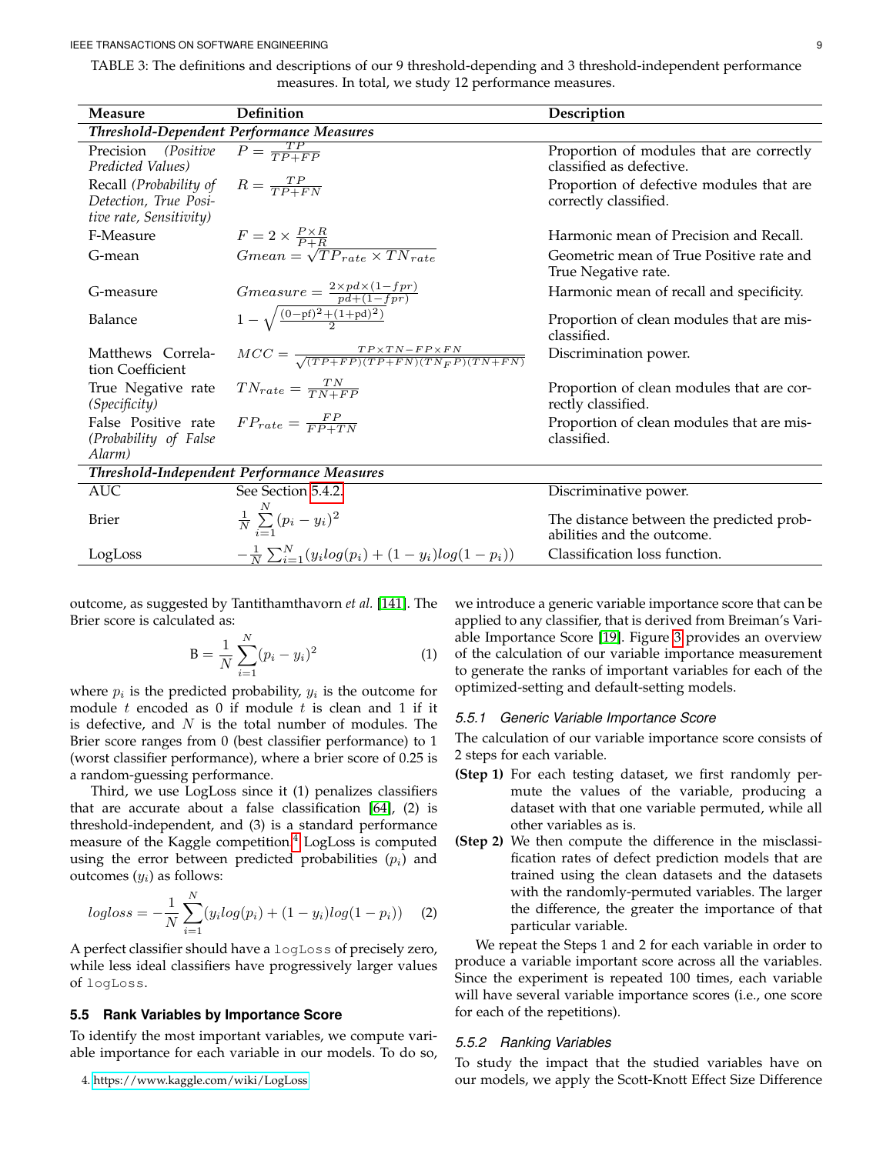<span id="page-9-1"></span>TABLE 3: The definitions and descriptions of our 9 threshold-depending and 3 threshold-independent performance measures. In total, we study 12 performance measures.

| <b>Measure</b>                                                             | <b>Definition</b>                                                                      | Description                                                            |
|----------------------------------------------------------------------------|----------------------------------------------------------------------------------------|------------------------------------------------------------------------|
|                                                                            | Threshold-Dependent Performance Measures                                               |                                                                        |
| (Positive<br>Precision<br>Predicted Values)                                | $P = \frac{TP}{TP + FP}$                                                               | Proportion of modules that are correctly<br>classified as defective.   |
| Recall (Probability of<br>Detection, True Posi-<br>tive rate, Sensitivity) | $R = \frac{TP}{TP + FN}$                                                               | Proportion of defective modules that are<br>correctly classified.      |
| F-Measure                                                                  | $F = 2 \times \frac{P \times R}{P + R}$                                                | Harmonic mean of Precision and Recall.                                 |
| G-mean                                                                     | $Gmean = \sqrt{TP_{rate} \times TN_{rate}}$                                            | Geometric mean of True Positive rate and<br>True Negative rate.        |
| G-measure                                                                  | $Gmeasure = \frac{2 \times pd \times (1-fpr)}{pd + (1-fpr)}$                           | Harmonic mean of recall and specificity.                               |
| Balance                                                                    | $1-\sqrt{\frac{(0-pf)^2+(1+pd)^2)}{2}}$                                                | Proportion of clean modules that are mis-<br>classified.               |
| Matthews Correla-<br>tion Coefficient                                      | $MCC = \frac{TP \times TN - FP \times FN}{\sqrt{(TP + FP)(TP + FN)(TN_F P)(TN + FN)}}$ | Discrimination power.                                                  |
| True Negative rate<br>(Specificity)                                        | $TN_{rate} = \frac{TN}{TN + FP}$                                                       | Proportion of clean modules that are cor-<br>rectly classified.        |
| False Positive rate<br>(Probability of False)                              | $FP_{rate} = \frac{FP}{FP + TN}$                                                       | Proportion of clean modules that are mis-<br>classified.               |
| Alarm)                                                                     | Threshold-Independent Performance Measures                                             |                                                                        |
|                                                                            |                                                                                        |                                                                        |
| AUC                                                                        | See Section 5.4.2.                                                                     | Discriminative power.                                                  |
| <b>Brier</b>                                                               | $\frac{1}{N}\sum_{i=1}^{N}(p_i-y_i)^2$                                                 | The distance between the predicted prob-<br>abilities and the outcome. |
| LogLoss                                                                    | $-\frac{1}{N}\sum_{i=1}^{N}(y_i log(p_i) + (1-y_i)log(1-p_i))$                         | Classification loss function.                                          |

outcome, as suggested by Tantithamthavorn *et al.* [\[141\]](#page-31-14). The Brier score is calculated as:

$$
B = \frac{1}{N} \sum_{i=1}^{N} (p_i - y_i)^2
$$
 (1)

where  $p_i$  is the predicted probability,  $y_i$  is the outcome for module t encoded as 0 if module t is clean and 1 if it is defective, and  $N$  is the total number of modules. The Brier score ranges from 0 (best classifier performance) to 1 (worst classifier performance), where a brier score of 0.25 is a random-guessing performance.

Third, we use LogLoss since it (1) penalizes classifiers that are accurate about a false classification [\[64\]](#page-28-22), (2) is threshold-independent, and (3) is a standard performance measure of the Kaggle competition. $4$  LogLoss is computed using the error between predicted probabilities  $(p_i)$  and outcomes  $(y_i)$  as follows:

$$
logloss = -\frac{1}{N} \sum_{i=1}^{N} (y_i log(p_i) + (1 - y_i) log(1 - p_i))
$$
 (2)

A perfect classifier should have a logLoss of precisely zero, while less ideal classifiers have progressively larger values of logLoss.

#### <span id="page-9-0"></span>**5.5 Rank Variables by Importance Score**

To identify the most important variables, we compute variable importance for each variable in our models. To do so, we introduce a generic variable importance score that can be applied to any classifier, that is derived from Breiman's Variable Importance Score [\[19\]](#page-27-20). Figure [3](#page-10-2) provides an overview of the calculation of our variable importance measurement to generate the ranks of important variables for each of the optimized-setting and default-setting models.

#### *5.5.1 Generic Variable Importance Score*

The calculation of our variable importance score consists of 2 steps for each variable.

- **(Step 1)** For each testing dataset, we first randomly permute the values of the variable, producing a dataset with that one variable permuted, while all other variables as is.
- **(Step 2)** We then compute the difference in the misclassification rates of defect prediction models that are trained using the clean datasets and the datasets with the randomly-permuted variables. The larger the difference, the greater the importance of that particular variable.

We repeat the Steps 1 and 2 for each variable in order to produce a variable important score across all the variables. Since the experiment is repeated 100 times, each variable will have several variable importance scores (i.e., one score for each of the repetitions).

#### *5.5.2 Ranking Variables*

To study the impact that the studied variables have on our models, we apply the Scott-Knott Effect Size Difference

<span id="page-9-2"></span><sup>4.</sup><https://www.kaggle.com/wiki/LogLoss>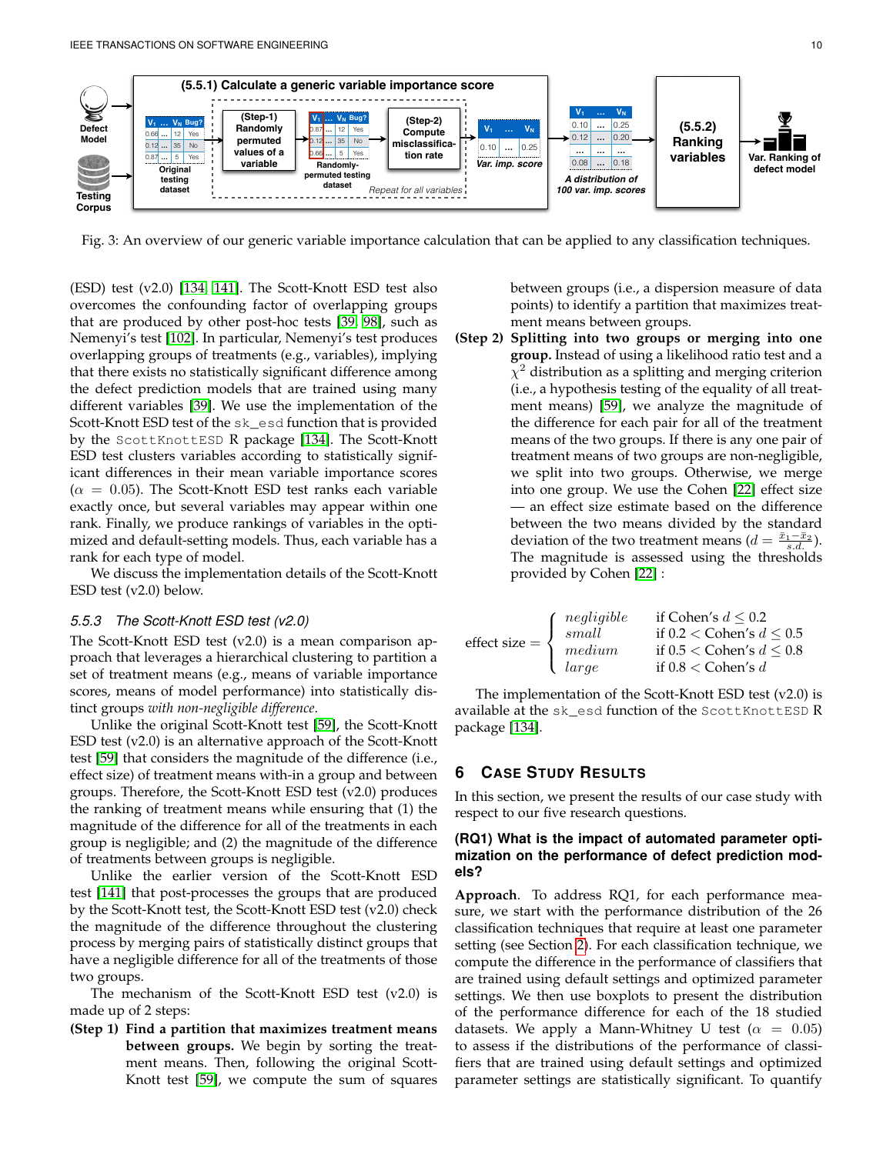<span id="page-10-2"></span>

Fig. 3: An overview of our generic variable importance calculation that can be applied to any classification techniques.

(ESD) test (v2.0) [\[134,](#page-31-2) [141\]](#page-31-14). The Scott-Knott ESD test also overcomes the confounding factor of overlapping groups that are produced by other post-hoc tests [\[39,](#page-28-4) [98\]](#page-29-2), such as Nemenyi's test [\[102\]](#page-30-15). In particular, Nemenyi's test produces overlapping groups of treatments (e.g., variables), implying that there exists no statistically significant difference among the defect prediction models that are trained using many different variables [\[39\]](#page-28-4). We use the implementation of the Scott-Knott ESD test of the sk\_esd function that is provided by the ScottKnottESD R package [\[134\]](#page-31-2). The Scott-Knott ESD test clusters variables according to statistically significant differences in their mean variable importance scores  $(\alpha = 0.05)$ . The Scott-Knott ESD test ranks each variable exactly once, but several variables may appear within one rank. Finally, we produce rankings of variables in the optimized and default-setting models. Thus, each variable has a rank for each type of model.

We discuss the implementation details of the Scott-Knott ESD test (v2.0) below.

#### <span id="page-10-0"></span>*5.5.3 The Scott-Knott ESD test (v2.0)*

The Scott-Knott ESD test (v2.0) is a mean comparison approach that leverages a hierarchical clustering to partition a set of treatment means (e.g., means of variable importance scores, means of model performance) into statistically distinct groups *with non-negligible difference*.

Unlike the original Scott-Knott test [\[59\]](#page-28-23), the Scott-Knott ESD test (v2.0) is an alternative approach of the Scott-Knott test [\[59\]](#page-28-23) that considers the magnitude of the difference (i.e., effect size) of treatment means with-in a group and between groups. Therefore, the Scott-Knott ESD test (v2.0) produces the ranking of treatment means while ensuring that (1) the magnitude of the difference for all of the treatments in each group is negligible; and (2) the magnitude of the difference of treatments between groups is negligible.

Unlike the earlier version of the Scott-Knott ESD test [\[141\]](#page-31-14) that post-processes the groups that are produced by the Scott-Knott test, the Scott-Knott ESD test (v2.0) check the magnitude of the difference throughout the clustering process by merging pairs of statistically distinct groups that have a negligible difference for all of the treatments of those two groups.

The mechanism of the Scott-Knott ESD test (v2.0) is made up of 2 steps:

**(Step 1) Find a partition that maximizes treatment means between groups.** We begin by sorting the treatment means. Then, following the original Scott-Knott test [\[59\]](#page-28-23), we compute the sum of squares between groups (i.e., a dispersion measure of data points) to identify a partition that maximizes treatment means between groups.

**(Step 2) Splitting into two groups or merging into one group.** Instead of using a likelihood ratio test and a  $\chi^2$  distribution as a splitting and merging criterion (i.e., a hypothesis testing of the equality of all treatment means) [\[59\]](#page-28-23), we analyze the magnitude of the difference for each pair for all of the treatment means of the two groups. If there is any one pair of treatment means of two groups are non-negligible, we split into two groups. Otherwise, we merge into one group. We use the Cohen [\[22\]](#page-27-21) effect size — an effect size estimate based on the difference between the two means divided by the standard deviation of the two treatment means  $(d = \frac{\bar{x}_1 - \bar{x}_2}{s.d.})$ . The magnitude is assessed using the thresholds provided by Cohen [\[22\]](#page-27-21) :

|                                                                                                |                                   | if Cohen's $d \leq 0.2$         |
|------------------------------------------------------------------------------------------------|-----------------------------------|---------------------------------|
|                                                                                                | $\int$ $\frac{negligible}{small}$ | if $0.2 <$ Cohen's $d \le 0.5$  |
| effect size $=\begin{cases} \frac{1}{2} & \text{if } n \neq 0 \\ \text{if } m = 1 \end{cases}$ |                                   | if $0.5 <$ Cohen's $d \leq 0.8$ |
|                                                                                                | $\int  arge $                     | if $0.8 <$ Cohen's d            |

The implementation of the Scott-Knott ESD test (v2.0) is available at the sk\_esd function of the ScottKnottESD R package [\[134\]](#page-31-2).

#### <span id="page-10-1"></span>**6 CASE STUDY RESULTS**

In this section, we present the results of our case study with respect to our five research questions.

#### **(RQ1) What is the impact of automated parameter optimization on the performance of defect prediction models?**

**Approach**. To address RQ1, for each performance measure, we start with the performance distribution of the 26 classification techniques that require at least one parameter setting (see Section [2\)](#page-3-2). For each classification technique, we compute the difference in the performance of classifiers that are trained using default settings and optimized parameter settings. We then use boxplots to present the distribution of the performance difference for each of the 18 studied datasets. We apply a Mann-Whitney U test ( $\alpha = 0.05$ ) to assess if the distributions of the performance of classifiers that are trained using default settings and optimized parameter settings are statistically significant. To quantify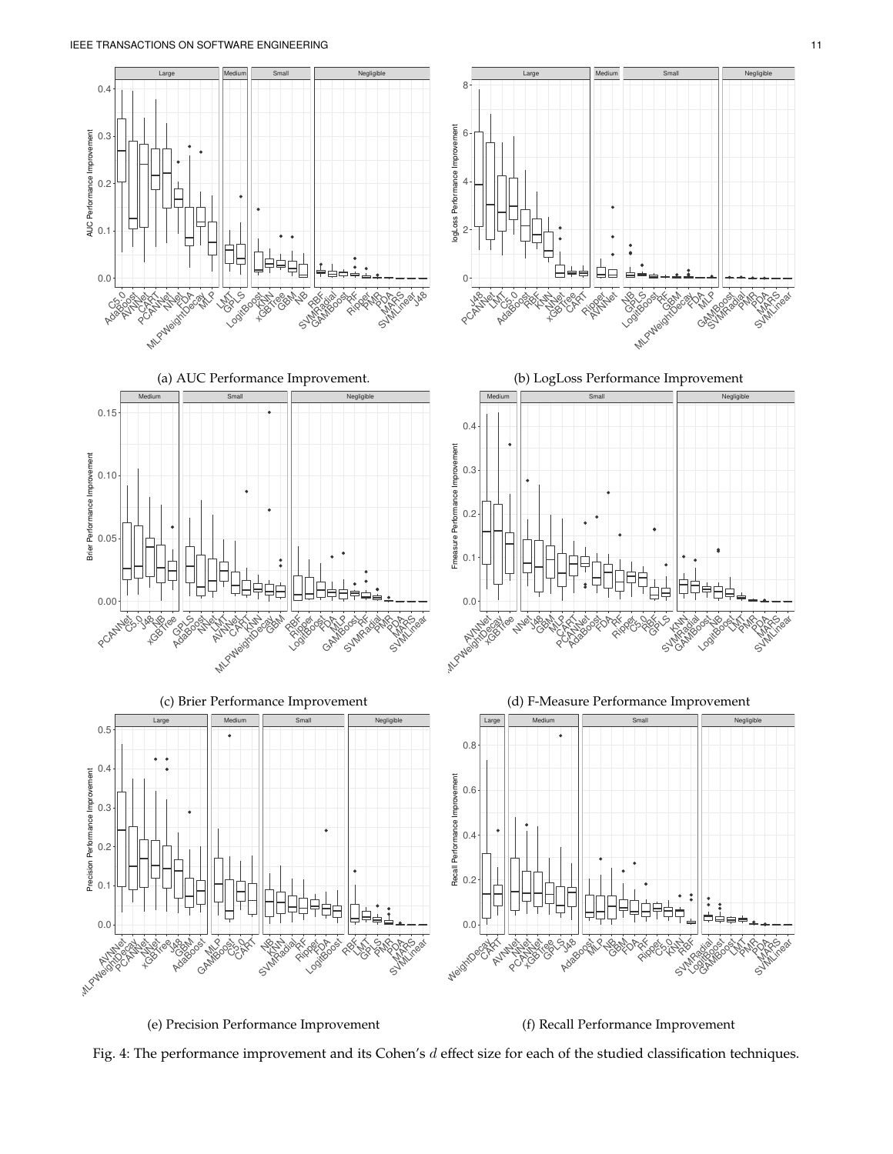<span id="page-11-0"></span>

(e) Precision Performance Improvement

(f) Recall Performance Improvement

Fig. 4: The performance improvement and its Cohen's d effect size for each of the studied classification techniques.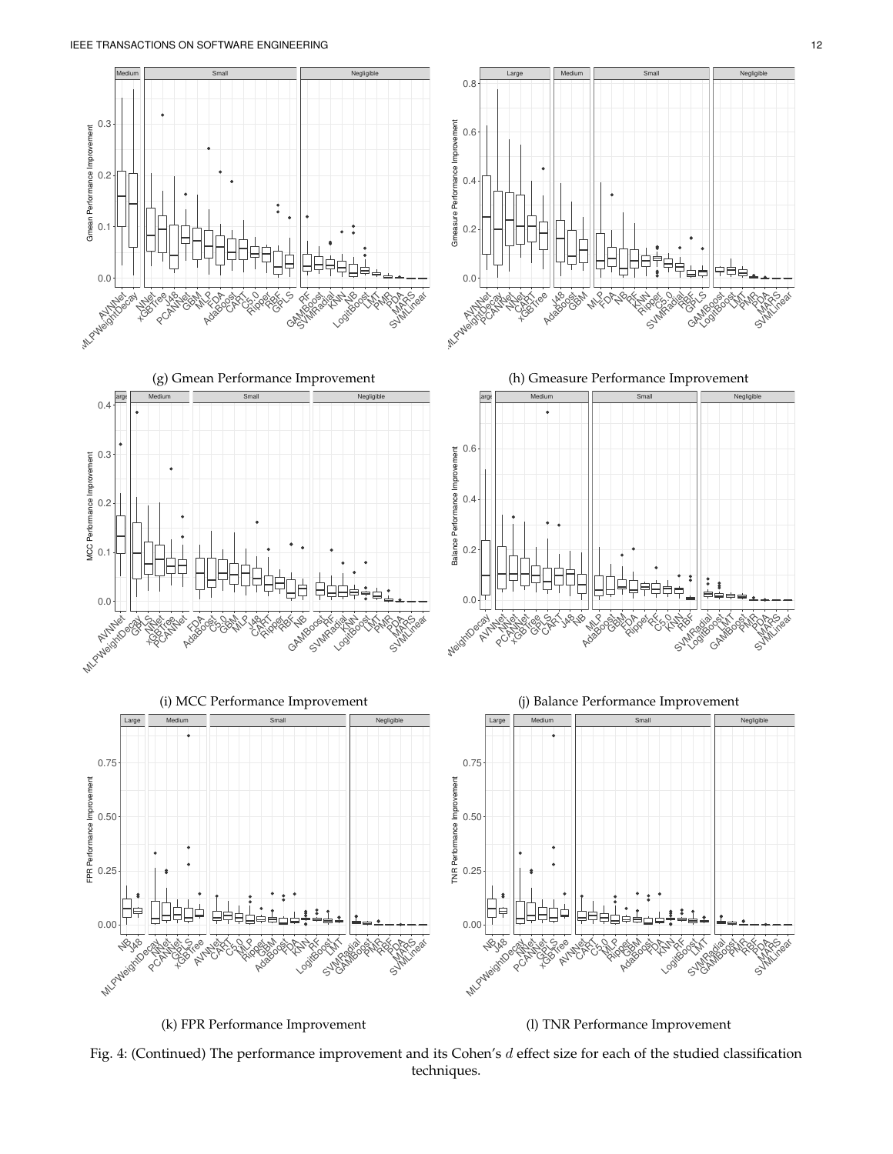<span id="page-12-0"></span>

Fig. 4: (Continued) The performance improvement and its Cohen's d effect size for each of the studied classification techniques.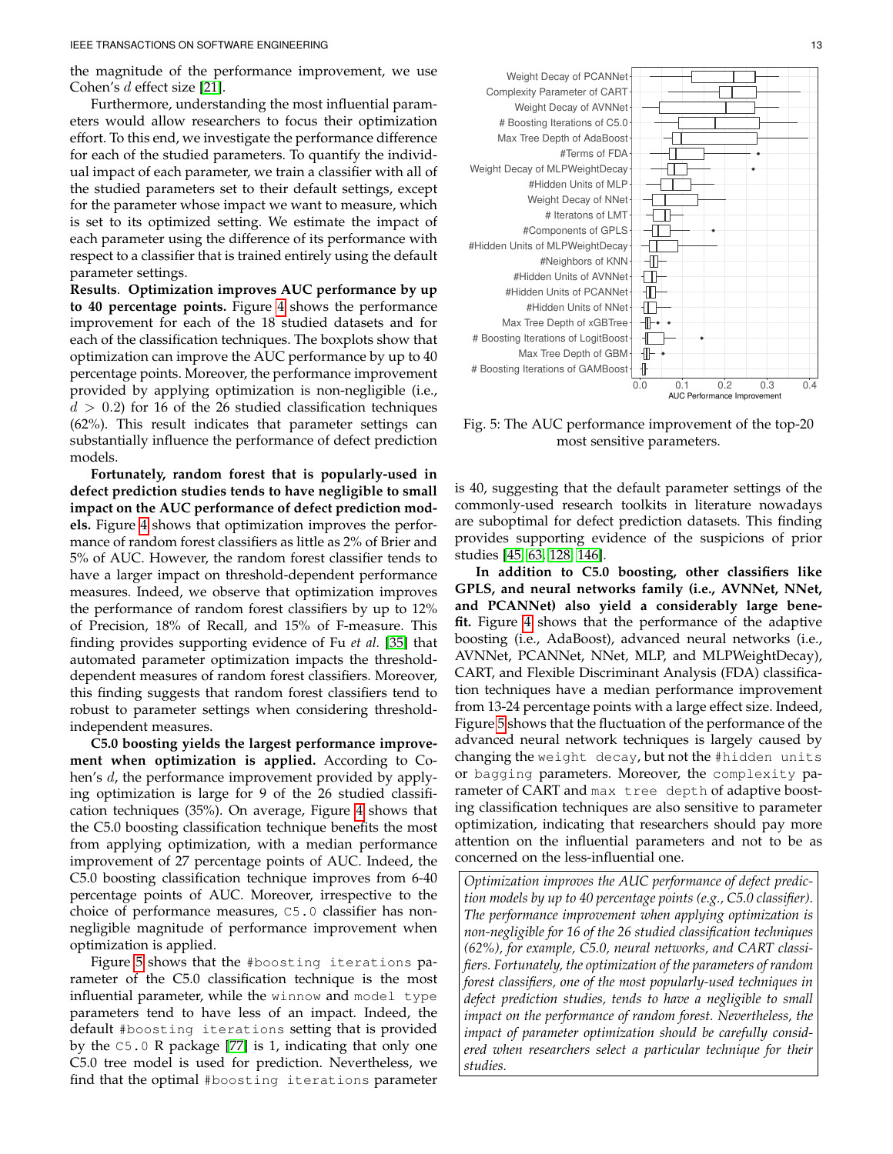the magnitude of the performance improvement, we use Cohen's d effect size [\[21\]](#page-27-22).

Furthermore, understanding the most influential parameters would allow researchers to focus their optimization effort. To this end, we investigate the performance difference for each of the studied parameters. To quantify the individual impact of each parameter, we train a classifier with all of the studied parameters set to their default settings, except for the parameter whose impact we want to measure, which is set to its optimized setting. We estimate the impact of each parameter using the difference of its performance with respect to a classifier that is trained entirely using the default parameter settings.

**Results**. **Optimization improves AUC performance by up to 40 percentage points.** Figure [4](#page-12-0) shows the performance improvement for each of the 18 studied datasets and for each of the classification techniques. The boxplots show that optimization can improve the AUC performance by up to 40 percentage points. Moreover, the performance improvement provided by applying optimization is non-negligible (i.e.,  $d > 0.2$ ) for 16 of the 26 studied classification techniques (62%). This result indicates that parameter settings can substantially influence the performance of defect prediction models.

**Fortunately, random forest that is popularly-used in defect prediction studies tends to have negligible to small impact on the AUC performance of defect prediction models.** Figure [4](#page-12-0) shows that optimization improves the performance of random forest classifiers as little as 2% of Brier and 5% of AUC. However, the random forest classifier tends to have a larger impact on threshold-dependent performance measures. Indeed, we observe that optimization improves the performance of random forest classifiers by up to 12% of Precision, 18% of Recall, and 15% of F-measure. This finding provides supporting evidence of Fu *et al.* [\[35\]](#page-27-0) that automated parameter optimization impacts the thresholddependent measures of random forest classifiers. Moreover, this finding suggests that random forest classifiers tend to robust to parameter settings when considering thresholdindependent measures.

**C5.0 boosting yields the largest performance improvement when optimization is applied.** According to Cohen's  $d$ , the performance improvement provided by applying optimization is large for 9 of the 26 studied classification techniques (35%). On average, Figure [4](#page-12-0) shows that the C5.0 boosting classification technique benefits the most from applying optimization, with a median performance improvement of 27 percentage points of AUC. Indeed, the C5.0 boosting classification technique improves from 6-40 percentage points of AUC. Moreover, irrespective to the choice of performance measures, C5.0 classifier has nonnegligible magnitude of performance improvement when optimization is applied.

Figure [5](#page-13-0) shows that the #boosting iterations parameter of the C5.0 classification technique is the most influential parameter, while the winnow and model type parameters tend to have less of an impact. Indeed, the default #boosting iterations setting that is provided by the C5.0 R package [\[77\]](#page-29-25) is 1, indicating that only one C5.0 tree model is used for prediction. Nevertheless, we find that the optimal #boosting iterations parameter

<span id="page-13-0"></span>

Fig. 5: The AUC performance improvement of the top-20 most sensitive parameters.

is 40, suggesting that the default parameter settings of the commonly-used research toolkits in literature nowadays are suboptimal for defect prediction datasets. This finding provides supporting evidence of the suspicions of prior studies [\[45,](#page-28-2) [63,](#page-28-0) [128,](#page-30-5) [146\]](#page-31-0).

**In addition to C5.0 boosting, other classifiers like GPLS, and neural networks family (i.e., AVNNet, NNet, and PCANNet) also yield a considerably large benefit.** Figure [4](#page-12-0) shows that the performance of the adaptive boosting (i.e., AdaBoost), advanced neural networks (i.e., AVNNet, PCANNet, NNet, MLP, and MLPWeightDecay), CART, and Flexible Discriminant Analysis (FDA) classification techniques have a median performance improvement from 13-24 percentage points with a large effect size. Indeed, Figure [5](#page-13-0) shows that the fluctuation of the performance of the advanced neural network techniques is largely caused by changing the weight decay, but not the #hidden units or bagging parameters. Moreover, the complexity parameter of CART and max tree depth of adaptive boosting classification techniques are also sensitive to parameter optimization, indicating that researchers should pay more attention on the influential parameters and not to be as concerned on the less-influential one.

*Optimization improves the AUC performance of defect prediction models by up to 40 percentage points (e.g., C5.0 classifier). The performance improvement when applying optimization is non-negligible for 16 of the 26 studied classification techniques (62%), for example, C5.0, neural networks, and CART classifiers. Fortunately, the optimization of the parameters of random forest classifiers, one of the most popularly-used techniques in defect prediction studies, tends to have a negligible to small impact on the performance of random forest. Nevertheless, the impact of parameter optimization should be carefully considered when researchers select a particular technique for their studies.*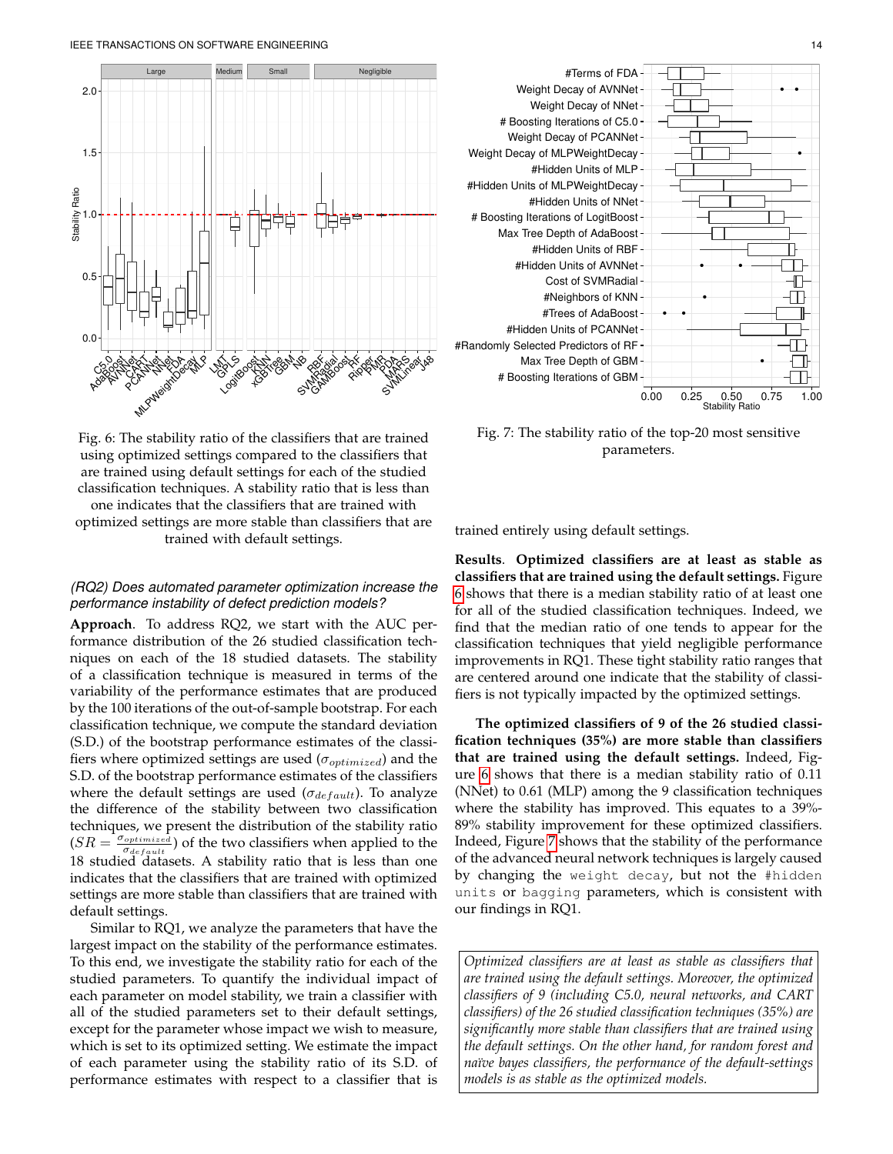<span id="page-14-0"></span>

Fig. 6: The stability ratio of the classifiers that are trained using optimized settings compared to the classifiers that are trained using default settings for each of the studied classification techniques. A stability ratio that is less than one indicates that the classifiers that are trained with

optimized settings are more stable than classifiers that are trained with default settings.

#### *(RQ2) Does automated parameter optimization increase the performance instability of defect prediction models?*

**Approach**. To address RQ2, we start with the AUC performance distribution of the 26 studied classification techniques on each of the 18 studied datasets. The stability of a classification technique is measured in terms of the variability of the performance estimates that are produced by the 100 iterations of the out-of-sample bootstrap. For each classification technique, we compute the standard deviation (S.D.) of the bootstrap performance estimates of the classifiers where optimized settings are used ( $\sigma_{optimized}$ ) and the S.D. of the bootstrap performance estimates of the classifiers where the default settings are used ( $\sigma_{default}$ ). To analyze the difference of the stability between two classification techniques, we present the distribution of the stability ratio  $SR = \frac{\sigma_{optimized}}{\sigma_{dof}}$  $\frac{\textit{optimized}}{\sigma_{default}}$ ) of the two classifiers when applied to the 18 studied datasets. A stability ratio that is less than one indicates that the classifiers that are trained with optimized settings are more stable than classifiers that are trained with default settings.

Similar to RQ1, we analyze the parameters that have the largest impact on the stability of the performance estimates. To this end, we investigate the stability ratio for each of the studied parameters. To quantify the individual impact of each parameter on model stability, we train a classifier with all of the studied parameters set to their default settings, except for the parameter whose impact we wish to measure, which is set to its optimized setting. We estimate the impact of each parameter using the stability ratio of its S.D. of performance estimates with respect to a classifier that is

<span id="page-14-1"></span>

Fig. 7: The stability ratio of the top-20 most sensitive parameters.

trained entirely using default settings.

**Results**. **Optimized classifiers are at least as stable as classifiers that are trained using the default settings.** Figure [6](#page-14-0) shows that there is a median stability ratio of at least one for all of the studied classification techniques. Indeed, we find that the median ratio of one tends to appear for the classification techniques that yield negligible performance improvements in RQ1. These tight stability ratio ranges that are centered around one indicate that the stability of classifiers is not typically impacted by the optimized settings.

**The optimized classifiers of 9 of the 26 studied classification techniques (35%) are more stable than classifiers that are trained using the default settings.** Indeed, Figure [6](#page-14-0) shows that there is a median stability ratio of 0.11 (NNet) to 0.61 (MLP) among the 9 classification techniques where the stability has improved. This equates to a 39%- 89% stability improvement for these optimized classifiers. Indeed, Figure [7](#page-14-1) shows that the stability of the performance of the advanced neural network techniques is largely caused by changing the weight decay, but not the #hidden units or bagging parameters, which is consistent with our findings in RQ1.

*Optimized classifiers are at least as stable as classifiers that are trained using the default settings. Moreover, the optimized classifiers of 9 (including C5.0, neural networks, and CART classifiers) of the 26 studied classification techniques (35%) are significantly more stable than classifiers that are trained using the default settings. On the other hand, for random forest and na¨ıve bayes classifiers, the performance of the default-settings models is as stable as the optimized models.*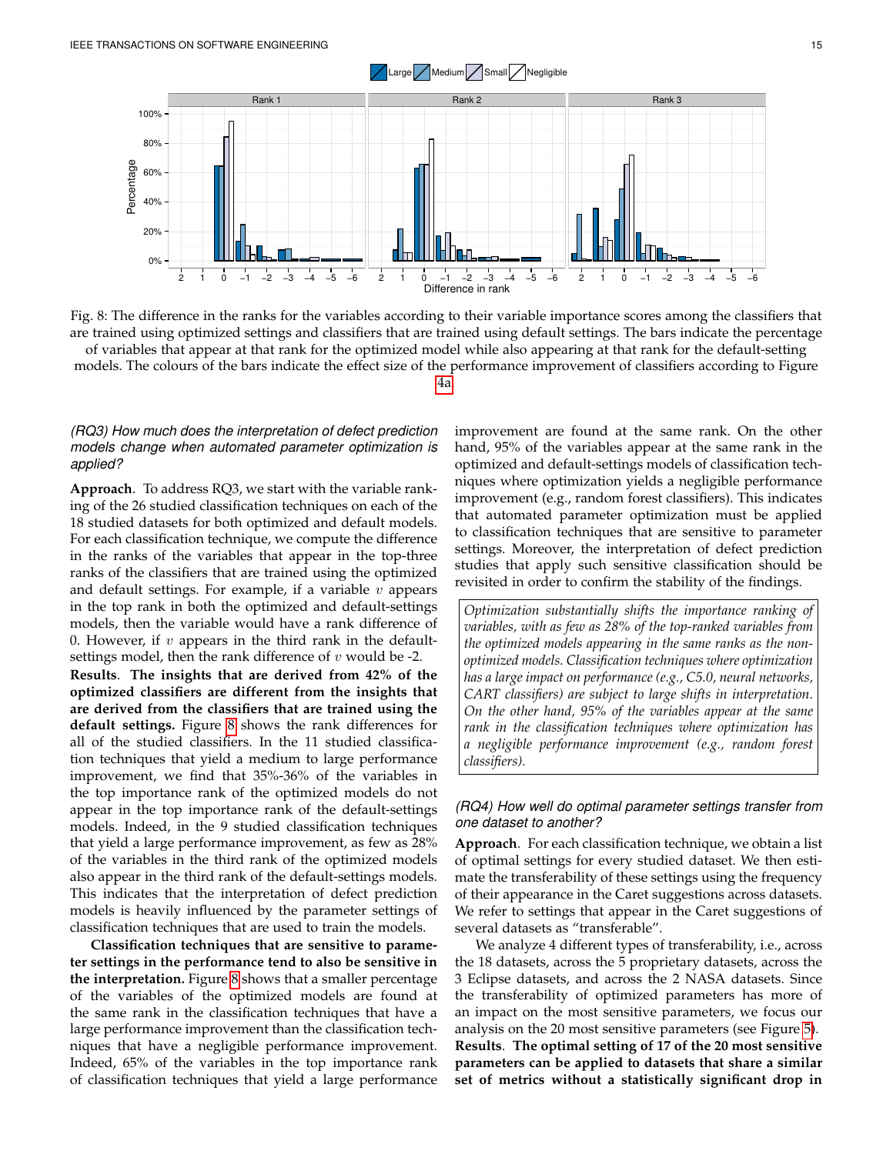<span id="page-15-0"></span>



models. The colours of the bars indicate the effect size of the performance improvement of classifiers according to Figure [4a.](#page-11-0)

#### *(RQ3) How much does the interpretation of defect prediction models change when automated parameter optimization is applied?*

**Approach**. To address RQ3, we start with the variable ranking of the 26 studied classification techniques on each of the 18 studied datasets for both optimized and default models. For each classification technique, we compute the difference in the ranks of the variables that appear in the top-three ranks of the classifiers that are trained using the optimized and default settings. For example, if a variable  $v$  appears in the top rank in both the optimized and default-settings models, then the variable would have a rank difference of 0. However, if  $v$  appears in the third rank in the defaultsettings model, then the rank difference of  $v$  would be -2.

**Results**. **The insights that are derived from 42% of the optimized classifiers are different from the insights that are derived from the classifiers that are trained using the default settings.** Figure [8](#page-15-0) shows the rank differences for all of the studied classifiers. In the 11 studied classification techniques that yield a medium to large performance improvement, we find that 35%-36% of the variables in the top importance rank of the optimized models do not appear in the top importance rank of the default-settings models. Indeed, in the 9 studied classification techniques that yield a large performance improvement, as few as 28% of the variables in the third rank of the optimized models also appear in the third rank of the default-settings models. This indicates that the interpretation of defect prediction models is heavily influenced by the parameter settings of classification techniques that are used to train the models.

**Classification techniques that are sensitive to parameter settings in the performance tend to also be sensitive in the interpretation.** Figure [8](#page-15-0) shows that a smaller percentage of the variables of the optimized models are found at the same rank in the classification techniques that have a large performance improvement than the classification techniques that have a negligible performance improvement. Indeed, 65% of the variables in the top importance rank of classification techniques that yield a large performance improvement are found at the same rank. On the other hand, 95% of the variables appear at the same rank in the optimized and default-settings models of classification techniques where optimization yields a negligible performance improvement (e.g., random forest classifiers). This indicates that automated parameter optimization must be applied to classification techniques that are sensitive to parameter settings. Moreover, the interpretation of defect prediction studies that apply such sensitive classification should be revisited in order to confirm the stability of the findings.

*Optimization substantially shifts the importance ranking of variables, with as few as 28% of the top-ranked variables from the optimized models appearing in the same ranks as the nonoptimized models. Classification techniques where optimization has a large impact on performance (e.g., C5.0, neural networks, CART classifiers) are subject to large shifts in interpretation. On the other hand, 95% of the variables appear at the same rank in the classification techniques where optimization has a negligible performance improvement (e.g., random forest classifiers).*

#### *(RQ4) How well do optimal parameter settings transfer from one dataset to another?*

**Approach**. For each classification technique, we obtain a list of optimal settings for every studied dataset. We then estimate the transferability of these settings using the frequency of their appearance in the Caret suggestions across datasets. We refer to settings that appear in the Caret suggestions of several datasets as "transferable".

We analyze 4 different types of transferability, i.e., across the 18 datasets, across the 5 proprietary datasets, across the 3 Eclipse datasets, and across the 2 NASA datasets. Since the transferability of optimized parameters has more of an impact on the most sensitive parameters, we focus our analysis on the 20 most sensitive parameters (see Figure [5\)](#page-13-0). **Results**. **The optimal setting of 17 of the 20 most sensitive parameters can be applied to datasets that share a similar set of metrics without a statistically significant drop in**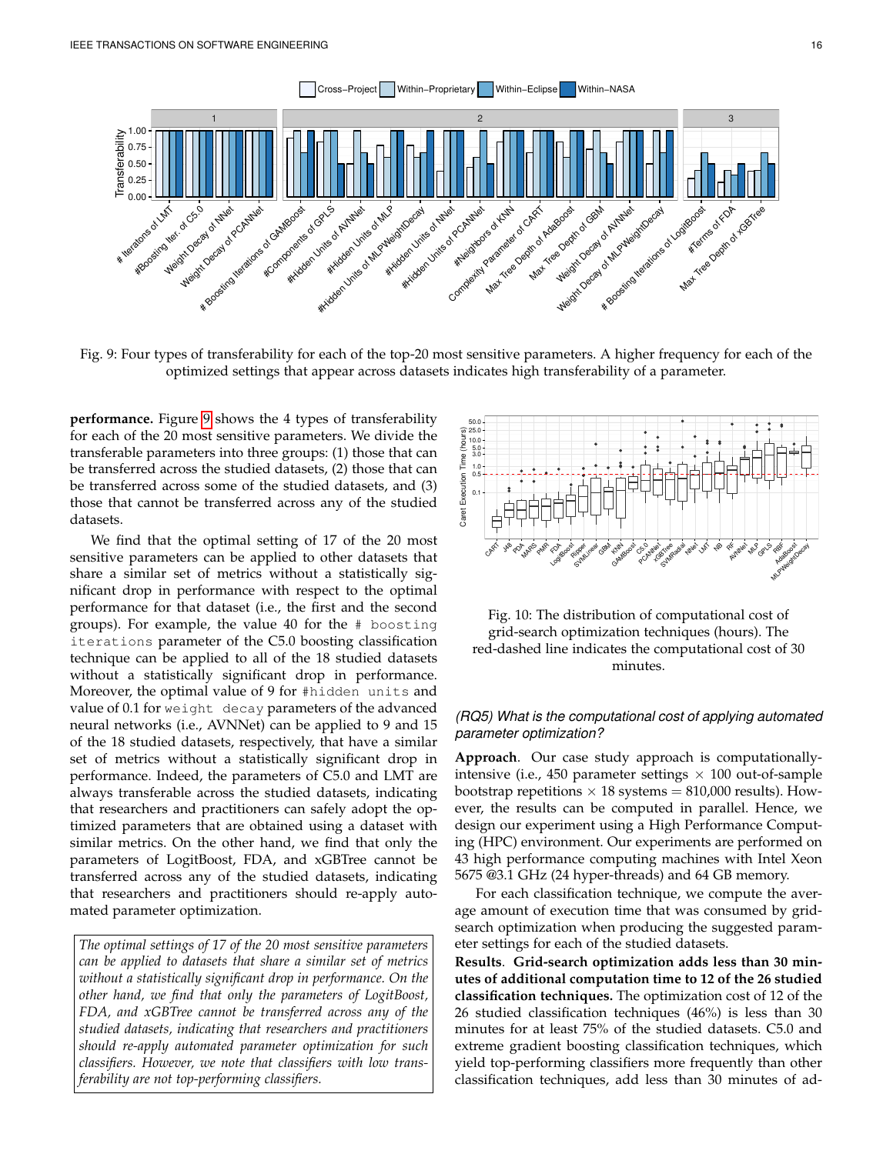<span id="page-16-0"></span>

Fig. 9: Four types of transferability for each of the top-20 most sensitive parameters. A higher frequency for each of the optimized settings that appear across datasets indicates high transferability of a parameter.

**performance.** Figure [9](#page-16-0) shows the 4 types of transferability for each of the 20 most sensitive parameters. We divide the transferable parameters into three groups: (1) those that can be transferred across the studied datasets, (2) those that can be transferred across some of the studied datasets, and (3) those that cannot be transferred across any of the studied datasets.

We find that the optimal setting of 17 of the 20 most sensitive parameters can be applied to other datasets that share a similar set of metrics without a statistically significant drop in performance with respect to the optimal performance for that dataset (i.e., the first and the second groups). For example, the value 40 for the # boosting iterations parameter of the C5.0 boosting classification technique can be applied to all of the 18 studied datasets without a statistically significant drop in performance. Moreover, the optimal value of 9 for #hidden units and value of 0.1 for weight decay parameters of the advanced neural networks (i.e., AVNNet) can be applied to 9 and 15 of the 18 studied datasets, respectively, that have a similar set of metrics without a statistically significant drop in performance. Indeed, the parameters of C5.0 and LMT are always transferable across the studied datasets, indicating that researchers and practitioners can safely adopt the optimized parameters that are obtained using a dataset with similar metrics. On the other hand, we find that only the parameters of LogitBoost, FDA, and xGBTree cannot be transferred across any of the studied datasets, indicating that researchers and practitioners should re-apply automated parameter optimization.

*The optimal settings of 17 of the 20 most sensitive parameters can be applied to datasets that share a similar set of metrics without a statistically significant drop in performance. On the other hand, we find that only the parameters of LogitBoost, FDA, and xGBTree cannot be transferred across any of the studied datasets, indicating that researchers and practitioners should re-apply automated parameter optimization for such classifiers. However, we note that classifiers with low transferability are not top-performing classifiers.*



Fig. 10: The distribution of computational cost of grid-search optimization techniques (hours). The red-dashed line indicates the computational cost of 30 minutes.

#### *(RQ5) What is the computational cost of applying automated parameter optimization?*

**Approach**. Our case study approach is computationallyintensive (i.e., 450 parameter settings  $\times$  100 out-of-sample bootstrap repetitions  $\times$  18 systems = 810,000 results). However, the results can be computed in parallel. Hence, we design our experiment using a High Performance Computing (HPC) environment. Our experiments are performed on 43 high performance computing machines with Intel Xeon 5675 @3.1 GHz (24 hyper-threads) and 64 GB memory.

For each classification technique, we compute the average amount of execution time that was consumed by gridsearch optimization when producing the suggested parameter settings for each of the studied datasets.

**Results**. **Grid-search optimization adds less than 30 minutes of additional computation time to 12 of the 26 studied classification techniques.** The optimization cost of 12 of the 26 studied classification techniques (46%) is less than 30 minutes for at least 75% of the studied datasets. C5.0 and extreme gradient boosting classification techniques, which yield top-performing classifiers more frequently than other classification techniques, add less than 30 minutes of ad-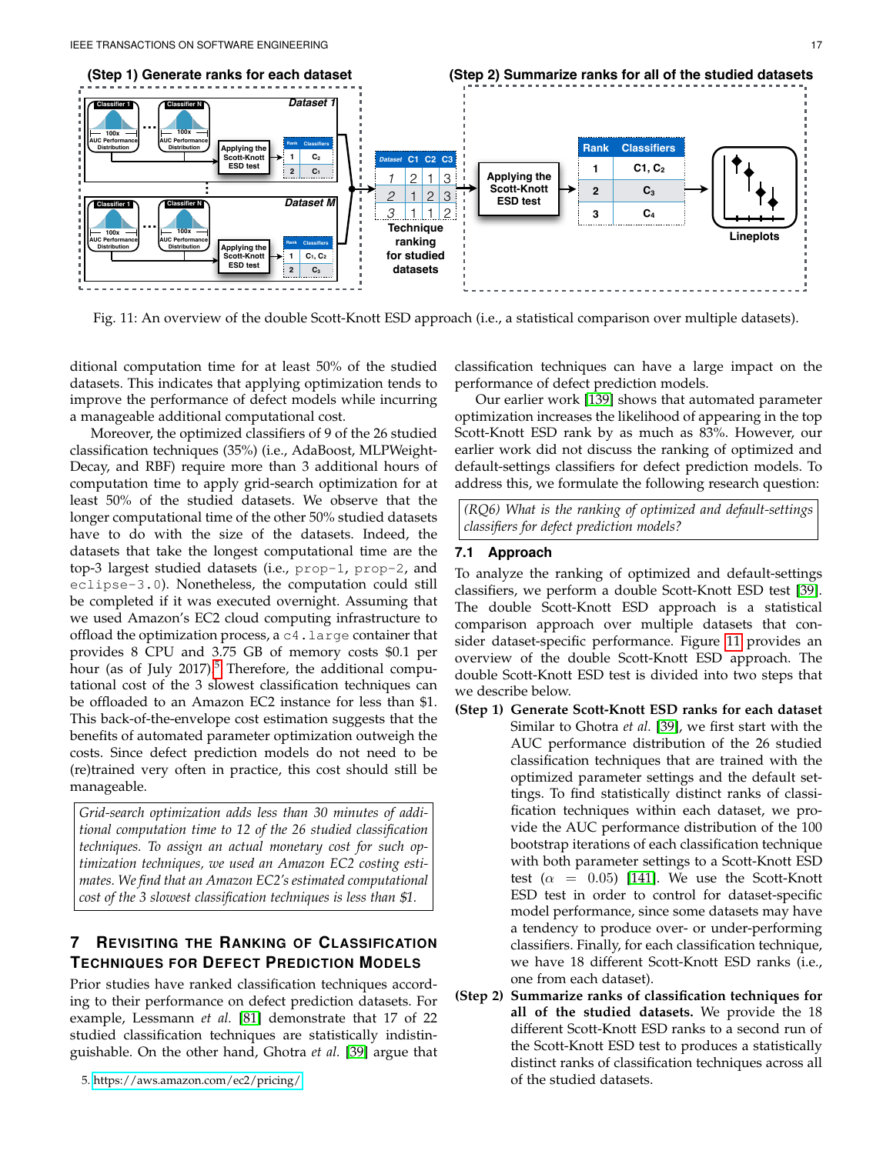<span id="page-17-2"></span>

Fig. 11: An overview of the double Scott-Knott ESD approach (i.e., a statistical comparison over multiple datasets).

ditional computation time for at least 50% of the studied datasets. This indicates that applying optimization tends to improve the performance of defect models while incurring a manageable additional computational cost.

Moreover, the optimized classifiers of 9 of the 26 studied classification techniques (35%) (i.e., AdaBoost, MLPWeight-Decay, and RBF) require more than 3 additional hours of computation time to apply grid-search optimization for at least 50% of the studied datasets. We observe that the longer computational time of the other 50% studied datasets have to do with the size of the datasets. Indeed, the datasets that take the longest computational time are the top-3 largest studied datasets (i.e., prop-1, prop-2, and eclipse-3.0). Nonetheless, the computation could still be completed if it was executed overnight. Assuming that we used Amazon's EC2 cloud computing infrastructure to offload the optimization process,  $a \nc4$ . large container that provides 8 CPU and 3.75 GB of memory costs \$0.1 per hour (as of July 2017). $5$  Therefore, the additional computational cost of the 3 slowest classification techniques can be offloaded to an Amazon EC2 instance for less than \$1. This back-of-the-envelope cost estimation suggests that the benefits of automated parameter optimization outweigh the costs. Since defect prediction models do not need to be (re)trained very often in practice, this cost should still be manageable.

*Grid-search optimization adds less than 30 minutes of additional computation time to 12 of the 26 studied classification techniques. To assign an actual monetary cost for such optimization techniques, we used an Amazon EC2 costing estimates. We find that an Amazon EC2's estimated computational cost of the 3 slowest classification techniques is less than* \$*1.*

# <span id="page-17-0"></span>**7 REVISITING THE RANKING OF CLASSIFICATION TECHNIQUES FOR DEFECT PREDICTION MODELS**

Prior studies have ranked classification techniques according to their performance on defect prediction datasets. For example, Lessmann *et al.* [\[81\]](#page-29-5) demonstrate that 17 of 22 studied classification techniques are statistically indistinguishable. On the other hand, Ghotra *et al.* [\[39\]](#page-28-4) argue that

<span id="page-17-1"></span>5.<https://aws.amazon.com/ec2/pricing/>

classification techniques can have a large impact on the performance of defect prediction models.

Our earlier work [\[139\]](#page-31-1) shows that automated parameter optimization increases the likelihood of appearing in the top Scott-Knott ESD rank by as much as 83%. However, our earlier work did not discuss the ranking of optimized and default-settings classifiers for defect prediction models. To address this, we formulate the following research question:

*(RQ6) What is the ranking of optimized and default-settings classifiers for defect prediction models?*

#### **7.1 Approach**

To analyze the ranking of optimized and default-settings classifiers, we perform a double Scott-Knott ESD test [\[39\]](#page-28-4). The double Scott-Knott ESD approach is a statistical comparison approach over multiple datasets that consider dataset-specific performance. Figure [11](#page-17-2) provides an overview of the double Scott-Knott ESD approach. The double Scott-Knott ESD test is divided into two steps that we describe below.

**(Step 1) Generate Scott-Knott ESD ranks for each dataset**

Similar to Ghotra *et al.* [\[39\]](#page-28-4), we first start with the AUC performance distribution of the 26 studied classification techniques that are trained with the optimized parameter settings and the default settings. To find statistically distinct ranks of classification techniques within each dataset, we provide the AUC performance distribution of the 100 bootstrap iterations of each classification technique with both parameter settings to a Scott-Knott ESD test ( $\alpha$  = 0.05) [\[141\]](#page-31-14). We use the Scott-Knott ESD test in order to control for dataset-specific model performance, since some datasets may have a tendency to produce over- or under-performing classifiers. Finally, for each classification technique, we have 18 different Scott-Knott ESD ranks (i.e., one from each dataset).

**(Step 2) Summarize ranks of classification techniques for all of the studied datasets.** We provide the 18 different Scott-Knott ESD ranks to a second run of the Scott-Knott ESD test to produces a statistically distinct ranks of classification techniques across all of the studied datasets.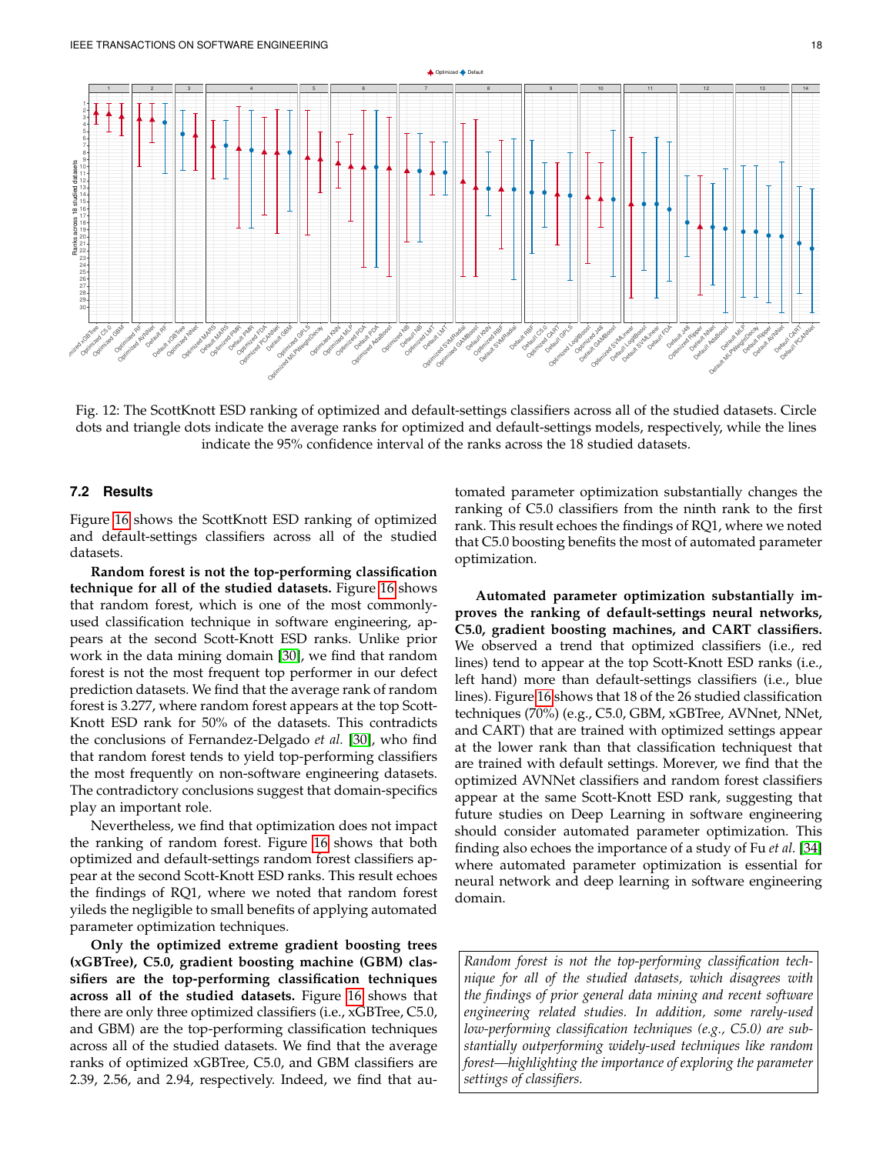

Fig. 12: The ScottKnott ESD ranking of optimized and default-settings classifiers across all of the studied datasets. Circle dots and triangle dots indicate the average ranks for optimized and default-settings models, respectively, while the lines indicate the 95% confidence interval of the ranks across the 18 studied datasets.

#### **7.2 Results**

Figure [16](#page-26-1) shows the ScottKnott ESD ranking of optimized and default-settings classifiers across all of the studied datasets.

**Random forest is not the top-performing classification technique for all of the studied datasets.** Figure [16](#page-26-1) shows that random forest, which is one of the most commonlyused classification technique in software engineering, appears at the second Scott-Knott ESD ranks. Unlike prior work in the data mining domain [\[30\]](#page-27-23), we find that random forest is not the most frequent top performer in our defect prediction datasets. We find that the average rank of random forest is 3.277, where random forest appears at the top Scott-Knott ESD rank for 50% of the datasets. This contradicts the conclusions of Fernandez-Delgado *et al.* [\[30\]](#page-27-23), who find that random forest tends to yield top-performing classifiers the most frequently on non-software engineering datasets. The contradictory conclusions suggest that domain-specifics play an important role.

Nevertheless, we find that optimization does not impact the ranking of random forest. Figure [16](#page-26-1) shows that both optimized and default-settings random forest classifiers appear at the second Scott-Knott ESD ranks. This result echoes the findings of RQ1, where we noted that random forest yileds the negligible to small benefits of applying automated parameter optimization techniques.

**Only the optimized extreme gradient boosting trees (xGBTree), C5.0, gradient boosting machine (GBM) classifiers are the top-performing classification techniques across all of the studied datasets.** Figure [16](#page-26-1) shows that there are only three optimized classifiers (i.e., xGBTree, C5.0, and GBM) are the top-performing classification techniques across all of the studied datasets. We find that the average ranks of optimized xGBTree, C5.0, and GBM classifiers are 2.39, 2.56, and 2.94, respectively. Indeed, we find that au-

tomated parameter optimization substantially changes the ranking of C5.0 classifiers from the ninth rank to the first rank. This result echoes the findings of RQ1, where we noted that C5.0 boosting benefits the most of automated parameter optimization.

**Automated parameter optimization substantially improves the ranking of default-settings neural networks, C5.0, gradient boosting machines, and CART classifiers.** We observed a trend that optimized classifiers (i.e., red lines) tend to appear at the top Scott-Knott ESD ranks (i.e., left hand) more than default-settings classifiers (i.e., blue lines). Figure [16](#page-26-1) shows that 18 of the 26 studied classification techniques (70%) (e.g., C5.0, GBM, xGBTree, AVNnet, NNet, and CART) that are trained with optimized settings appear at the lower rank than that classification techniquest that are trained with default settings. Morever, we find that the optimized AVNNet classifiers and random forest classifiers appear at the same Scott-Knott ESD rank, suggesting that future studies on Deep Learning in software engineering should consider automated parameter optimization. This finding also echoes the importance of a study of Fu *et al.* [\[34\]](#page-27-24) where automated parameter optimization is essential for neural network and deep learning in software engineering domain.

*Random forest is not the top-performing classification technique for all of the studied datasets, which disagrees with the findings of prior general data mining and recent software engineering related studies. In addition, some rarely-used low-performing classification techniques (e.g., C5.0) are substantially outperforming widely-used techniques like random forest—highlighting the importance of exploring the parameter settings of classifiers.*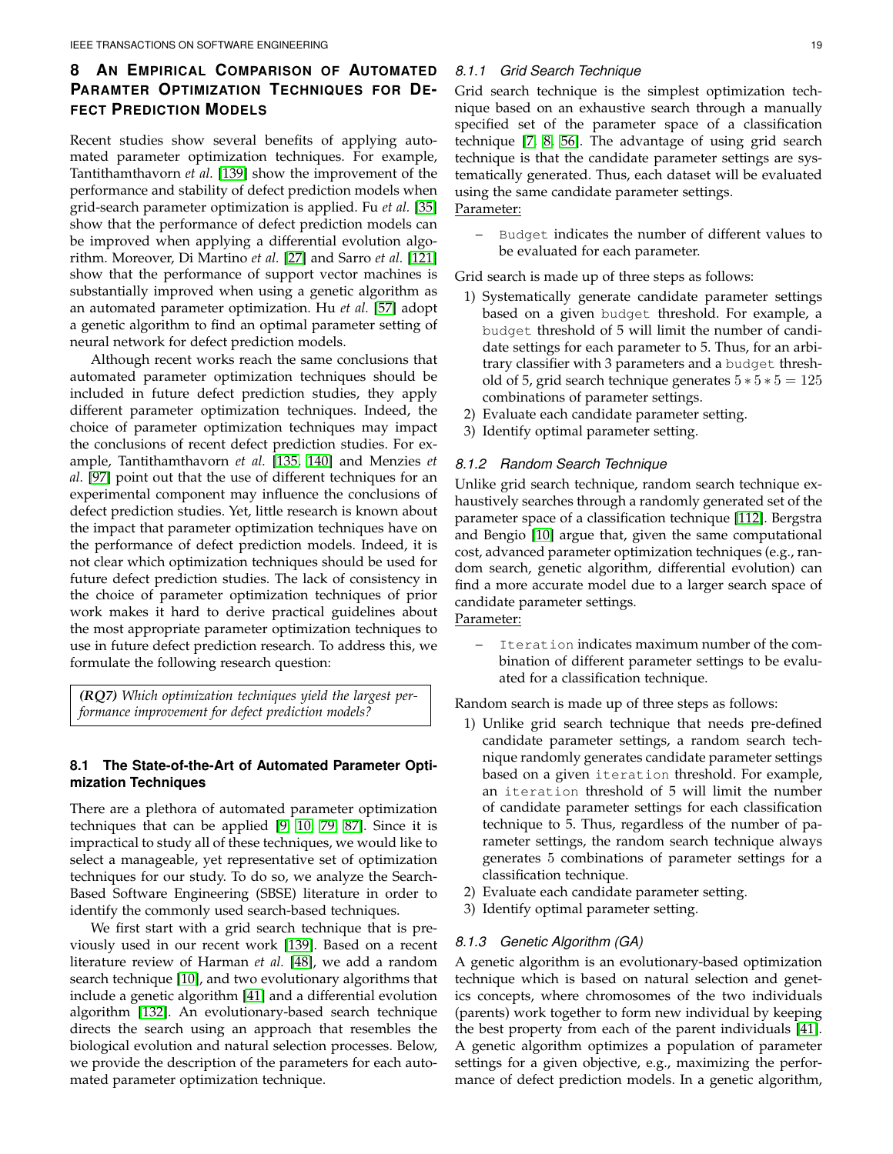# <span id="page-19-1"></span>**8 AN EMPIRICAL COMPARISON OF AUTOMATED PARAMTER OPTIMIZATION TECHNIQUES FOR DE-FECT PREDICTION MODELS**

Recent studies show several benefits of applying automated parameter optimization techniques. For example, Tantithamthavorn *et al.* [\[139\]](#page-31-1) show the improvement of the performance and stability of defect prediction models when grid-search parameter optimization is applied. Fu *et al.* [\[35\]](#page-27-0) show that the performance of defect prediction models can be improved when applying a differential evolution algorithm. Moreover, Di Martino *et al.* [\[27\]](#page-27-25) and Sarro *et al.* [\[121\]](#page-30-16) show that the performance of support vector machines is substantially improved when using a genetic algorithm as an automated parameter optimization. Hu *et al.* [\[57\]](#page-28-24) adopt a genetic algorithm to find an optimal parameter setting of neural network for defect prediction models.

Although recent works reach the same conclusions that automated parameter optimization techniques should be included in future defect prediction studies, they apply different parameter optimization techniques. Indeed, the choice of parameter optimization techniques may impact the conclusions of recent defect prediction studies. For example, Tantithamthavorn *et al.* [\[135,](#page-31-5) [140\]](#page-31-11) and Menzies *et al.* [\[97\]](#page-29-3) point out that the use of different techniques for an experimental component may influence the conclusions of defect prediction studies. Yet, little research is known about the impact that parameter optimization techniques have on the performance of defect prediction models. Indeed, it is not clear which optimization techniques should be used for future defect prediction studies. The lack of consistency in the choice of parameter optimization techniques of prior work makes it hard to derive practical guidelines about the most appropriate parameter optimization techniques to use in future defect prediction research. To address this, we formulate the following research question:

*(RQ7) Which optimization techniques yield the largest performance improvement for defect prediction models?*

#### <span id="page-19-0"></span>**8.1 The State-of-the-Art of Automated Parameter Optimization Techniques**

There are a plethora of automated parameter optimization techniques that can be applied [\[9,](#page-27-26) [10,](#page-27-1) [79,](#page-29-26) [87\]](#page-29-27). Since it is impractical to study all of these techniques, we would like to select a manageable, yet representative set of optimization techniques for our study. To do so, we analyze the Search-Based Software Engineering (SBSE) literature in order to identify the commonly used search-based techniques.

We first start with a grid search technique that is previously used in our recent work [\[139\]](#page-31-1). Based on a recent literature review of Harman *et al.* [\[48\]](#page-28-25), we add a random search technique [\[10\]](#page-27-1), and two evolutionary algorithms that include a genetic algorithm [\[41\]](#page-28-26) and a differential evolution algorithm [\[132\]](#page-31-23). An evolutionary-based search technique directs the search using an approach that resembles the biological evolution and natural selection processes. Below, we provide the description of the parameters for each automated parameter optimization technique.

#### *8.1.1 Grid Search Technique*

Grid search technique is the simplest optimization technique based on an exhaustive search through a manually specified set of the parameter space of a classification technique [\[7,](#page-27-27) [8,](#page-27-28) [56\]](#page-28-27). The advantage of using grid search technique is that the candidate parameter settings are systematically generated. Thus, each dataset will be evaluated using the same candidate parameter settings. Parameter:

– Budget indicates the number of different values to be evaluated for each parameter.

Grid search is made up of three steps as follows:

- 1) Systematically generate candidate parameter settings based on a given budget threshold. For example, a budget threshold of 5 will limit the number of candidate settings for each parameter to 5. Thus, for an arbitrary classifier with 3 parameters and a budget threshold of 5, grid search technique generates  $5 * 5 * 5 = 125$ combinations of parameter settings.
- 2) Evaluate each candidate parameter setting.
- 3) Identify optimal parameter setting.

#### *8.1.2 Random Search Technique*

Unlike grid search technique, random search technique exhaustively searches through a randomly generated set of the parameter space of a classification technique [\[112\]](#page-30-17). Bergstra and Bengio [\[10\]](#page-27-1) argue that, given the same computational cost, advanced parameter optimization techniques (e.g., random search, genetic algorithm, differential evolution) can find a more accurate model due to a larger search space of candidate parameter settings. Parameter:

– Iteration indicates maximum number of the combination of different parameter settings to be evaluated for a classification technique.

Random search is made up of three steps as follows:

- 1) Unlike grid search technique that needs pre-defined candidate parameter settings, a random search technique randomly generates candidate parameter settings based on a given iteration threshold. For example, an iteration threshold of 5 will limit the number of candidate parameter settings for each classification technique to 5. Thus, regardless of the number of parameter settings, the random search technique always generates 5 combinations of parameter settings for a classification technique.
- 2) Evaluate each candidate parameter setting.
- 3) Identify optimal parameter setting.

#### *8.1.3 Genetic Algorithm (GA)*

A genetic algorithm is an evolutionary-based optimization technique which is based on natural selection and genetics concepts, where chromosomes of the two individuals (parents) work together to form new individual by keeping the best property from each of the parent individuals [\[41\]](#page-28-26). A genetic algorithm optimizes a population of parameter settings for a given objective, e.g., maximizing the performance of defect prediction models. In a genetic algorithm,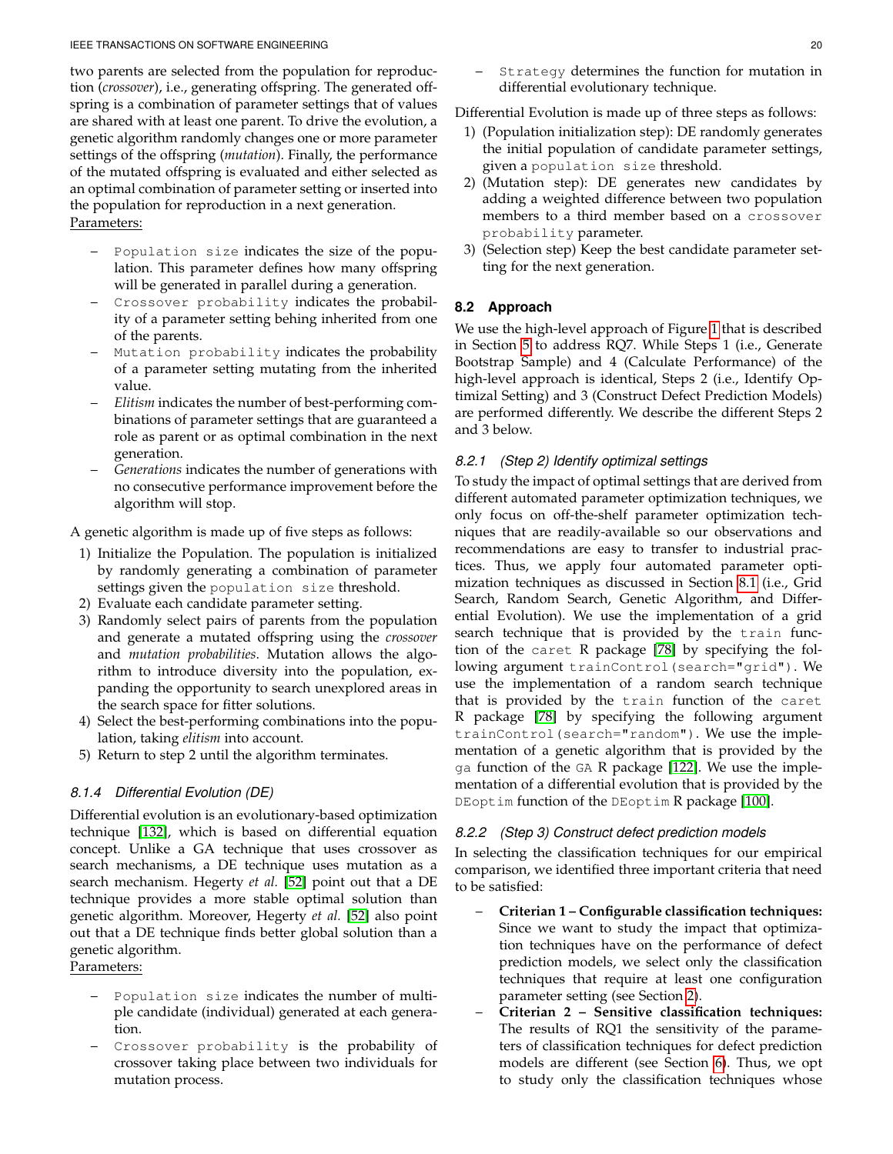two parents are selected from the population for reproduction (*crossover*), i.e., generating offspring. The generated offspring is a combination of parameter settings that of values are shared with at least one parent. To drive the evolution, a genetic algorithm randomly changes one or more parameter settings of the offspring (*mutation*). Finally, the performance of the mutated offspring is evaluated and either selected as an optimal combination of parameter setting or inserted into the population for reproduction in a next generation. Parameters:

- Population size indicates the size of the population. This parameter defines how many offspring will be generated in parallel during a generation.
- Crossover probability indicates the probability of a parameter setting behing inherited from one of the parents.
- Mutation probability indicates the probability of a parameter setting mutating from the inherited value.
- *Elitism* indicates the number of best-performing combinations of parameter settings that are guaranteed a role as parent or as optimal combination in the next generation.
- *Generations* indicates the number of generations with no consecutive performance improvement before the algorithm will stop.

A genetic algorithm is made up of five steps as follows:

- 1) Initialize the Population. The population is initialized by randomly generating a combination of parameter settings given the population size threshold.
- 2) Evaluate each candidate parameter setting.
- 3) Randomly select pairs of parents from the population and generate a mutated offspring using the *crossover* and *mutation probabilities*. Mutation allows the algorithm to introduce diversity into the population, expanding the opportunity to search unexplored areas in the search space for fitter solutions.
- 4) Select the best-performing combinations into the population, taking *elitism* into account.
- 5) Return to step 2 until the algorithm terminates.

#### *8.1.4 Differential Evolution (DE)*

Differential evolution is an evolutionary-based optimization technique [\[132\]](#page-31-23), which is based on differential equation concept. Unlike a GA technique that uses crossover as search mechanisms, a DE technique uses mutation as a search mechanism. Hegerty *et al.* [\[52\]](#page-28-28) point out that a DE technique provides a more stable optimal solution than genetic algorithm. Moreover, Hegerty *et al.* [\[52\]](#page-28-28) also point out that a DE technique finds better global solution than a genetic algorithm.

Parameters:

- Population size indicates the number of multiple candidate (individual) generated at each generation.
- Crossover probability is the probability of crossover taking place between two individuals for mutation process.

– Strategy determines the function for mutation in differential evolutionary technique.

Differential Evolution is made up of three steps as follows:

- 1) (Population initialization step): DE randomly generates the initial population of candidate parameter settings, given a population size threshold.
- 2) (Mutation step): DE generates new candidates by adding a weighted difference between two population members to a third member based on a crossover probability parameter.
- 3) (Selection step) Keep the best candidate parameter setting for the next generation.

#### **8.2 Approach**

We use the high-level approach of Figure [1](#page-7-0) that is described in Section [5](#page-6-0) to address RQ7. While Steps 1 (i.e., Generate Bootstrap Sample) and 4 (Calculate Performance) of the high-level approach is identical, Steps 2 (i.e., Identify Optimizal Setting) and 3 (Construct Defect Prediction Models) are performed differently. We describe the different Steps 2 and 3 below.

#### *8.2.1 (Step 2) Identify optimizal settings*

To study the impact of optimal settings that are derived from different automated parameter optimization techniques, we only focus on off-the-shelf parameter optimization techniques that are readily-available so our observations and recommendations are easy to transfer to industrial practices. Thus, we apply four automated parameter optimization techniques as discussed in Section [8.1](#page-19-0) (i.e., Grid Search, Random Search, Genetic Algorithm, and Differential Evolution). We use the implementation of a grid search technique that is provided by the train function of the caret R package [\[78\]](#page-29-21) by specifying the following argument trainControl(search="grid"). We use the implementation of a random search technique that is provided by the train function of the caret R package [\[78\]](#page-29-21) by specifying the following argument trainControl(search="random"). We use the implementation of a genetic algorithm that is provided by the ga function of the GA R package [\[122\]](#page-30-18). We use the implementation of a differential evolution that is provided by the DEoptim function of the DEoptim R package [\[100\]](#page-30-19).

#### *8.2.2 (Step 3) Construct defect prediction models*

In selecting the classification techniques for our empirical comparison, we identified three important criteria that need to be satisfied:

- **Criterian 1 Configurable classification techniques:** Since we want to study the impact that optimization techniques have on the performance of defect prediction models, we select only the classification techniques that require at least one configuration parameter setting (see Section [2\)](#page-3-2).
- **Criterian 2 Sensitive classification techniques:** The results of RQ1 the sensitivity of the parameters of classification techniques for defect prediction models are different (see Section [6\)](#page-10-1). Thus, we opt to study only the classification techniques whose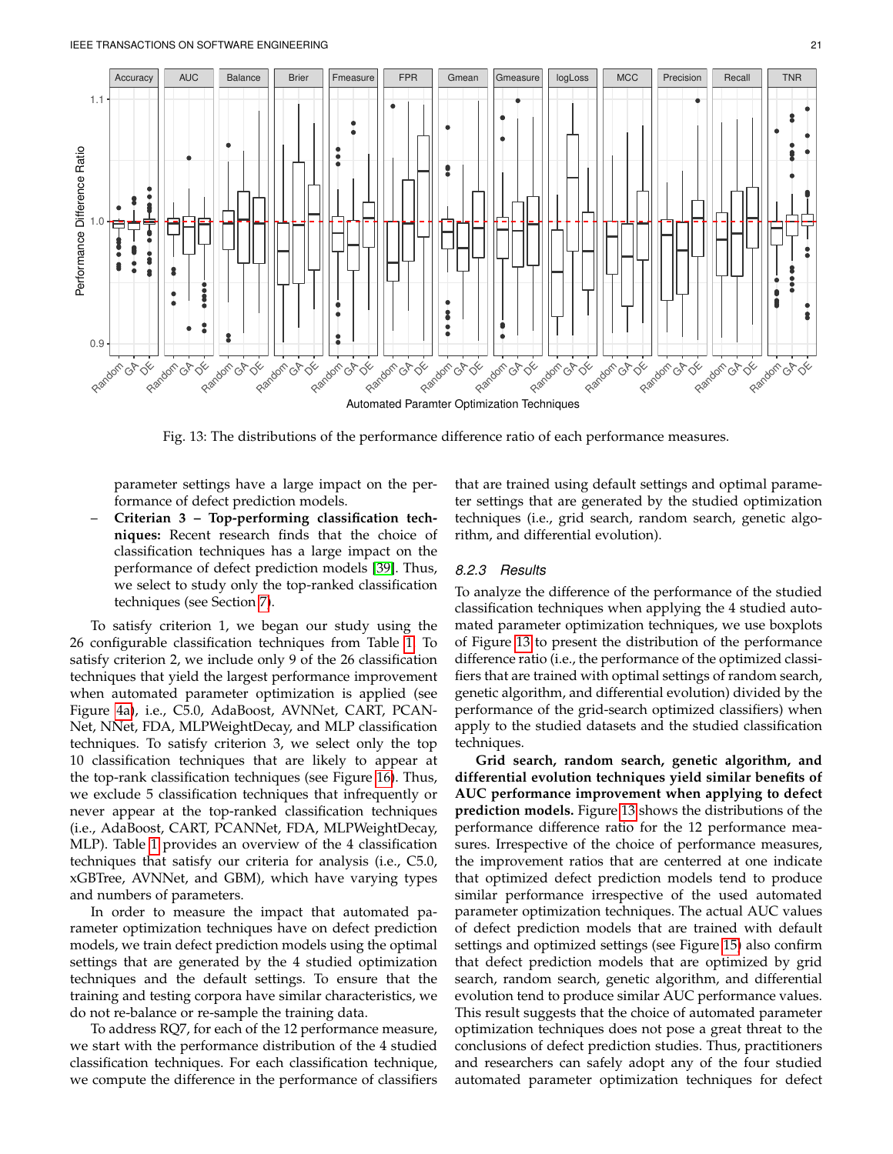<span id="page-21-1"></span>

Fig. 13: The distributions of the performance difference ratio of each performance measures.

parameter settings have a large impact on the performance of defect prediction models.

– **Criterian 3 – Top-performing classification techniques:** Recent research finds that the choice of classification techniques has a large impact on the performance of defect prediction models [\[39\]](#page-28-4). Thus, we select to study only the top-ranked classification techniques (see Section [7\)](#page-17-0).

To satisfy criterion 1, we began our study using the 26 configurable classification techniques from Table [1.](#page-5-0) To satisfy criterion 2, we include only 9 of the 26 classification techniques that yield the largest performance improvement when automated parameter optimization is applied (see Figure [4a\)](#page-11-0), i.e., C5.0, AdaBoost, AVNNet, CART, PCAN-Net, NNet, FDA, MLPWeightDecay, and MLP classification techniques. To satisfy criterion 3, we select only the top 10 classification techniques that are likely to appear at the top-rank classification techniques (see Figure [16\)](#page-26-1). Thus, we exclude 5 classification techniques that infrequently or never appear at the top-ranked classification techniques (i.e., AdaBoost, CART, PCANNet, FDA, MLPWeightDecay, MLP). Table [1](#page-5-0) provides an overview of the 4 classification techniques that satisfy our criteria for analysis (i.e., C5.0, xGBTree, AVNNet, and GBM), which have varying types and numbers of parameters.

In order to measure the impact that automated parameter optimization techniques have on defect prediction models, we train defect prediction models using the optimal settings that are generated by the 4 studied optimization techniques and the default settings. To ensure that the training and testing corpora have similar characteristics, we do not re-balance or re-sample the training data.

To address RQ7, for each of the 12 performance measure, we start with the performance distribution of the 4 studied classification techniques. For each classification technique, we compute the difference in the performance of classifiers that are trained using default settings and optimal parameter settings that are generated by the studied optimization techniques (i.e., grid search, random search, genetic algorithm, and differential evolution).

#### <span id="page-21-0"></span>*8.2.3 Results*

To analyze the difference of the performance of the studied classification techniques when applying the 4 studied automated parameter optimization techniques, we use boxplots of Figure [13](#page-21-1) to present the distribution of the performance difference ratio (i.e., the performance of the optimized classifiers that are trained with optimal settings of random search, genetic algorithm, and differential evolution) divided by the performance of the grid-search optimized classifiers) when apply to the studied datasets and the studied classification techniques.

**Grid search, random search, genetic algorithm, and differential evolution techniques yield similar benefits of AUC performance improvement when applying to defect prediction models.** Figure [13](#page-21-1) shows the distributions of the performance difference ratio for the 12 performance measures. Irrespective of the choice of performance measures, the improvement ratios that are centerred at one indicate that optimized defect prediction models tend to produce similar performance irrespective of the used automated parameter optimization techniques. The actual AUC values of defect prediction models that are trained with default settings and optimized settings (see Figure [15\)](#page-26-2) also confirm that defect prediction models that are optimized by grid search, random search, genetic algorithm, and differential evolution tend to produce similar AUC performance values. This result suggests that the choice of automated parameter optimization techniques does not pose a great threat to the conclusions of defect prediction studies. Thus, practitioners and researchers can safely adopt any of the four studied automated parameter optimization techniques for defect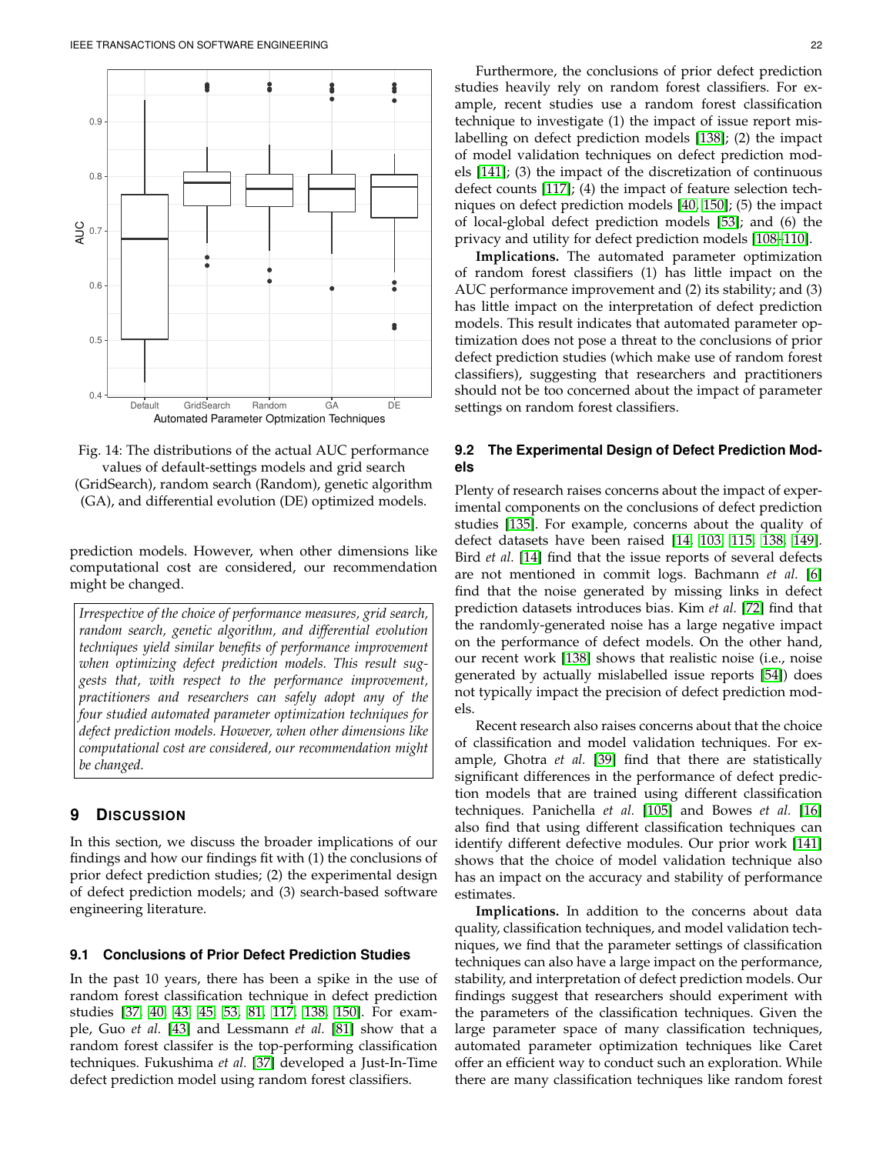



prediction models. However, when other dimensions like computational cost are considered, our recommendation might be changed.

*Irrespective of the choice of performance measures, grid search, random search, genetic algorithm, and differential evolution techniques yield similar benefits of performance improvement when optimizing defect prediction models. This result suggests that, with respect to the performance improvement, practitioners and researchers can safely adopt any of the four studied automated parameter optimization techniques for defect prediction models. However, when other dimensions like computational cost are considered, our recommendation might be changed.*

# <span id="page-22-0"></span>**9 DISCUSSION**

In this section, we discuss the broader implications of our findings and how our findings fit with (1) the conclusions of prior defect prediction studies; (2) the experimental design of defect prediction models; and (3) search-based software engineering literature.

#### **9.1 Conclusions of Prior Defect Prediction Studies**

In the past 10 years, there has been a spike in the use of random forest classification technique in defect prediction studies [\[37,](#page-27-29) [40,](#page-28-5) [43,](#page-28-29) [45,](#page-28-2) [53,](#page-28-30) [81,](#page-29-5) [117,](#page-30-20) [138,](#page-31-4) [150\]](#page-31-24). For example, Guo *et al.* [\[43\]](#page-28-29) and Lessmann *et al.* [\[81\]](#page-29-5) show that a random forest classifer is the top-performing classification techniques. Fukushima *et al.* [\[37\]](#page-27-29) developed a Just-In-Time defect prediction model using random forest classifiers.

Furthermore, the conclusions of prior defect prediction studies heavily rely on random forest classifiers. For example, recent studies use a random forest classification technique to investigate (1) the impact of issue report mislabelling on defect prediction models [\[138\]](#page-31-4); (2) the impact of model validation techniques on defect prediction models [\[141\]](#page-31-14); (3) the impact of the discretization of continuous defect counts [\[117\]](#page-30-20); (4) the impact of feature selection techniques on defect prediction models [\[40,](#page-28-5) [150\]](#page-31-24); (5) the impact of local-global defect prediction models [\[53\]](#page-28-30); and (6) the privacy and utility for defect prediction models [\[108–](#page-30-21)[110\]](#page-30-22).

**Implications.** The automated parameter optimization of random forest classifiers (1) has little impact on the AUC performance improvement and (2) its stability; and (3) has little impact on the interpretation of defect prediction models. This result indicates that automated parameter optimization does not pose a threat to the conclusions of prior defect prediction studies (which make use of random forest classifiers), suggesting that researchers and practitioners should not be too concerned about the impact of parameter settings on random forest classifiers.

#### **9.2 The Experimental Design of Defect Prediction Models**

Plenty of research raises concerns about the impact of experimental components on the conclusions of defect prediction studies [\[135\]](#page-31-5). For example, concerns about the quality of defect datasets have been raised [\[14,](#page-27-30) [103,](#page-30-23) [115,](#page-30-24) [138,](#page-31-4) [149\]](#page-31-12). Bird *et al.* [\[14\]](#page-27-30) find that the issue reports of several defects are not mentioned in commit logs. Bachmann *et al.* [\[6\]](#page-27-31) find that the noise generated by missing links in defect prediction datasets introduces bias. Kim *et al.* [\[72\]](#page-29-20) find that the randomly-generated noise has a large negative impact on the performance of defect models. On the other hand, our recent work [\[138\]](#page-31-4) shows that realistic noise (i.e., noise generated by actually mislabelled issue reports [\[54\]](#page-28-31)) does not typically impact the precision of defect prediction models.

Recent research also raises concerns about that the choice of classification and model validation techniques. For example, Ghotra *et al.* [\[39\]](#page-28-4) find that there are statistically significant differences in the performance of defect prediction models that are trained using different classification techniques. Panichella *et al.* [\[105\]](#page-30-25) and Bowes *et al.* [\[16\]](#page-27-32) also find that using different classification techniques can identify different defective modules. Our prior work [\[141\]](#page-31-14) shows that the choice of model validation technique also has an impact on the accuracy and stability of performance estimates.

**Implications.** In addition to the concerns about data quality, classification techniques, and model validation techniques, we find that the parameter settings of classification techniques can also have a large impact on the performance, stability, and interpretation of defect prediction models. Our findings suggest that researchers should experiment with the parameters of the classification techniques. Given the large parameter space of many classification techniques, automated parameter optimization techniques like Caret offer an efficient way to conduct such an exploration. While there are many classification techniques like random forest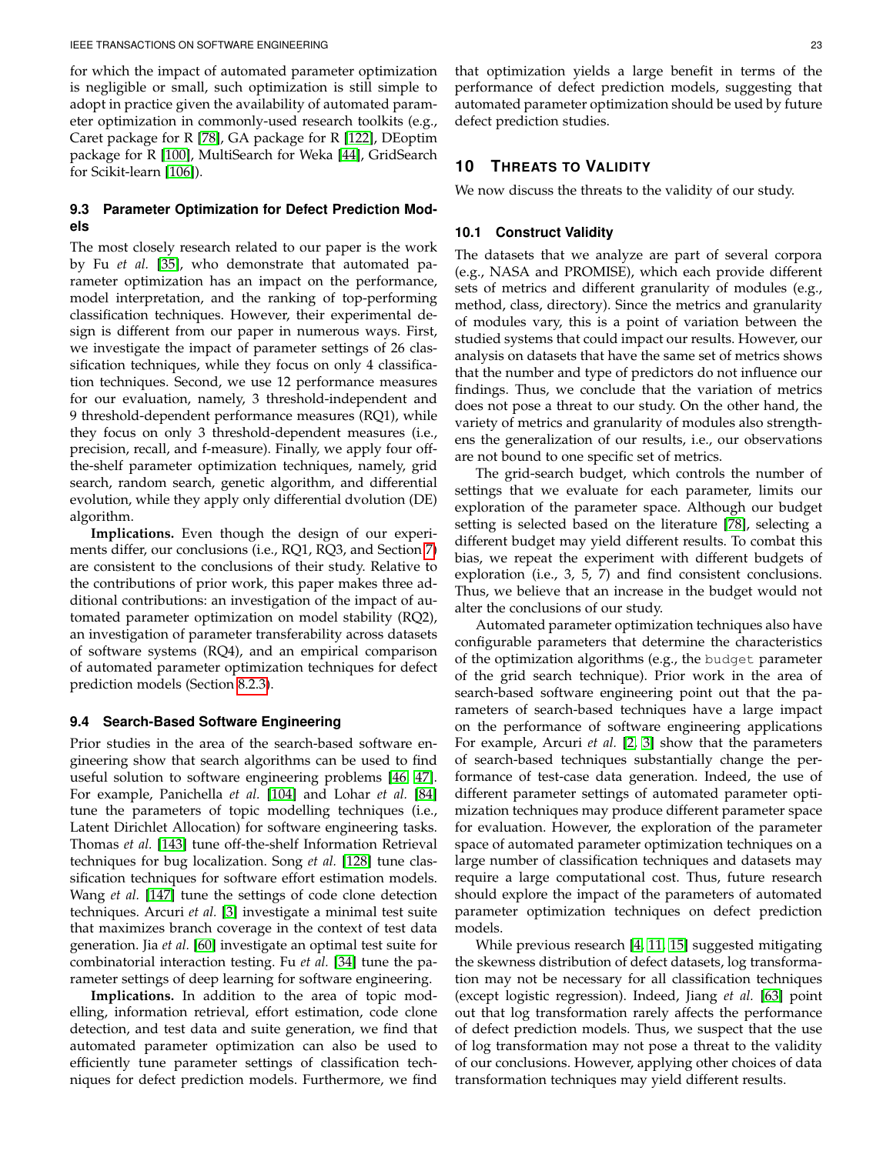#### IEEE TRANSACTIONS ON SOFTWARE ENGINEERING 23

for which the impact of automated parameter optimization is negligible or small, such optimization is still simple to adopt in practice given the availability of automated parameter optimization in commonly-used research toolkits (e.g., Caret package for R [\[78\]](#page-29-21), GA package for R [\[122\]](#page-30-18), DEoptim package for R [\[100\]](#page-30-19), MultiSearch for Weka [\[44\]](#page-28-6), GridSearch for Scikit-learn [\[106\]](#page-30-1)).

## **9.3 Parameter Optimization for Defect Prediction Models**

The most closely research related to our paper is the work by Fu *et al.* [\[35\]](#page-27-0), who demonstrate that automated parameter optimization has an impact on the performance, model interpretation, and the ranking of top-performing classification techniques. However, their experimental design is different from our paper in numerous ways. First, we investigate the impact of parameter settings of 26 classification techniques, while they focus on only 4 classification techniques. Second, we use 12 performance measures for our evaluation, namely, 3 threshold-independent and 9 threshold-dependent performance measures (RQ1), while they focus on only 3 threshold-dependent measures (i.e., precision, recall, and f-measure). Finally, we apply four offthe-shelf parameter optimization techniques, namely, grid search, random search, genetic algorithm, and differential evolution, while they apply only differential dvolution (DE) algorithm.

**Implications.** Even though the design of our experiments differ, our conclusions (i.e., RQ1, RQ3, and Section [7\)](#page-17-0) are consistent to the conclusions of their study. Relative to the contributions of prior work, this paper makes three additional contributions: an investigation of the impact of automated parameter optimization on model stability (RQ2), an investigation of parameter transferability across datasets of software systems (RQ4), and an empirical comparison of automated parameter optimization techniques for defect prediction models (Section [8.2.3\)](#page-21-0).

#### **9.4 Search-Based Software Engineering**

Prior studies in the area of the search-based software engineering show that search algorithms can be used to find useful solution to software engineering problems [\[46,](#page-28-3) [47\]](#page-28-8). For example, Panichella *et al.* [\[104\]](#page-30-26) and Lohar *et al.* [\[84\]](#page-29-28) tune the parameters of topic modelling techniques (i.e., Latent Dirichlet Allocation) for software engineering tasks. Thomas *et al.* [\[143\]](#page-31-25) tune off-the-shelf Information Retrieval techniques for bug localization. Song *et al.* [\[128\]](#page-30-5) tune classification techniques for software effort estimation models. Wang *et al.* [\[147\]](#page-31-26) tune the settings of code clone detection techniques. Arcuri *et al.* [\[3\]](#page-27-33) investigate a minimal test suite that maximizes branch coverage in the context of test data generation. Jia *et al.* [\[60\]](#page-28-9) investigate an optimal test suite for combinatorial interaction testing. Fu *et al.* [\[34\]](#page-27-24) tune the parameter settings of deep learning for software engineering.

**Implications.** In addition to the area of topic modelling, information retrieval, effort estimation, code clone detection, and test data and suite generation, we find that automated parameter optimization can also be used to efficiently tune parameter settings of classification techniques for defect prediction models. Furthermore, we find that optimization yields a large benefit in terms of the performance of defect prediction models, suggesting that automated parameter optimization should be used by future defect prediction studies.

#### <span id="page-23-0"></span>**10 THREATS TO VALIDITY**

We now discuss the threats to the validity of our study.

#### **10.1 Construct Validity**

The datasets that we analyze are part of several corpora (e.g., NASA and PROMISE), which each provide different sets of metrics and different granularity of modules (e.g., method, class, directory). Since the metrics and granularity of modules vary, this is a point of variation between the studied systems that could impact our results. However, our analysis on datasets that have the same set of metrics shows that the number and type of predictors do not influence our findings. Thus, we conclude that the variation of metrics does not pose a threat to our study. On the other hand, the variety of metrics and granularity of modules also strengthens the generalization of our results, i.e., our observations are not bound to one specific set of metrics.

The grid-search budget, which controls the number of settings that we evaluate for each parameter, limits our exploration of the parameter space. Although our budget setting is selected based on the literature [\[78\]](#page-29-21), selecting a different budget may yield different results. To combat this bias, we repeat the experiment with different budgets of exploration (i.e., 3, 5, 7) and find consistent conclusions. Thus, we believe that an increase in the budget would not alter the conclusions of our study.

Automated parameter optimization techniques also have configurable parameters that determine the characteristics of the optimization algorithms (e.g., the budget parameter of the grid search technique). Prior work in the area of search-based software engineering point out that the parameters of search-based techniques have a large impact on the performance of software engineering applications For example, Arcuri *et al.* [\[2,](#page-26-3) [3\]](#page-27-33) show that the parameters of search-based techniques substantially change the performance of test-case data generation. Indeed, the use of different parameter settings of automated parameter optimization techniques may produce different parameter space for evaluation. However, the exploration of the parameter space of automated parameter optimization techniques on a large number of classification techniques and datasets may require a large computational cost. Thus, future research should explore the impact of the parameters of automated parameter optimization techniques on defect prediction models.

While previous research [\[4,](#page-27-13) [11,](#page-27-14) [15\]](#page-27-15) suggested mitigating the skewness distribution of defect datasets, log transformation may not be necessary for all classification techniques (except logistic regression). Indeed, Jiang *et al.* [\[63\]](#page-28-0) point out that log transformation rarely affects the performance of defect prediction models. Thus, we suspect that the use of log transformation may not pose a threat to the validity of our conclusions. However, applying other choices of data transformation techniques may yield different results.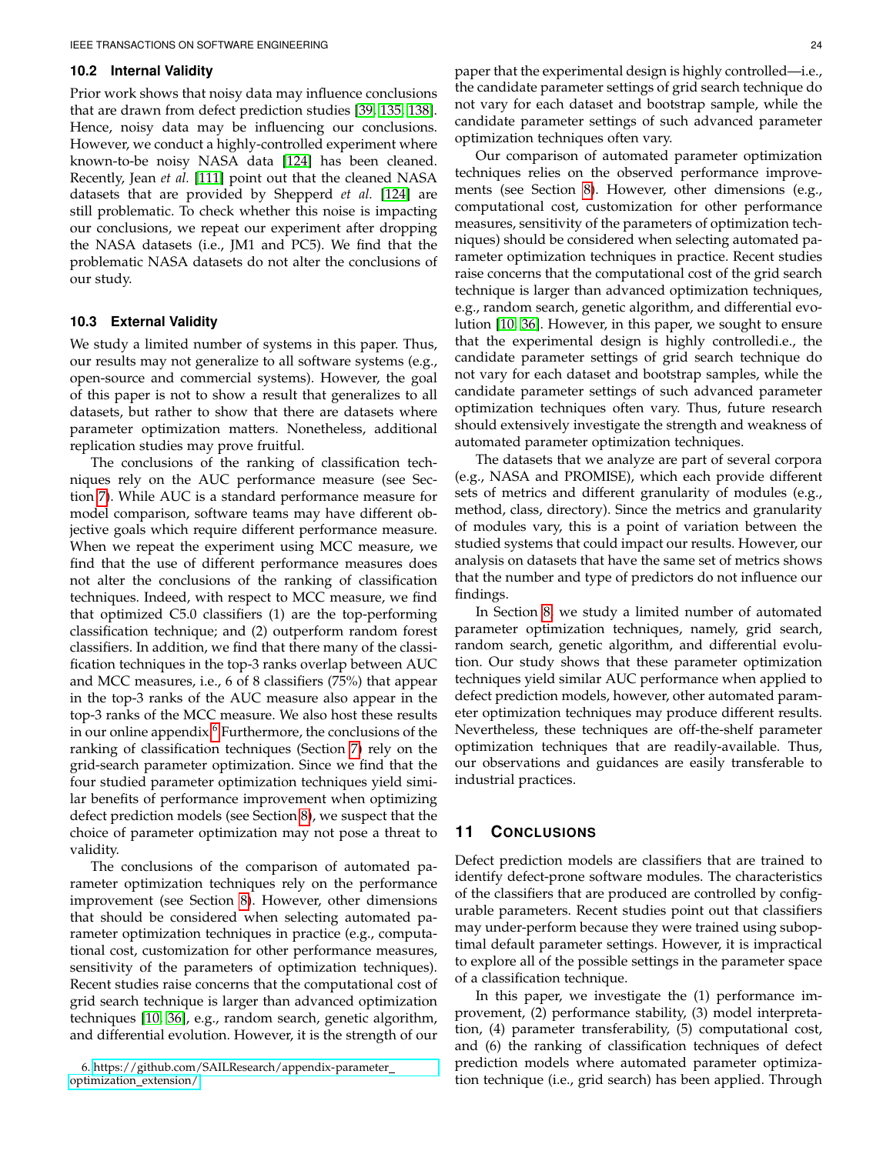#### **10.2 Internal Validity**

Prior work shows that noisy data may influence conclusions that are drawn from defect prediction studies [\[39,](#page-28-4) [135,](#page-31-5) [138\]](#page-31-4). Hence, noisy data may be influencing our conclusions. However, we conduct a highly-controlled experiment where known-to-be noisy NASA data [\[124\]](#page-30-8) has been cleaned. Recently, Jean *et al.* [\[111\]](#page-30-27) point out that the cleaned NASA datasets that are provided by Shepperd *et al.* [\[124\]](#page-30-8) are still problematic. To check whether this noise is impacting our conclusions, we repeat our experiment after dropping the NASA datasets (i.e., JM1 and PC5). We find that the problematic NASA datasets do not alter the conclusions of our study.

#### **10.3 External Validity**

We study a limited number of systems in this paper. Thus, our results may not generalize to all software systems (e.g., open-source and commercial systems). However, the goal of this paper is not to show a result that generalizes to all datasets, but rather to show that there are datasets where parameter optimization matters. Nonetheless, additional replication studies may prove fruitful.

The conclusions of the ranking of classification techniques rely on the AUC performance measure (see Section [7\)](#page-17-0). While AUC is a standard performance measure for model comparison, software teams may have different objective goals which require different performance measure. When we repeat the experiment using MCC measure, we find that the use of different performance measures does not alter the conclusions of the ranking of classification techniques. Indeed, with respect to MCC measure, we find that optimized C5.0 classifiers (1) are the top-performing classification technique; and (2) outperform random forest classifiers. In addition, we find that there many of the classification techniques in the top-3 ranks overlap between AUC and MCC measures, i.e., 6 of 8 classifiers (75%) that appear in the top-3 ranks of the AUC measure also appear in the top-3 ranks of the MCC measure. We also host these results in our online appendix.<sup>[6](#page-24-1)</sup> Furthermore, the conclusions of the ranking of classification techniques (Section [7\)](#page-17-0) rely on the grid-search parameter optimization. Since we find that the four studied parameter optimization techniques yield similar benefits of performance improvement when optimizing defect prediction models (see Section [8\)](#page-19-1), we suspect that the choice of parameter optimization may not pose a threat to validity.

The conclusions of the comparison of automated parameter optimization techniques rely on the performance improvement (see Section [8\)](#page-19-1). However, other dimensions that should be considered when selecting automated parameter optimization techniques in practice (e.g., computational cost, customization for other performance measures, sensitivity of the parameters of optimization techniques). Recent studies raise concerns that the computational cost of grid search technique is larger than advanced optimization techniques [\[10,](#page-27-1) [36\]](#page-27-34), e.g., random search, genetic algorithm, and differential evolution. However, it is the strength of our

<span id="page-24-1"></span>6. [https://github.com/SAILResearch/appendix-parameter](https://github.com/SAILResearch/appendix-parameter_optimization_extension/) [optimization](https://github.com/SAILResearch/appendix-parameter_optimization_extension/) extension/

paper that the experimental design is highly controlled—i.e., the candidate parameter settings of grid search technique do not vary for each dataset and bootstrap sample, while the candidate parameter settings of such advanced parameter optimization techniques often vary.

Our comparison of automated parameter optimization techniques relies on the observed performance improvements (see Section [8\)](#page-19-1). However, other dimensions (e.g., computational cost, customization for other performance measures, sensitivity of the parameters of optimization techniques) should be considered when selecting automated parameter optimization techniques in practice. Recent studies raise concerns that the computational cost of the grid search technique is larger than advanced optimization techniques, e.g., random search, genetic algorithm, and differential evolution [\[10,](#page-27-1) [36\]](#page-27-34). However, in this paper, we sought to ensure that the experimental design is highly controlledi.e., the candidate parameter settings of grid search technique do not vary for each dataset and bootstrap samples, while the candidate parameter settings of such advanced parameter optimization techniques often vary. Thus, future research should extensively investigate the strength and weakness of automated parameter optimization techniques.

The datasets that we analyze are part of several corpora (e.g., NASA and PROMISE), which each provide different sets of metrics and different granularity of modules (e.g., method, class, directory). Since the metrics and granularity of modules vary, this is a point of variation between the studied systems that could impact our results. However, our analysis on datasets that have the same set of metrics shows that the number and type of predictors do not influence our findings.

In Section [8,](#page-19-1) we study a limited number of automated parameter optimization techniques, namely, grid search, random search, genetic algorithm, and differential evolution. Our study shows that these parameter optimization techniques yield similar AUC performance when applied to defect prediction models, however, other automated parameter optimization techniques may produce different results. Nevertheless, these techniques are off-the-shelf parameter optimization techniques that are readily-available. Thus, our observations and guidances are easily transferable to industrial practices.

#### <span id="page-24-0"></span>**11 CONCLUSIONS**

Defect prediction models are classifiers that are trained to identify defect-prone software modules. The characteristics of the classifiers that are produced are controlled by configurable parameters. Recent studies point out that classifiers may under-perform because they were trained using suboptimal default parameter settings. However, it is impractical to explore all of the possible settings in the parameter space of a classification technique.

In this paper, we investigate the (1) performance improvement, (2) performance stability, (3) model interpretation, (4) parameter transferability, (5) computational cost, and (6) the ranking of classification techniques of defect prediction models where automated parameter optimization technique (i.e., grid search) has been applied. Through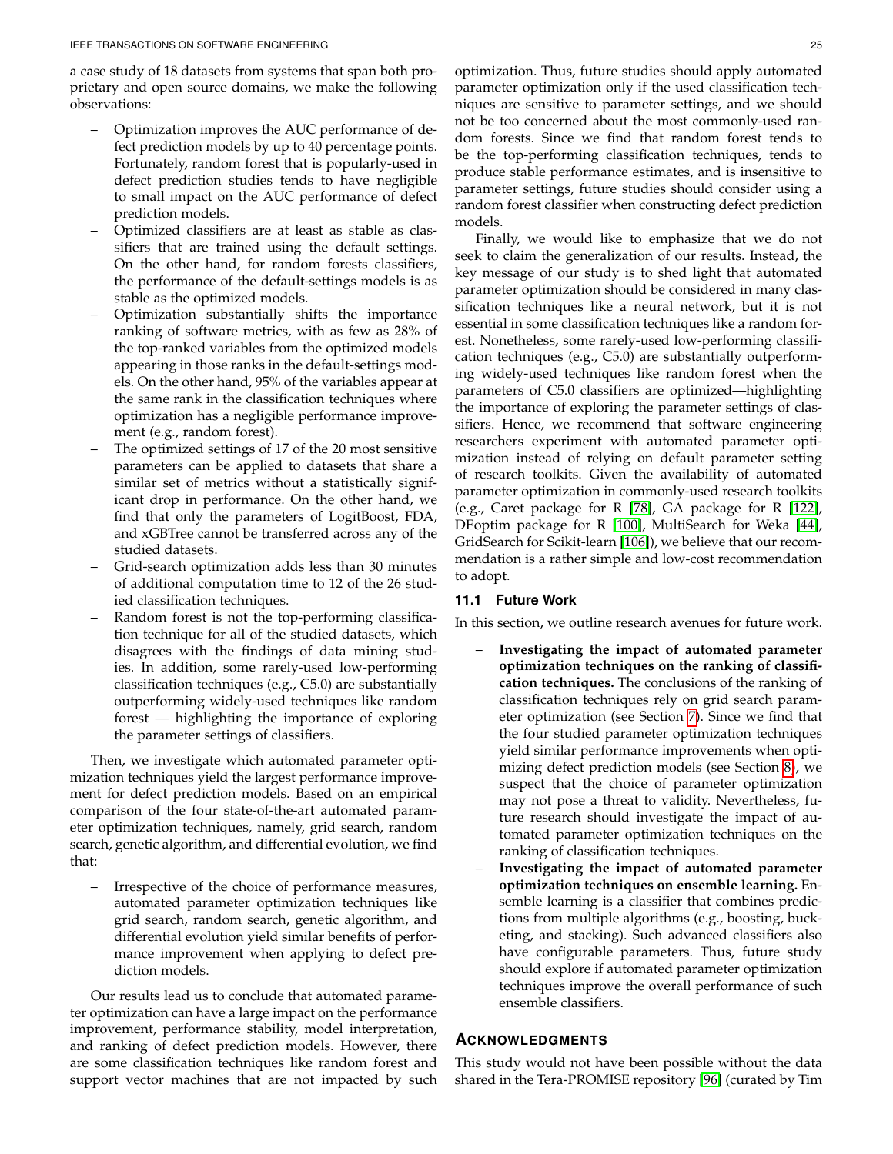a case study of 18 datasets from systems that span both proprietary and open source domains, we make the following observations:

- Optimization improves the AUC performance of defect prediction models by up to 40 percentage points. Fortunately, random forest that is popularly-used in defect prediction studies tends to have negligible to small impact on the AUC performance of defect prediction models.
- Optimized classifiers are at least as stable as classifiers that are trained using the default settings. On the other hand, for random forests classifiers, the performance of the default-settings models is as stable as the optimized models.
- Optimization substantially shifts the importance ranking of software metrics, with as few as 28% of the top-ranked variables from the optimized models appearing in those ranks in the default-settings models. On the other hand, 95% of the variables appear at the same rank in the classification techniques where optimization has a negligible performance improvement (e.g., random forest).
- The optimized settings of 17 of the 20 most sensitive parameters can be applied to datasets that share a similar set of metrics without a statistically significant drop in performance. On the other hand, we find that only the parameters of LogitBoost, FDA, and xGBTree cannot be transferred across any of the studied datasets.
- Grid-search optimization adds less than 30 minutes of additional computation time to 12 of the 26 studied classification techniques.
- Random forest is not the top-performing classification technique for all of the studied datasets, which disagrees with the findings of data mining studies. In addition, some rarely-used low-performing classification techniques (e.g., C5.0) are substantially outperforming widely-used techniques like random forest — highlighting the importance of exploring the parameter settings of classifiers.

Then, we investigate which automated parameter optimization techniques yield the largest performance improvement for defect prediction models. Based on an empirical comparison of the four state-of-the-art automated parameter optimization techniques, namely, grid search, random search, genetic algorithm, and differential evolution, we find that:

Irrespective of the choice of performance measures, automated parameter optimization techniques like grid search, random search, genetic algorithm, and differential evolution yield similar benefits of performance improvement when applying to defect prediction models.

Our results lead us to conclude that automated parameter optimization can have a large impact on the performance improvement, performance stability, model interpretation, and ranking of defect prediction models. However, there are some classification techniques like random forest and support vector machines that are not impacted by such

optimization. Thus, future studies should apply automated parameter optimization only if the used classification techniques are sensitive to parameter settings, and we should not be too concerned about the most commonly-used random forests. Since we find that random forest tends to be the top-performing classification techniques, tends to produce stable performance estimates, and is insensitive to parameter settings, future studies should consider using a random forest classifier when constructing defect prediction models.

Finally, we would like to emphasize that we do not seek to claim the generalization of our results. Instead, the key message of our study is to shed light that automated parameter optimization should be considered in many classification techniques like a neural network, but it is not essential in some classification techniques like a random forest. Nonetheless, some rarely-used low-performing classification techniques (e.g., C5.0) are substantially outperforming widely-used techniques like random forest when the parameters of C5.0 classifiers are optimized—highlighting the importance of exploring the parameter settings of classifiers. Hence, we recommend that software engineering researchers experiment with automated parameter optimization instead of relying on default parameter setting of research toolkits. Given the availability of automated parameter optimization in commonly-used research toolkits (e.g., Caret package for R [\[78\]](#page-29-21), GA package for R [\[122\]](#page-30-18), DEoptim package for R [\[100\]](#page-30-19), MultiSearch for Weka [\[44\]](#page-28-6), GridSearch for Scikit-learn [\[106\]](#page-30-1)), we believe that our recommendation is a rather simple and low-cost recommendation to adopt.

#### **11.1 Future Work**

In this section, we outline research avenues for future work.

- **Investigating the impact of automated parameter optimization techniques on the ranking of classification techniques.** The conclusions of the ranking of classification techniques rely on grid search parameter optimization (see Section [7\)](#page-17-0). Since we find that the four studied parameter optimization techniques yield similar performance improvements when optimizing defect prediction models (see Section [8\)](#page-19-1), we suspect that the choice of parameter optimization may not pose a threat to validity. Nevertheless, future research should investigate the impact of automated parameter optimization techniques on the ranking of classification techniques.
- **Investigating the impact of automated parameter optimization techniques on ensemble learning.** Ensemble learning is a classifier that combines predictions from multiple algorithms (e.g., boosting, bucketing, and stacking). Such advanced classifiers also have configurable parameters. Thus, future study should explore if automated parameter optimization techniques improve the overall performance of such ensemble classifiers.

#### **ACKNOWLEDGMENTS**

This study would not have been possible without the data shared in the Tera-PROMISE repository [\[96\]](#page-29-29) (curated by Tim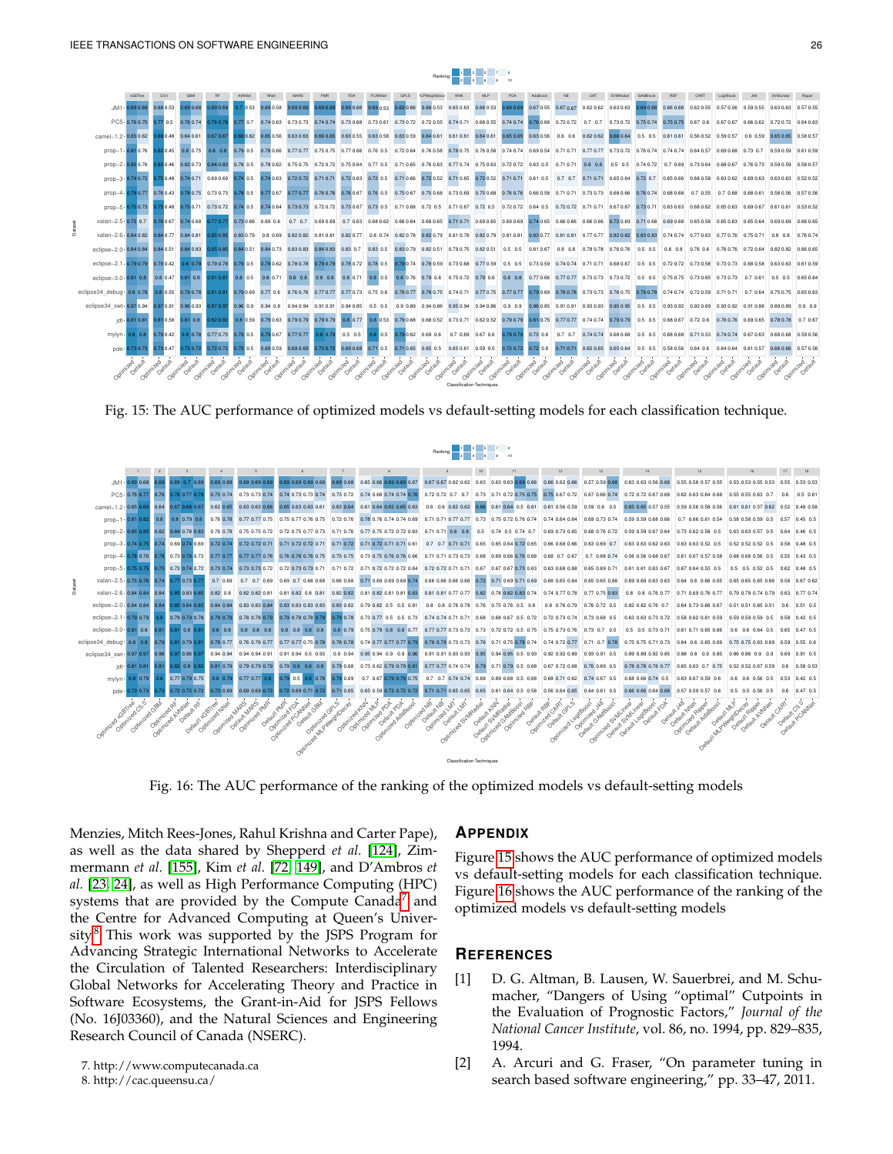

<span id="page-26-2"></span>

|                                                                                                        | $.1M1 - 0.690.69$                  | 0.68 0.53        | 83.0.83                                          | <b>880880</b> | 0.53                                                                    | 85.0.88.0       | <b>880880</b>       | 28.0.89                                                          | 88.0.88.0           | 0.53<br>0.69 | 0.69 0.66                      | 0.68 0.53                            | 0.65 0.63         | 0.66 0.53                                                                                                                                                                                                                       | 88.0.83.0                   | 0.67 0.55 | 0.67 0.67 | 0.620.62                                                                                       | 0.63 0.63 | 0.69 0.68 | 0.66 0.66                             | 0.62 0.55 | 0.57 0.56                     | 0.59 0.55                     | 0.63 0.63                                                                    | 0.57 0.55 |
|--------------------------------------------------------------------------------------------------------|------------------------------------|------------------|--------------------------------------------------|---------------|-------------------------------------------------------------------------|-----------------|---------------------|------------------------------------------------------------------|---------------------|--------------|--------------------------------|--------------------------------------|-------------------|---------------------------------------------------------------------------------------------------------------------------------------------------------------------------------------------------------------------------------|-----------------------------|-----------|-----------|------------------------------------------------------------------------------------------------|-----------|-----------|---------------------------------------|-----------|-------------------------------|-------------------------------|------------------------------------------------------------------------------|-----------|
|                                                                                                        | PC5 - 0.76 0.75 0.77 0.5 0.76 0.74 |                  |                                                  |               | 0.78 0.78 0.77 0.7 0.74 0.63 0.73 0.73                                  |                 |                     |                                                                  |                     |              |                                |                                      |                   | 0.74 0.73 0.68 0.73 0.61 0.73 0.72 0.72 0.55 0.74 0.71 0.68 0.55 0.74 0.74 0.76 0.68 0.72 0.72 0.7 0.7 0.73 0.72 0.75 0.75 0.75 0.67 0.67 0.67                                                                                  |                             |           |           |                                                                                                |           |           |                                       |           | 0.670.67                      | 0.66.0.62                     | 0.720.72                                                                     | 0.64.0.63 |
| camel-1.2 - 0.65 0.62                                                                                  |                                    |                  |                                                  |               | 0.68 0.48  0.64  0.61  0.67  0.67  0.68  0.62  0.65  0.56  0.63  0.63   |                 |                     | 0.66 0.65 0.63 0.55 0.63 0.58 0.63 0.59 0.64 0.61 0.61 0.64 0.61 |                     |              |                                |                                      |                   |                                                                                                                                                                                                                                 | 0.65 0.65 0.63 0.56 0.6 0.6 |           |           | 0.62 0.62 0.66 0.64                                                                            |           |           | 0.5 0.5 0.61 0.61 0.56 0.52 0.59 0.57 |           |                               | $0.6$ $0.59$                  | 0.65 0.65                                                                    | 0.58 0.57 |
|                                                                                                        |                                    |                  |                                                  |               |                                                                         |                 |                     |                                                                  |                     |              |                                |                                      |                   |                                                                                                                                                                                                                                 |                             |           |           |                                                                                                |           |           |                                       |           |                               | $0.73$ 0.7                    | 0.59 0.59 0.61 0.59                                                          |           |
|                                                                                                        |                                    |                  |                                                  |               |                                                                         |                 |                     |                                                                  |                     |              |                                |                                      |                   | nron-2:0850.76 0850.46 0.820.73 0.840.83 0.78 0.5 0.78 0.62 0.75 0.75 0.72 0.72 0.75 0.64 0.77 0.5 0.71 0.65 0.76 0.63 0.77 0.74 0.75 0.63 0.72 0.72 0.63 0.5 0.71 0.71 0.8 0.8                                                 |                             |           |           |                                                                                                |           |           |                                       |           |                               |                               | 0.5 0.5 0.74 0.72 0.7 0.69 0.73 0.64 0.68 0.67 0.76 0.73 0.59 0.59 0.58 0.57 |           |
|                                                                                                        |                                    |                  | prop-3 - 0.74 0.72 0.75 0.48 0.74 0.71 0.69 0.69 |               |                                                                         |                 |                     |                                                                  |                     |              |                                |                                      |                   | 0.74 0.5 0.74 0.63 0.72 0.71 0.71 0.71 0.72 0.63 0.72 0.5 0.71 0.66 0.72 0.52 0.71 0.65 0.72 0.52 0.71 0.71 0.61 0.5 0.7 0.7 0.71 0.71 0.71 0.65 0.64 0.72 0.7 0.65 0.66 0.68 0.58                                              |                             |           |           |                                                                                                |           |           |                                       |           | 0.63 0.62                     | 0.69 0.63                     | 0.630.63                                                                     | 0.52 0.52 |
|                                                                                                        |                                    |                  |                                                  |               |                                                                         |                 |                     |                                                                  |                     |              |                                |                                      |                   | prop-4-0.760.77 0.760.43 0.760.75 0.730.75 0.78 0.5 0.77 0.67 0.77 0.77 0.760.76 0.760.67 0.760.67 0.760.67 0.750.68 0.730.69 0.760.68 0.760.68 0.760.76 0.660.68 0.71 0.730.73 0.680.66 0.760.66 0.760.68 0.7 0.560.68 0.760.  |                             |           |           |                                                                                                |           |           |                                       |           |                               |                               |                                                                              |           |
|                                                                                                        |                                    |                  |                                                  |               | prop-5 - 0.75 0.73 0.75 0.48 0.75 0.71 0.73 0.72 0.74 0.5 0.74 0.64     |                 | 0.73 0.73           | 0.72 0.72 0.73 0.67                                              |                     |              |                                |                                      |                   | 0.73 0.5 0.71 0.68 0.72 0.5 0.71 0.67 0.72 0.5 0.72 0.72 0.64 0.5 0.72 0.72 0.71 0.71 0.67 0.67 0.67 0.73 0.71 0.63 0.63 0.68 0.62                                                                                              |                             |           |           |                                                                                                |           |           |                                       |           | 0.65 0.63                     | 0.69 0.67                     | 0.61 0.61                                                                    | 0.53 0.52 |
|                                                                                                        |                                    |                  |                                                  |               | xalan-2.5-0.75 0.7 0.76 0.67 0.74 0.68 0.77 0.77 0.73 0.66 0.69 0.6     |                 |                     |                                                                  |                     |              |                                |                                      |                   | 0.7 0.7 0.69 0.69 0.7 0.63 0.68 0.62 0.66 0.64 0.68 0.65 0.71 0.71 0.69 0.65 0.69 0.69 0.65 0.66 0.66 0.66 0.66 0.72 0.69 0.71 0.68 0.69 0.65 0.63 0.65 0.63 0.65 0.64 0.69 0.66 0.65 0.64 0.69 0.66 0.71 0.69 0.65 0.66 0.65 0 |                             |           |           |                                                                                                |           |           |                                       |           |                               |                               |                                                                              |           |
| xalan-2.6 - 0.84 0.82 0.84 0.77 0.84 0.81                                                              |                                    |                  |                                                  | 0.85 0.85     |                                                                         | 0.830.790.80.69 | 0.82 0.82 0.81 0.81 |                                                                  | 0.82 0.77           |              |                                |                                      |                   | 0.8 0.74 0.82 0.78 0.82 0.79 0.81 0.78 0.82 0.79 0.81 0.81 0.83 0.77 0.81 0.81 0.77 0.77 0.82 0.82 0.83 0.83 0.74 0.74 0.77 0.63                                                                                                |                             |           |           |                                                                                                |           |           |                                       |           | 0.77 0.76 0.75 0.71           |                               | $0.8$ 0.8                                                                    | 0.76 0.74 |
| eclinse-2.0 - 0.84 0.84 0.84 0.51 0.84 0.83 0.85 0.85 0.84 0.51 0.84 0.73 0.83 0.83                    |                                    |                  |                                                  |               |                                                                         |                 |                     |                                                                  |                     |              |                                |                                      |                   | 0.84 0.83 0.83 0.7 0.83 0.5 0.83 0.79 0.82 0.51 0.79 0.75 0.82 0.51 0.5 0.5 0.81 0.67 0.8 0.8 0.78 0.78 0.76 0.76 0.5 0.5                                                                                                       |                             |           |           |                                                                                                |           |           |                                       |           |                               |                               | 0.8 0.8 0.76 0.6 0.76 0.76 0.72 0.64 0.82 0.82 0.66 0.65                     |           |
| eclipse-2.1 - 0.79 0.79 0.79 0.42                                                                      |                                    |                  | $0.8$ 0.79                                       |               | 0.79 0.78 0.79 0.5 0.79 0.62 0.78 0.78                                  |                 |                     | 0.79 0.79                                                        | 0.78 0.72 0.78 0.5  |              |                                |                                      |                   | 0.79 0.74 0.78 0.59 0.73 0.68 0.77 0.59 0.5 0.5 0.73 0.59 0.74 0.74 0.71 0.71 0.68 0.67 0.5 0.72 0.72 0.73 0.58 0.73 0.73 0.68 0.58 0.63 0.63 0.61 0.59                                                                         |                             |           |           |                                                                                                |           |           |                                       |           |                               |                               |                                                                              |           |
| eclipse-3.0 - 0.81 0.8 0.8 0.47                                                                        |                                    |                  | $0.81$ $0.8$                                     | 0.81 0.81     | $0.8\ 0.5$                                                              | 0.8 0.71        | $0.8$ 0.8           | $0.8$ 0.8                                                        | 0.8 0.71            | $0.8 \ 0.5$  |                                | 0.8 0.76 0.79 0.6 0.75 0.72 0.79 0.6 |                   |                                                                                                                                                                                                                                 |                             |           |           | 0.8 0.8 0.77 0.66 0.77 0.77 0.73 0.73 0.73 0.72 0.5 0.5 0.75 0.75 0.73 0.65 0.73 0.73 0.7 0.61 |           |           |                                       |           |                               |                               | $0.5$ 0.5 0.65 0.64                                                          |           |
| eclipse34 debug - 0.8 0.78 0.8 0.55 0.79 0.78 0.81 0.81                                                |                                    |                  |                                                  |               | 0.79 0.69 0.77 0.6                                                      |                 |                     | 0.76 0.76 0.77 0.77 0.77 0.73 0.75 0.6                           |                     |              |                                |                                      |                   | 0.78 0.77 0.78 0.75 0.74 0.71 0.77 0.75 0.77 0.77 0.79 0.69 0.78 0.78 0.73 0.73 0.76 0.75 0.78 0.78 0.74 0.72 0.59                                                                                                              |                             |           |           |                                                                                                |           |           |                                       |           |                               |                               | 0.71 0.71 0.7 0.64 0.75 0.75 0.65 0.63                                       |           |
| eclipse34 swt-0.970.94 0.970.91 0.960.93 0.970.97 0.96 0.9 0.94 0.8 0.940.94 0.910.91 0.940.85 0.5 0.5 |                                    |                  |                                                  |               |                                                                         |                 |                     |                                                                  |                     |              |                                |                                      |                   | 0.9 0.89 0.94 0.86 0.95 0.94 0.86 0.9 0.9 0.9 0.96 0.85 0.91 0.91 0.93 0.95 0.95 0.95 0.5 0.93 0.92 0.93 0.99 0.93 0.92 0.91 0.88 0.89 0.89                                                                                     |                             |           |           |                                                                                                |           |           |                                       |           |                               |                               |                                                                              | 09.09     |
|                                                                                                        | idt - 0.81 0.81                    | 0.81 0.58        | 0.81 0.8                                         | 0.820.82      | 0.8 0.59                                                                | 0.79 0.63       | 0.79 0.79           | 0.79 0.79 0.8 0.77 0.8 0.53                                      |                     |              |                                |                                      |                   | 0.79 0.68 0.68 0.52 0.73 0.71 0.62 0.52 0.79 0.79 0.81 0.75 0.77 0.77 0.74 0.74 0.79 0.79                                                                                                                                       |                             |           |           |                                                                                                |           |           | 0.5 0.5 0.68 0.67 0.72 0.6            |           |                               | 0.76 0.76 0.69 0.65 0.78 0.78 |                                                                              | 0.7 0.67  |
|                                                                                                        |                                    |                  |                                                  |               | mylyn 0.8 0.8 0.79 0.42 0.8 0.78 0.77 0.75 0.79 0.5 0.79 0.67 0.77 0.77 |                 |                     | 0.8 0.79                                                         | $0.5$ 0.5           |              | $0.8$ 0.5 $0.79$ 0.62 0.69 0.6 |                                      | 0.7 0.69 0.67 0.6 |                                                                                                                                                                                                                                 | 0.79 0.79 0.75 0.6          |           |           | 0.7 0.7 0.74 0.74                                                                              | 0.68 0.68 |           | 0.5 0.5 0.68 0.68                     |           | 0.71 0.53 0.74 0.74 0.67 0.63 |                               | 0.68 0.68                                                                    | 0.59 0.56 |
|                                                                                                        | pde - 0.73 0.73 0.73 0.47          |                  | $0.73\,0.72$ 0.72 0.72 0.72 0.5                  |               |                                                                         | 0.690.59        | 0.69 0.69           |                                                                  | 0.73 0.72 0.69 0.68 | $0.71$ 0.5   | $0.71$ 0.65 0.65 0.5           |                                      | 0.65 0.61         | 0.59 0.5                                                                                                                                                                                                                        | $0.72\ 0.72\ 0.72\ 0.6$     |           |           | 0.71 0.71 0.65 0.65 0.65 0.64                                                                  |           | $0.5$ 0.5 | 0.58 0.56 0.64 0.6                    |           | 0.64 0.64                     | 0.61 0.57                     | 0.66 0.66 0.57 0.56                                                          |           |
|                                                                                                        |                                    |                  | timized railway                                  | timized devil | timized getaun                                                          |                 |                     |                                                                  |                     |              |                                |                                      |                   |                                                                                                                                                                                                                                 |                             | Detaut    |           |                                                                                                |           |           |                                       |           |                               |                               |                                                                              |           |
|                                                                                                        |                                    | notimized patauk |                                                  |               |                                                                         |                 |                     |                                                                  |                     |              |                                |                                      |                   |                                                                                                                                                                                                                                 |                             |           |           |                                                                                                |           |           |                                       |           |                               |                               |                                                                              |           |
|                                                                                                        |                                    |                  |                                                  |               |                                                                         |                 |                     |                                                                  |                     |              |                                |                                      |                   |                                                                                                                                                                                                                                 |                             |           |           |                                                                                                |           |           |                                       |           |                               |                               |                                                                              |           |

Fig. 15: The AUC performance of optimized models vs default-setting models for each classification technique.

<span id="page-26-1"></span>

Fig. 16: The AUC performance of the ranking of the optimized models vs default-setting models

Menzies, Mitch Rees-Jones, Rahul Krishna and Carter Pape), as well as the data shared by Shepperd *et al.* [\[124\]](#page-30-8), Zimmermann *et al.* [\[155\]](#page-31-13), Kim *et al.* [\[72,](#page-29-20) [149\]](#page-31-12), and D'Ambros *et al.* [\[23,](#page-27-8) [24\]](#page-27-9), as well as High Performance Computing (HPC) systems that are provided by the Compute Canada<sup>[7](#page-26-4)</sup> and the Centre for Advanced Computing at Queen's Univer-sity.<sup>[8](#page-26-5)</sup> This work was supported by the JSPS Program for Advancing Strategic International Networks to Accelerate the Circulation of Talented Researchers: Interdisciplinary Global Networks for Accelerating Theory and Practice in Software Ecosystems, the Grant-in-Aid for JSPS Fellows (No. 16J03360), and the Natural Sciences and Engineering Research Council of Canada (NSERC).

#### **APPENDIX**

Figure [15](#page-26-2) shows the AUC performance of optimized models vs default-setting models for each classification technique. Figure [16](#page-26-1) shows the AUC performance of the ranking of the optimized models vs default-setting models

#### **REFERENCES**

- <span id="page-26-0"></span>[1] D. G. Altman, B. Lausen, W. Sauerbrei, and M. Schumacher, "Dangers of Using "optimal" Cutpoints in the Evaluation of Prognostic Factors," *Journal of the National Cancer Institute*, vol. 86, no. 1994, pp. 829–835, 1994.
- <span id="page-26-3"></span>[2] A. Arcuri and G. Fraser, "On parameter tuning in search based software engineering," pp. 33–47, 2011.

<span id="page-26-4"></span><sup>7.</sup> http://www.computecanada.ca

<span id="page-26-5"></span><sup>8.</sup> http://cac.queensu.ca/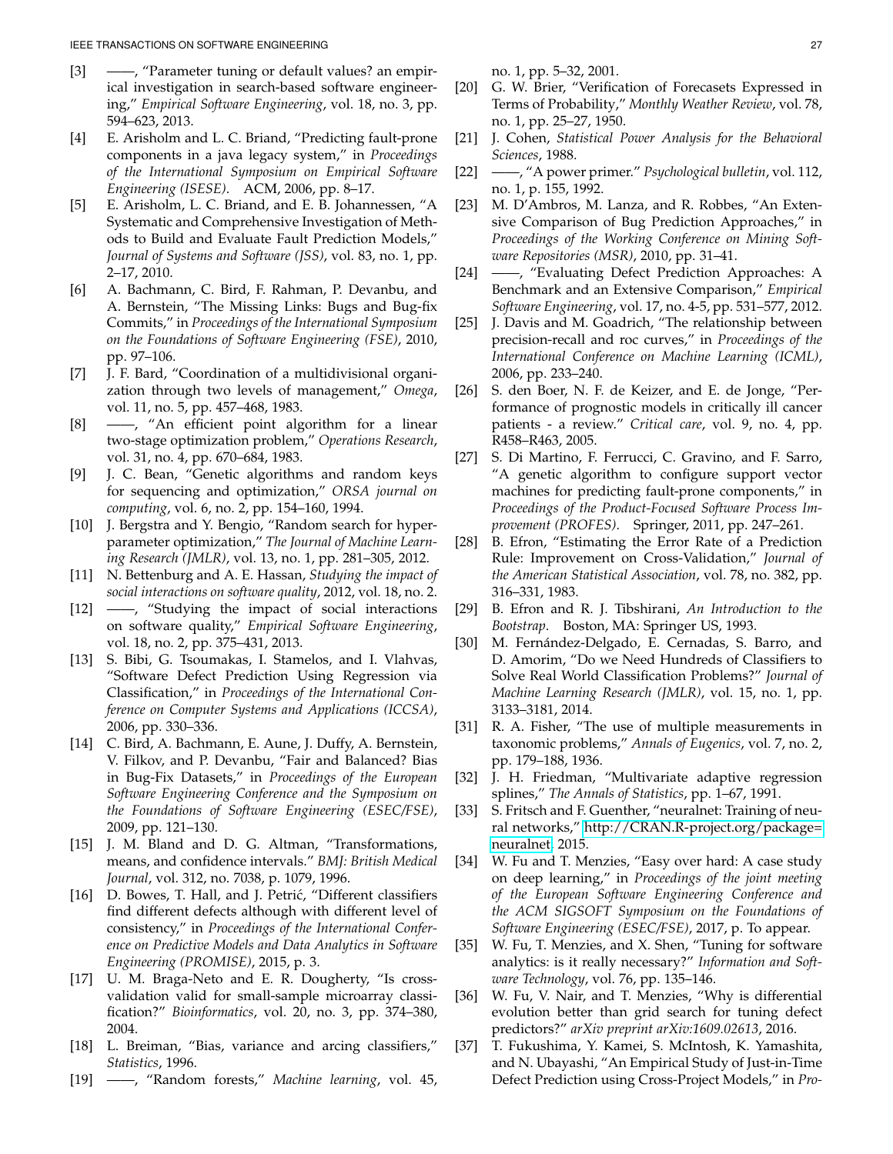- <span id="page-27-33"></span>[3] ——, "Parameter tuning or default values? an empirical investigation in search-based software engineering," *Empirical Software Engineering*, vol. 18, no. 3, pp. 594–623, 2013.
- <span id="page-27-13"></span>[4] E. Arisholm and L. C. Briand, "Predicting fault-prone components in a java legacy system," in *Proceedings of the International Symposium on Empirical Software Engineering (ISESE)*. ACM, 2006, pp. 8–17.
- <span id="page-27-16"></span>[5] E. Arisholm, L. C. Briand, and E. B. Johannessen, "A Systematic and Comprehensive Investigation of Methods to Build and Evaluate Fault Prediction Models," *Journal of Systems and Software (JSS)*, vol. 83, no. 1, pp. 2–17, 2010.
- <span id="page-27-31"></span>[6] A. Bachmann, C. Bird, F. Rahman, P. Devanbu, and A. Bernstein, "The Missing Links: Bugs and Bug-fix Commits," in *Proceedings of the International Symposium on the Foundations of Software Engineering (FSE)*, 2010, pp. 97–106.
- <span id="page-27-27"></span>[7] J. F. Bard, "Coordination of a multidivisional organization through two levels of management," *Omega*, vol. 11, no. 5, pp. 457–468, 1983.
- <span id="page-27-28"></span>[8] ——, "An efficient point algorithm for a linear two-stage optimization problem," *Operations Research*, vol. 31, no. 4, pp. 670–684, 1983.
- <span id="page-27-26"></span>[9] J. C. Bean, "Genetic algorithms and random keys for sequencing and optimization," *ORSA journal on computing*, vol. 6, no. 2, pp. 154–160, 1994.
- <span id="page-27-1"></span>[10] J. Bergstra and Y. Bengio, "Random search for hyperparameter optimization," *The Journal of Machine Learning Research (JMLR)*, vol. 13, no. 1, pp. 281–305, 2012.
- <span id="page-27-14"></span>[11] N. Bettenburg and A. E. Hassan, *Studying the impact of social interactions on software quality*, 2012, vol. 18, no. 2.
- <span id="page-27-4"></span>[12] ——, "Studying the impact of social interactions on software quality," *Empirical Software Engineering*, vol. 18, no. 2, pp. 375–431, 2013.
- <span id="page-27-2"></span>[13] S. Bibi, G. Tsoumakas, I. Stamelos, and I. Vlahvas, "Software Defect Prediction Using Regression via Classification," in *Proceedings of the International Conference on Computer Systems and Applications (ICCSA)*, 2006, pp. 330–336.
- <span id="page-27-30"></span>[14] C. Bird, A. Bachmann, E. Aune, J. Duffy, A. Bernstein, V. Filkov, and P. Devanbu, "Fair and Balanced? Bias in Bug-Fix Datasets," in *Proceedings of the European Software Engineering Conference and the Symposium on the Foundations of Software Engineering (ESEC/FSE)*, 2009, pp. 121–130.
- <span id="page-27-15"></span>[15] J. M. Bland and D. G. Altman, "Transformations, means, and confidence intervals." *BMJ: British Medical Journal*, vol. 312, no. 7038, p. 1079, 1996.
- <span id="page-27-32"></span>[16] D. Bowes, T. Hall, and J. Petrić, "Different classifiers find different defects although with different level of consistency," in *Proceedings of the International Conference on Predictive Models and Data Analytics in Software Engineering (PROMISE)*, 2015, p. 3.
- <span id="page-27-12"></span>[17] U. M. Braga-Neto and E. R. Dougherty, "Is crossvalidation valid for small-sample microarray classification?" *Bioinformatics*, vol. 20, no. 3, pp. 374–380, 2004.
- <span id="page-27-7"></span>[18] L. Breiman, "Bias, variance and arcing classifiers," *Statistics*, 1996.
- <span id="page-27-20"></span>[19] ——, "Random forests," *Machine learning*, vol. 45,

no. 1, pp. 5–32, 2001.

- <span id="page-27-19"></span>[20] G. W. Brier, "Verification of Forecasets Expressed in Terms of Probability," *Monthly Weather Review*, vol. 78, no. 1, pp. 25–27, 1950.
- <span id="page-27-22"></span>[21] J. Cohen, *Statistical Power Analysis for the Behavioral Sciences*, 1988.
- <span id="page-27-21"></span>[22] ——, "A power primer." *Psychological bulletin*, vol. 112, no. 1, p. 155, 1992.
- <span id="page-27-8"></span>[23] M. D'Ambros, M. Lanza, and R. Robbes, "An Extensive Comparison of Bug Prediction Approaches," in *Proceedings of the Working Conference on Mining Software Repositories (MSR)*, 2010, pp. 31–41.
- <span id="page-27-9"></span>[24] ——, "Evaluating Defect Prediction Approaches: A Benchmark and an Extensive Comparison," *Empirical Software Engineering*, vol. 17, no. 4-5, pp. 531–577, 2012.
- <span id="page-27-17"></span>[25] J. Davis and M. Goadrich, "The relationship between precision-recall and roc curves," in *Proceedings of the International Conference on Machine Learning (ICML)*, 2006, pp. 233–240.
- <span id="page-27-18"></span>[26] S. den Boer, N. F. de Keizer, and E. de Jonge, "Performance of prognostic models in critically ill cancer patients - a review." *Critical care*, vol. 9, no. 4, pp. R458–R463, 2005.
- <span id="page-27-25"></span>[27] S. Di Martino, F. Ferrucci, C. Gravino, and F. Sarro, "A genetic algorithm to configure support vector machines for predicting fault-prone components," in *Proceedings of the Product-Focused Software Process Improvement (PROFES)*. Springer, 2011, pp. 247–261.
- <span id="page-27-10"></span>[28] B. Efron, "Estimating the Error Rate of a Prediction Rule: Improvement on Cross-Validation," *Journal of the American Statistical Association*, vol. 78, no. 382, pp. 316–331, 1983.
- <span id="page-27-11"></span>[29] B. Efron and R. J. Tibshirani, *An Introduction to the Bootstrap*. Boston, MA: Springer US, 1993.
- <span id="page-27-23"></span>[30] M. Fernández-Delgado, E. Cernadas, S. Barro, and D. Amorim, "Do we Need Hundreds of Classifiers to Solve Real World Classification Problems?" *Journal of Machine Learning Research (JMLR)*, vol. 15, no. 1, pp. 3133–3181, 2014.
- <span id="page-27-6"></span>[31] R. A. Fisher, "The use of multiple measurements in taxonomic problems," *Annals of Eugenics*, vol. 7, no. 2, pp. 179–188, 1936.
- <span id="page-27-5"></span>[32] J. H. Friedman, "Multivariate adaptive regression splines," *The Annals of Statistics*, pp. 1–67, 1991.
- <span id="page-27-3"></span>[33] S. Fritsch and F. Guenther, "neuralnet: Training of neural networks," [http://CRAN.R-project.org/package=](http://CRAN.R-project.org/package=neuralnet) [neuralnet,](http://CRAN.R-project.org/package=neuralnet) 2015.
- <span id="page-27-24"></span>[34] W. Fu and T. Menzies, "Easy over hard: A case study on deep learning," in *Proceedings of the joint meeting of the European Software Engineering Conference and the ACM SIGSOFT Symposium on the Foundations of Software Engineering (ESEC/FSE)*, 2017, p. To appear.
- <span id="page-27-0"></span>[35] W. Fu, T. Menzies, and X. Shen, "Tuning for software analytics: is it really necessary?" *Information and Software Technology*, vol. 76, pp. 135–146.
- <span id="page-27-34"></span>[36] W. Fu, V. Nair, and T. Menzies, "Why is differential evolution better than grid search for tuning defect predictors?" *arXiv preprint arXiv:1609.02613*, 2016.
- <span id="page-27-29"></span>[37] T. Fukushima, Y. Kamei, S. McIntosh, K. Yamashita, and N. Ubayashi, "An Empirical Study of Just-in-Time Defect Prediction using Cross-Project Models," in *Pro-*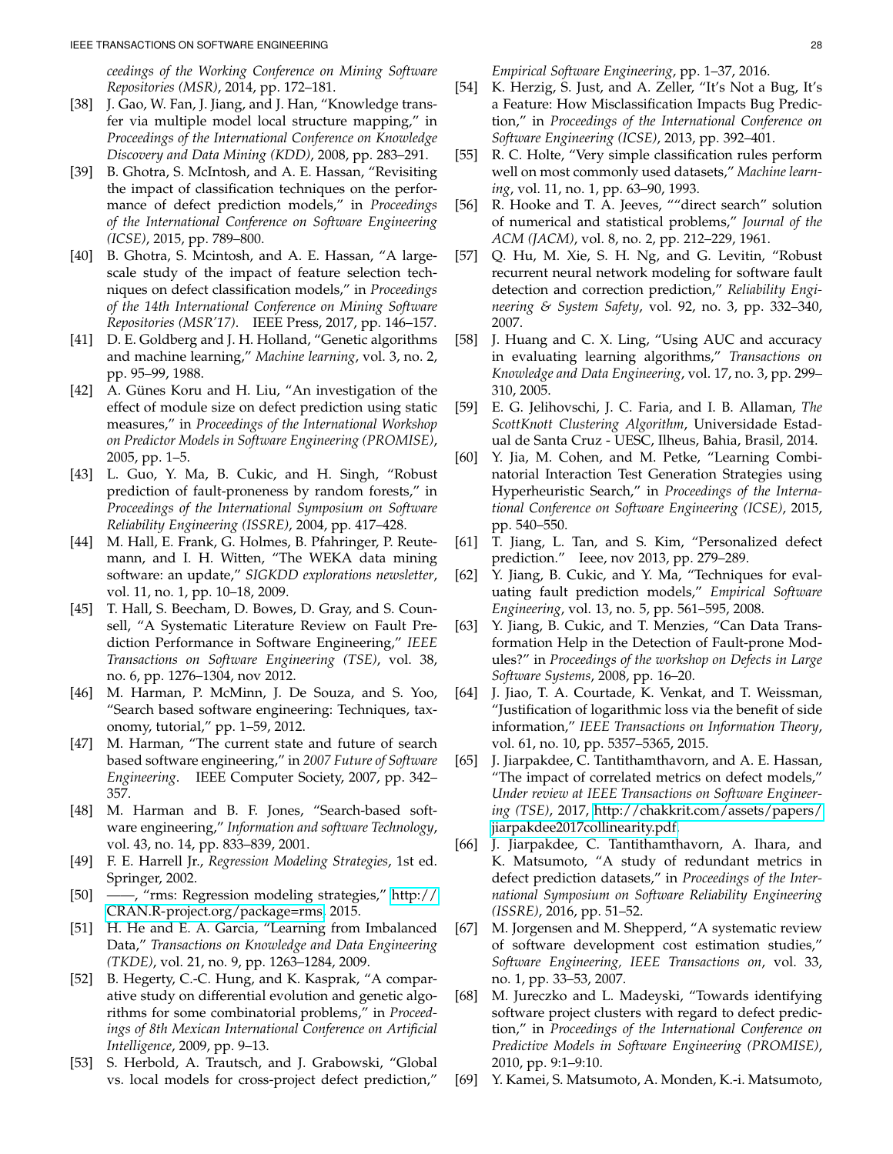*ceedings of the Working Conference on Mining Software Repositories (MSR)*, 2014, pp. 172–181.

- <span id="page-28-12"></span>[38] J. Gao, W. Fan, J. Jiang, and J. Han, "Knowledge transfer via multiple model local structure mapping," in *Proceedings of the International Conference on Knowledge Discovery and Data Mining (KDD)*, 2008, pp. 283–291.
- <span id="page-28-4"></span>[39] B. Ghotra, S. McIntosh, and A. E. Hassan, "Revisiting the impact of classification techniques on the performance of defect prediction models," in *Proceedings of the International Conference on Software Engineering (ICSE)*, 2015, pp. 789–800.
- <span id="page-28-5"></span>[40] B. Ghotra, S. Mcintosh, and A. E. Hassan, "A largescale study of the impact of feature selection techniques on defect classification models," in *Proceedings of the 14th International Conference on Mining Software Repositories (MSR'17)*. IEEE Press, 2017, pp. 146–157.
- <span id="page-28-26"></span>[41] D. E. Goldberg and J. H. Holland, "Genetic algorithms and machine learning," *Machine learning*, vol. 3, no. 2, pp. 95–99, 1988.
- <span id="page-28-1"></span>[42] A. Günes Koru and H. Liu, "An investigation of the effect of module size on defect prediction using static measures," in *Proceedings of the International Workshop on Predictor Models in Software Engineering (PROMISE)*, 2005, pp. 1–5.
- <span id="page-28-29"></span>[43] L. Guo, Y. Ma, B. Cukic, and H. Singh, "Robust prediction of fault-proneness by random forests," in *Proceedings of the International Symposium on Software Reliability Engineering (ISSRE)*, 2004, pp. 417–428.
- <span id="page-28-6"></span>[44] M. Hall, E. Frank, G. Holmes, B. Pfahringer, P. Reutemann, and I. H. Witten, "The WEKA data mining software: an update," *SIGKDD explorations newsletter*, vol. 11, no. 1, pp. 10–18, 2009.
- <span id="page-28-2"></span>[45] T. Hall, S. Beecham, D. Bowes, D. Gray, and S. Counsell, "A Systematic Literature Review on Fault Prediction Performance in Software Engineering," *IEEE Transactions on Software Engineering (TSE)*, vol. 38, no. 6, pp. 1276–1304, nov 2012.
- <span id="page-28-3"></span>[46] M. Harman, P. McMinn, J. De Souza, and S. Yoo, "Search based software engineering: Techniques, taxonomy, tutorial," pp. 1–59, 2012.
- <span id="page-28-8"></span>[47] M. Harman, "The current state and future of search based software engineering," in *2007 Future of Software Engineering*. IEEE Computer Society, 2007, pp. 342– 357.
- <span id="page-28-25"></span>[48] M. Harman and B. F. Jones, "Search-based software engineering," *Information and software Technology*, vol. 43, no. 14, pp. 833–839, 2001.
- <span id="page-28-15"></span>[49] F. E. Harrell Jr., *Regression Modeling Strategies*, 1st ed. Springer, 2002.
- <span id="page-28-18"></span>[50] ——, "rms: Regression modeling strategies," [http://](http://CRAN.R-project.org/package=rms) [CRAN.R-project.org/package=rms,](http://CRAN.R-project.org/package=rms) 2015.
- <span id="page-28-19"></span>[51] H. He and E. A. Garcia, "Learning from Imbalanced Data," *Transactions on Knowledge and Data Engineering (TKDE)*, vol. 21, no. 9, pp. 1263–1284, 2009.
- <span id="page-28-28"></span>[52] B. Hegerty, C.-C. Hung, and K. Kasprak, "A comparative study on differential evolution and genetic algorithms for some combinatorial problems," in *Proceedings of 8th Mexican International Conference on Artificial Intelligence*, 2009, pp. 9–13.
- <span id="page-28-30"></span>[53] S. Herbold, A. Trautsch, and J. Grabowski, "Global vs. local models for cross-project defect prediction,"

*Empirical Software Engineering*, pp. 1–37, 2016.

- <span id="page-28-31"></span>[54] K. Herzig, S. Just, and A. Zeller, "It's Not a Bug, It's a Feature: How Misclassification Impacts Bug Prediction," in *Proceedings of the International Conference on Software Engineering (ICSE)*, 2013, pp. 392–401.
- <span id="page-28-13"></span>[55] R. C. Holte, "Very simple classification rules perform well on most commonly used datasets," *Machine learning*, vol. 11, no. 1, pp. 63–90, 1993.
- <span id="page-28-27"></span>[56] R. Hooke and T. A. Jeeves, ""direct search" solution of numerical and statistical problems," *Journal of the ACM (JACM)*, vol. 8, no. 2, pp. 212–229, 1961.
- <span id="page-28-24"></span>[57] Q. Hu, M. Xie, S. H. Ng, and G. Levitin, "Robust recurrent neural network modeling for software fault detection and correction prediction," *Reliability Engineering & System Safety*, vol. 92, no. 3, pp. 332–340, 2007.
- <span id="page-28-21"></span>[58] J. Huang and C. X. Ling, "Using AUC and accuracy in evaluating learning algorithms," *Transactions on Knowledge and Data Engineering*, vol. 17, no. 3, pp. 299– 310, 2005.
- <span id="page-28-23"></span>[59] E. G. Jelihovschi, J. C. Faria, and I. B. Allaman, *The ScottKnott Clustering Algorithm*, Universidade Estadual de Santa Cruz - UESC, Ilheus, Bahia, Brasil, 2014.
- <span id="page-28-9"></span>[60] Y. Jia, M. Cohen, and M. Petke, "Learning Combinatorial Interaction Test Generation Strategies using Hyperheuristic Search," in *Proceedings of the International Conference on Software Engineering (ICSE)*, 2015, pp. 540–550.
- <span id="page-28-11"></span>[61] T. Jiang, L. Tan, and S. Kim, "Personalized defect prediction." Ieee, nov 2013, pp. 279–289.
- <span id="page-28-7"></span>[62] Y. Jiang, B. Cukic, and Y. Ma, "Techniques for evaluating fault prediction models," *Empirical Software Engineering*, vol. 13, no. 5, pp. 561–595, 2008.
- <span id="page-28-0"></span>[63] Y. Jiang, B. Cukic, and T. Menzies, "Can Data Transformation Help in the Detection of Fault-prone Modules?" in *Proceedings of the workshop on Defects in Large Software Systems*, 2008, pp. 16–20.
- <span id="page-28-22"></span>[64] J. Jiao, T. A. Courtade, K. Venkat, and T. Weissman, "Justification of logarithmic loss via the benefit of side information," *IEEE Transactions on Information Theory*, vol. 61, no. 10, pp. 5357–5365, 2015.
- <span id="page-28-16"></span>[65] J. Jiarpakdee, C. Tantithamthavorn, and A. E. Hassan, "The impact of correlated metrics on defect models," *Under review at IEEE Transactions on Software Engineering (TSE)*, 2017, [http://chakkrit.com/assets/papers/](http://chakkrit.com/assets/papers/jiarpakdee2017collinearity.pdf) [jiarpakdee2017collinearity.pdf.](http://chakkrit.com/assets/papers/jiarpakdee2017collinearity.pdf)
- <span id="page-28-17"></span>[66] J. Jiarpakdee, C. Tantithamthavorn, A. Ihara, and K. Matsumoto, "A study of redundant metrics in defect prediction datasets," in *Proceedings of the International Symposium on Software Reliability Engineering (ISSRE)*, 2016, pp. 51–52.
- <span id="page-28-10"></span>[67] M. Jorgensen and M. Shepperd, "A systematic review of software development cost estimation studies," *Software Engineering, IEEE Transactions on*, vol. 33, no. 1, pp. 33–53, 2007.
- <span id="page-28-14"></span>[68] M. Jureczko and L. Madeyski, "Towards identifying software project clusters with regard to defect prediction," in *Proceedings of the International Conference on Predictive Models in Software Engineering (PROMISE)*, 2010, pp. 9:1–9:10.
- <span id="page-28-20"></span>[69] Y. Kamei, S. Matsumoto, A. Monden, K.-i. Matsumoto,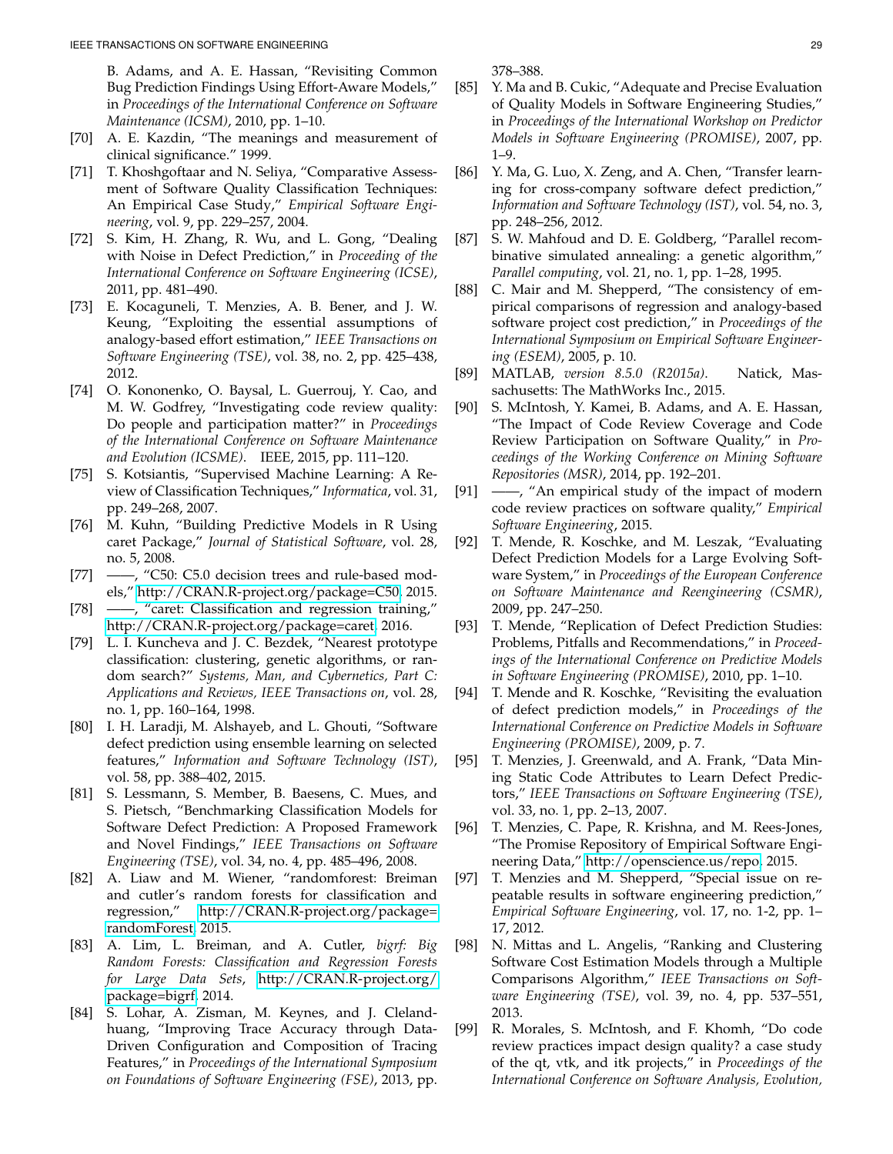B. Adams, and A. E. Hassan, "Revisiting Common Bug Prediction Findings Using Effort-Aware Models," in *Proceedings of the International Conference on Software Maintenance (ICSM)*, 2010, pp. 1–10.

- <span id="page-29-23"></span>[70] A. E. Kazdin, "The meanings and measurement of clinical significance." 1999.
- <span id="page-29-16"></span>[71] T. Khoshgoftaar and N. Seliya, "Comparative Assessment of Software Quality Classification Techniques: An Empirical Case Study," *Empirical Software Engineering*, vol. 9, pp. 229–257, 2004.
- <span id="page-29-20"></span>[72] S. Kim, H. Zhang, R. Wu, and L. Gong, "Dealing with Noise in Defect Prediction," in *Proceeding of the International Conference on Software Engineering (ICSE)*, 2011, pp. 481–490.
- <span id="page-29-4"></span>[73] E. Kocaguneli, T. Menzies, A. B. Bener, and J. W. Keung, "Exploiting the essential assumptions of analogy-based effort estimation," *IEEE Transactions on Software Engineering (TSE)*, vol. 38, no. 2, pp. 425–438, 2012.
- <span id="page-29-12"></span>[74] O. Kononenko, O. Baysal, L. Guerrouj, Y. Cao, and M. W. Godfrey, "Investigating code review quality: Do people and participation matter?" in *Proceedings of the International Conference on Software Maintenance and Evolution (ICSME)*. IEEE, 2015, pp. 111–120.
- <span id="page-29-19"></span>[75] S. Kotsiantis, "Supervised Machine Learning: A Review of Classification Techniques," *Informatica*, vol. 31, pp. 249–268, 2007.
- <span id="page-29-22"></span>[76] M. Kuhn, "Building Predictive Models in R Using caret Package," *Journal of Statistical Software*, vol. 28, no. 5, 2008.
- <span id="page-29-25"></span>[77] ——, "C50: C5.0 decision trees and rule-based models," [http://CRAN.R-project.org/package=C50,](http://CRAN.R-project.org/package=C50) 2015.
- <span id="page-29-21"></span>[78] ——, "caret: Classification and regression training," [http://CRAN.R-project.org/package=caret,](http://CRAN.R-project.org/package=caret) 2016.
- <span id="page-29-26"></span>[79] L. I. Kuncheva and J. C. Bezdek, "Nearest prototype classification: clustering, genetic algorithms, or random search?" *Systems, Man, and Cybernetics, Part C: Applications and Reviews, IEEE Transactions on*, vol. 28, no. 1, pp. 160–164, 1998.
- <span id="page-29-6"></span>[80] I. H. Laradji, M. Alshayeb, and L. Ghouti, "Software defect prediction using ensemble learning on selected features," *Information and Software Technology (IST)*, vol. 58, pp. 388–402, 2015.
- <span id="page-29-5"></span>[81] S. Lessmann, S. Member, B. Baesens, C. Mues, and S. Pietsch, "Benchmarking Classification Models for Software Defect Prediction: A Proposed Framework and Novel Findings," *IEEE Transactions on Software Engineering (TSE)*, vol. 34, no. 4, pp. 485–496, 2008.
- <span id="page-29-10"></span>[82] A. Liaw and M. Wiener, "randomforest: Breiman and cutler's random forests for classification and regression," [http://CRAN.R-project.org/package=](http://CRAN.R-project.org/package=randomForest) [randomForest,](http://CRAN.R-project.org/package=randomForest) 2015.
- <span id="page-29-9"></span>[83] A. Lim, L. Breiman, and A. Cutler, *bigrf: Big Random Forests: Classification and Regression Forests for Large Data Sets*, [http://CRAN.R-project.org/](http://CRAN.R-project.org/package=bigrf) [package=bigrf,](http://CRAN.R-project.org/package=bigrf) 2014.
- <span id="page-29-28"></span>[84] S. Lohar, A. Zisman, M. Keynes, and J. Clelandhuang, "Improving Trace Accuracy through Data-Driven Configuration and Composition of Tracing Features," in *Proceedings of the International Symposium on Foundations of Software Engineering (FSE)*, 2013, pp.

378–388.

- <span id="page-29-24"></span>[85] Y. Ma and B. Cukic, "Adequate and Precise Evaluation of Quality Models in Software Engineering Studies," in *Proceedings of the International Workshop on Predictor Models in Software Engineering (PROMISE)*, 2007, pp. 1–9.
- <span id="page-29-18"></span>[86] Y. Ma, G. Luo, X. Zeng, and A. Chen, "Transfer learning for cross-company software defect prediction," *Information and Software Technology (IST)*, vol. 54, no. 3, pp. 248–256, 2012.
- <span id="page-29-27"></span>[87] S. W. Mahfoud and D. E. Goldberg, "Parallel recombinative simulated annealing: a genetic algorithm," *Parallel computing*, vol. 21, no. 1, pp. 1–28, 1995.
- <span id="page-29-11"></span>[88] C. Mair and M. Shepperd, "The consistency of empirical comparisons of regression and analogy-based software project cost prediction," in *Proceedings of the International Symposium on Empirical Software Engineering (ESEM)*, 2005, p. 10.
- <span id="page-29-7"></span>[89] MATLAB, *version 8.5.0 (R2015a)*. Natick, Massachusetts: The MathWorks Inc., 2015.
- <span id="page-29-13"></span>[90] S. McIntosh, Y. Kamei, B. Adams, and A. E. Hassan, "The Impact of Code Review Coverage and Code Review Participation on Software Quality," in *Proceedings of the Working Conference on Mining Software Repositories (MSR)*, 2014, pp. 192–201.
- <span id="page-29-14"></span>[91] ——, "An empirical study of the impact of modern code review practices on software quality," *Empirical Software Engineering*, 2015.
- <span id="page-29-8"></span>[92] T. Mende, R. Koschke, and M. Leszak, "Evaluating Defect Prediction Models for a Large Evolving Software System," in *Proceedings of the European Conference on Software Maintenance and Reengineering (CSMR)*, 2009, pp. 247–250.
- <span id="page-29-0"></span>[93] T. Mende, "Replication of Defect Prediction Studies: Problems, Pitfalls and Recommendations," in *Proceedings of the International Conference on Predictive Models in Software Engineering (PROMISE)*, 2010, pp. 1–10.
- <span id="page-29-1"></span>[94] T. Mende and R. Koschke, "Revisiting the evaluation of defect prediction models," in *Proceedings of the International Conference on Predictive Models in Software Engineering (PROMISE)*, 2009, p. 7.
- <span id="page-29-17"></span>[95] T. Menzies, J. Greenwald, and A. Frank, "Data Mining Static Code Attributes to Learn Defect Predictors," *IEEE Transactions on Software Engineering (TSE)*, vol. 33, no. 1, pp. 2–13, 2007.
- <span id="page-29-29"></span>[96] T. Menzies, C. Pape, R. Krishna, and M. Rees-Jones, "The Promise Repository of Empirical Software Engineering Data," [http://openscience.us/repo,](http://openscience.us/repo) 2015.
- <span id="page-29-3"></span>[97] T. Menzies and M. Shepperd, "Special issue on repeatable results in software engineering prediction," *Empirical Software Engineering*, vol. 17, no. 1-2, pp. 1– 17, 2012.
- <span id="page-29-2"></span>[98] N. Mittas and L. Angelis, "Ranking and Clustering Software Cost Estimation Models through a Multiple Comparisons Algorithm," *IEEE Transactions on Software Engineering (TSE)*, vol. 39, no. 4, pp. 537–551, 2013.
- <span id="page-29-15"></span>[99] R. Morales, S. McIntosh, and F. Khomh, "Do code review practices impact design quality? a case study of the qt, vtk, and itk projects," in *Proceedings of the International Conference on Software Analysis, Evolution,*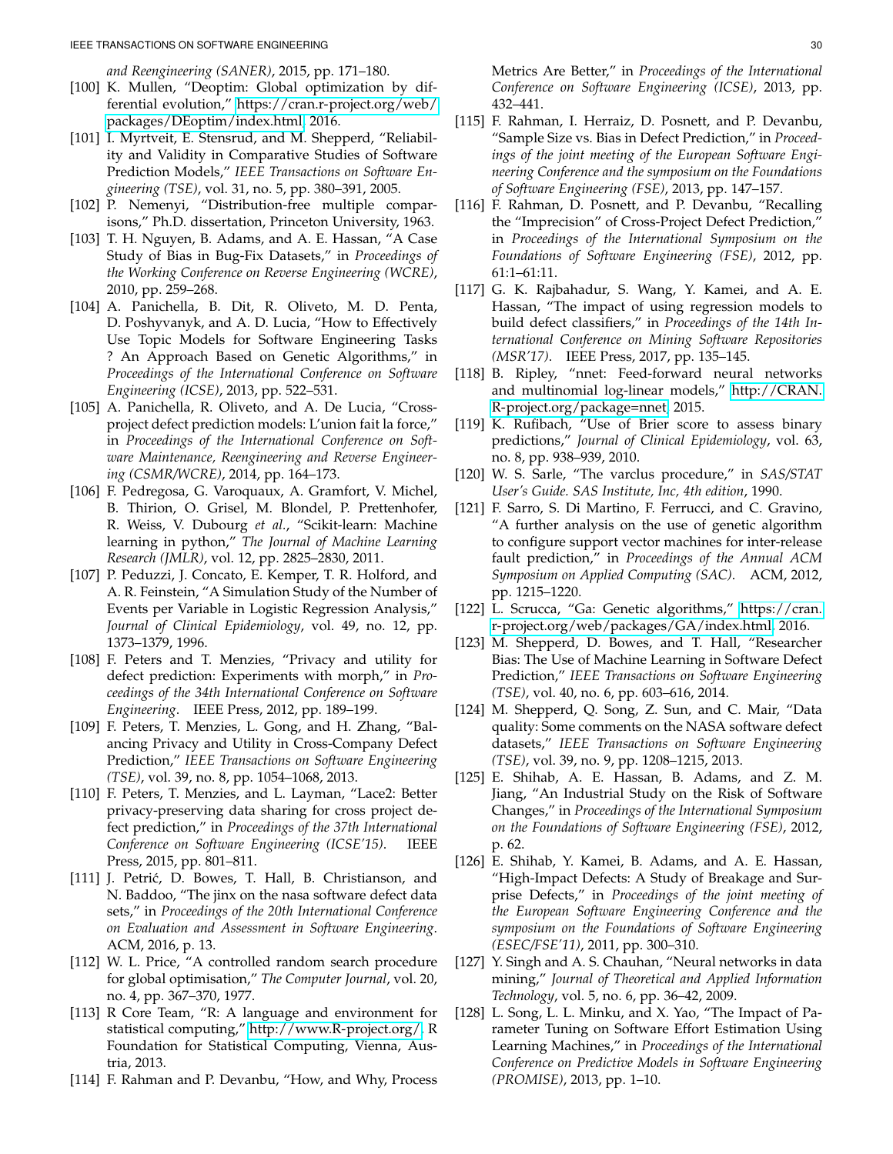*and Reengineering (SANER)*, 2015, pp. 171–180.

- <span id="page-30-19"></span>[100] K. Mullen, "Deoptim: Global optimization by differential evolution," [https://cran.r-project.org/web/](https://cran.r-project.org/web/packages/DEoptim/index.html) [packages/DEoptim/index.html,](https://cran.r-project.org/web/packages/DEoptim/index.html) 2016.
- <span id="page-30-4"></span>[101] I. Myrtveit, E. Stensrud, and M. Shepperd, "Reliability and Validity in Comparative Studies of Software Prediction Models," *IEEE Transactions on Software Engineering (TSE)*, vol. 31, no. 5, pp. 380–391, 2005.
- <span id="page-30-15"></span>[102] P. Nemenyi, "Distribution-free multiple comparisons," Ph.D. dissertation, Princeton University, 1963.
- <span id="page-30-23"></span>[103] T. H. Nguyen, B. Adams, and A. E. Hassan, "A Case Study of Bias in Bug-Fix Datasets," in *Proceedings of the Working Conference on Reverse Engineering (WCRE)*, 2010, pp. 259–268.
- <span id="page-30-26"></span>[104] A. Panichella, B. Dit, R. Oliveto, M. D. Penta, D. Poshyvanyk, and A. D. Lucia, "How to Effectively Use Topic Models for Software Engineering Tasks ? An Approach Based on Genetic Algorithms," in *Proceedings of the International Conference on Software Engineering (ICSE)*, 2013, pp. 522–531.
- <span id="page-30-25"></span>[105] A. Panichella, R. Oliveto, and A. De Lucia, "Crossproject defect prediction models: L'union fait la force," in *Proceedings of the International Conference on Software Maintenance, Reengineering and Reverse Engineering (CSMR/WCRE)*, 2014, pp. 164–173.
- <span id="page-30-1"></span>[106] F. Pedregosa, G. Varoquaux, A. Gramfort, V. Michel, B. Thirion, O. Grisel, M. Blondel, P. Prettenhofer, R. Weiss, V. Dubourg *et al.*, "Scikit-learn: Machine learning in python," *The Journal of Machine Learning Research (JMLR)*, vol. 12, pp. 2825–2830, 2011.
- <span id="page-30-9"></span>[107] P. Peduzzi, J. Concato, E. Kemper, T. R. Holford, and A. R. Feinstein, "A Simulation Study of the Number of Events per Variable in Logistic Regression Analysis," *Journal of Clinical Epidemiology*, vol. 49, no. 12, pp. 1373–1379, 1996.
- <span id="page-30-21"></span>[108] F. Peters and T. Menzies, "Privacy and utility for defect prediction: Experiments with morph," in *Proceedings of the 34th International Conference on Software Engineering*. IEEE Press, 2012, pp. 189–199.
- [109] F. Peters, T. Menzies, L. Gong, and H. Zhang, "Balancing Privacy and Utility in Cross-Company Defect Prediction," *IEEE Transactions on Software Engineering (TSE)*, vol. 39, no. 8, pp. 1054–1068, 2013.
- <span id="page-30-22"></span>[110] F. Peters, T. Menzies, and L. Layman, "Lace2: Better privacy-preserving data sharing for cross project defect prediction," in *Proceedings of the 37th International Conference on Software Engineering (ICSE'15)*. IEEE Press, 2015, pp. 801–811.
- <span id="page-30-27"></span>[111] J. Petrić, D. Bowes, T. Hall, B. Christianson, and N. Baddoo, "The jinx on the nasa software defect data sets," in *Proceedings of the 20th International Conference on Evaluation and Assessment in Software Engineering*. ACM, 2016, p. 13.
- <span id="page-30-17"></span>[112] W. L. Price, "A controlled random search procedure for global optimisation," *The Computer Journal*, vol. 20, no. 4, pp. 367–370, 1977.
- <span id="page-30-0"></span>[113] R Core Team, "R: A language and environment for statistical computing," [http://www.R-project.org/,](http://www.R-project.org/) R Foundation for Statistical Computing, Vienna, Austria, 2013.
- <span id="page-30-11"></span>[114] F. Rahman and P. Devanbu, "How, and Why, Process

Metrics Are Better," in *Proceedings of the International Conference on Software Engineering (ICSE)*, 2013, pp. 432–441.

- <span id="page-30-24"></span>[115] F. Rahman, I. Herraiz, D. Posnett, and P. Devanbu, "Sample Size vs. Bias in Defect Prediction," in *Proceedings of the joint meeting of the European Software Engineering Conference and the symposium on the Foundations of Software Engineering (FSE)*, 2013, pp. 147–157.
- <span id="page-30-13"></span>[116] F. Rahman, D. Posnett, and P. Devanbu, "Recalling the "Imprecision" of Cross-Project Defect Prediction," in *Proceedings of the International Symposium on the Foundations of Software Engineering (FSE)*, 2012, pp. 61:1–61:11.
- <span id="page-30-20"></span>[117] G. K. Rajbahadur, S. Wang, Y. Kamei, and A. E. Hassan, "The impact of using regression models to build defect classifiers," in *Proceedings of the 14th International Conference on Mining Software Repositories (MSR'17)*. IEEE Press, 2017, pp. 135–145.
- <span id="page-30-2"></span>[118] B. Ripley, "nnet: Feed-forward neural networks and multinomial log-linear models," [http://CRAN.](http://CRAN.R-project.org/package=nnet) [R-project.org/package=nnet,](http://CRAN.R-project.org/package=nnet) 2015.
- <span id="page-30-14"></span>[119] K. Rufibach, "Use of Brier score to assess binary predictions," *Journal of Clinical Epidemiology*, vol. 63, no. 8, pp. 938–939, 2010.
- <span id="page-30-10"></span>[120] W. S. Sarle, "The varclus procedure," in *SAS/STAT User's Guide. SAS Institute, Inc, 4th edition*, 1990.
- <span id="page-30-16"></span>[121] F. Sarro, S. Di Martino, F. Ferrucci, and C. Gravino, "A further analysis on the use of genetic algorithm to configure support vector machines for inter-release fault prediction," in *Proceedings of the Annual ACM Symposium on Applied Computing (SAC)*. ACM, 2012, pp. 1215–1220.
- <span id="page-30-18"></span>[122] L. Scrucca, "Ga: Genetic algorithms," [https://cran.](https://cran.r-project.org/web/packages/GA/index.html) [r-project.org/web/packages/GA/index.html,](https://cran.r-project.org/web/packages/GA/index.html) 2016.
- <span id="page-30-3"></span>[123] M. Shepperd, D. Bowes, and T. Hall, "Researcher Bias: The Use of Machine Learning in Software Defect Prediction," *IEEE Transactions on Software Engineering (TSE)*, vol. 40, no. 6, pp. 603–616, 2014.
- <span id="page-30-8"></span>[124] M. Shepperd, Q. Song, Z. Sun, and C. Mair, "Data quality: Some comments on the NASA software defect datasets," *IEEE Transactions on Software Engineering (TSE)*, vol. 39, no. 9, pp. 1208–1215, 2013.
- <span id="page-30-12"></span>[125] E. Shihab, A. E. Hassan, B. Adams, and Z. M. Jiang, "An Industrial Study on the Risk of Software Changes," in *Proceedings of the International Symposium on the Foundations of Software Engineering (FSE)*, 2012, p. 62.
- <span id="page-30-6"></span>[126] E. Shihab, Y. Kamei, B. Adams, and A. E. Hassan, "High-Impact Defects: A Study of Breakage and Surprise Defects," in *Proceedings of the joint meeting of the European Software Engineering Conference and the symposium on the Foundations of Software Engineering (ESEC/FSE'11)*, 2011, pp. 300–310.
- <span id="page-30-7"></span>[127] Y. Singh and A. S. Chauhan, "Neural networks in data mining," *Journal of Theoretical and Applied Information Technology*, vol. 5, no. 6, pp. 36–42, 2009.
- <span id="page-30-5"></span>[128] L. Song, L. L. Minku, and X. Yao, "The Impact of Parameter Tuning on Software Effort Estimation Using Learning Machines," in *Proceedings of the International Conference on Predictive Models in Software Engineering (PROMISE)*, 2013, pp. 1–10.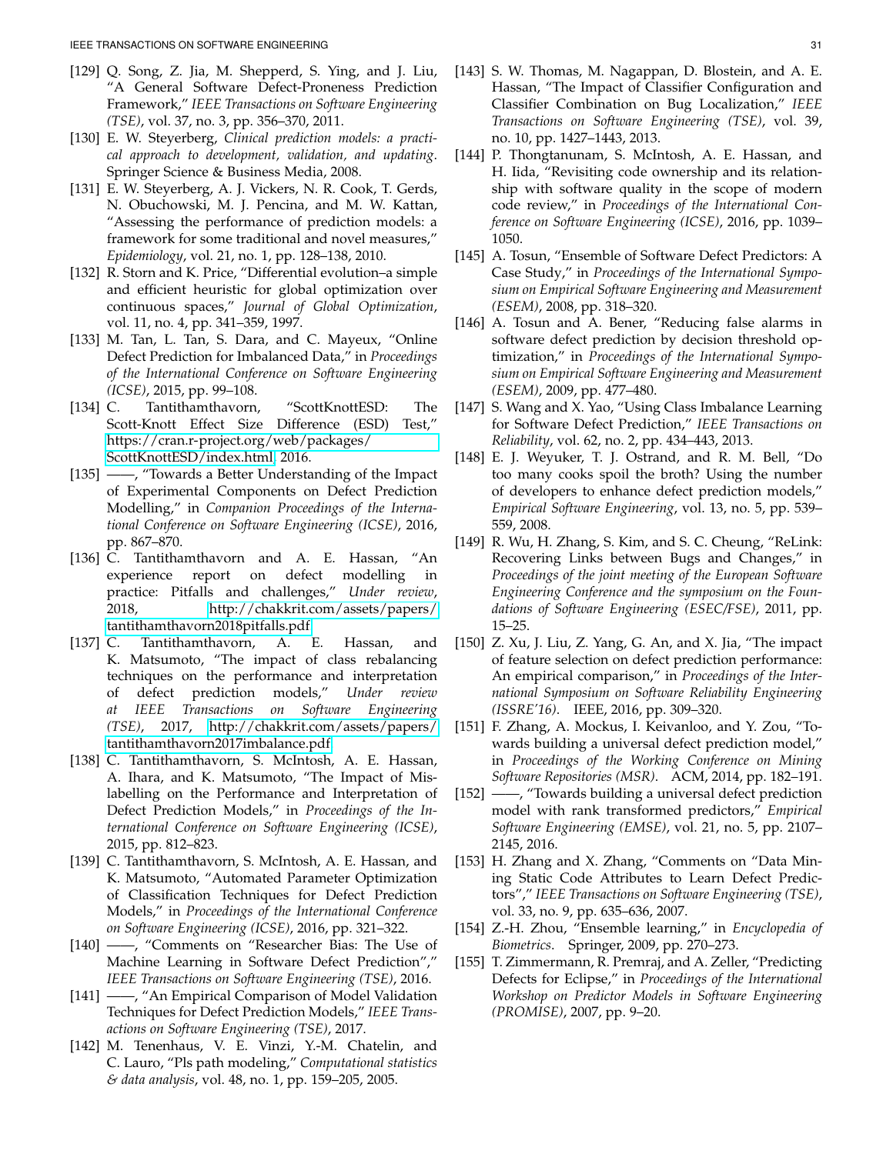- <span id="page-31-7"></span>[129] Q. Song, Z. Jia, M. Shepperd, S. Ying, and J. Liu, "A General Software Defect-Proneness Prediction Framework," *IEEE Transactions on Software Engineering (TSE)*, vol. 37, no. 3, pp. 356–370, 2011.
- <span id="page-31-21"></span>[130] E. W. Steyerberg, *Clinical prediction models: a practical approach to development, validation, and updating*. Springer Science & Business Media, 2008.
- <span id="page-31-22"></span>[131] E. W. Steyerberg, A. J. Vickers, N. R. Cook, T. Gerds, N. Obuchowski, M. J. Pencina, and M. W. Kattan, "Assessing the performance of prediction models: a framework for some traditional and novel measures," *Epidemiology*, vol. 21, no. 1, pp. 128–138, 2010.
- <span id="page-31-23"></span>[132] R. Storn and K. Price, "Differential evolution–a simple and efficient heuristic for global optimization over continuous spaces," *Journal of Global Optimization*, vol. 11, no. 4, pp. 341–359, 1997.
- <span id="page-31-8"></span>[133] M. Tan, L. Tan, S. Dara, and C. Mayeux, "Online Defect Prediction for Imbalanced Data," in *Proceedings of the International Conference on Software Engineering (ICSE)*, 2015, pp. 99–108.
- <span id="page-31-2"></span>[134] C. Tantithamthavorn, "ScottKnottESD: The Scott-Knott Effect Size Difference (ESD) Test," [https://cran.r-project.org/web/packages/](https://cran.r-project.org/web/packages/ScottKnottESD/index.html) [ScottKnottESD/index.html,](https://cran.r-project.org/web/packages/ScottKnottESD/index.html) 2016.
- <span id="page-31-5"></span>[135] ——, "Towards a Better Understanding of the Impact of Experimental Components on Defect Prediction Modelling," in *Companion Proceedings of the International Conference on Software Engineering (ICSE)*, 2016, pp. 867–870.
- <span id="page-31-15"></span>[136] C. Tantithamthavorn and A. E. Hassan, "An experience report on defect modelling in practice: Pitfalls and challenges," *Under review*, 2018, [http://chakkrit.com/assets/papers/](http://chakkrit.com/assets/papers/tantithamthavorn2018pitfalls.pdf) [tantithamthavorn2018pitfalls.pdf.](http://chakkrit.com/assets/papers/tantithamthavorn2018pitfalls.pdf)
- <span id="page-31-20"></span>[137] C. Tantithamthavorn, A. E. Hassan, and K. Matsumoto, "The impact of class rebalancing techniques on the performance and interpretation of defect prediction models," *Under review at IEEE Transactions on Software Engineering (TSE)*, 2017, [http://chakkrit.com/assets/papers/](http://chakkrit.com/assets/papers/tantithamthavorn2017imbalance.pdf) [tantithamthavorn2017imbalance.pdf.](http://chakkrit.com/assets/papers/tantithamthavorn2017imbalance.pdf)
- <span id="page-31-4"></span>[138] C. Tantithamthavorn, S. McIntosh, A. E. Hassan, A. Ihara, and K. Matsumoto, "The Impact of Mislabelling on the Performance and Interpretation of Defect Prediction Models," in *Proceedings of the International Conference on Software Engineering (ICSE)*, 2015, pp. 812–823.
- <span id="page-31-1"></span>[139] C. Tantithamthavorn, S. McIntosh, A. E. Hassan, and K. Matsumoto, "Automated Parameter Optimization of Classification Techniques for Defect Prediction Models," in *Proceedings of the International Conference on Software Engineering (ICSE)*, 2016, pp. 321–322.
- <span id="page-31-11"></span>[140] ——, "Comments on "Researcher Bias: The Use of Machine Learning in Software Defect Prediction"," *IEEE Transactions on Software Engineering (TSE)*, 2016.
- <span id="page-31-14"></span>[141] ——, "An Empirical Comparison of Model Validation Techniques for Defect Prediction Models," *IEEE Transactions on Software Engineering (TSE)*, 2017.
- <span id="page-31-9"></span>[142] M. Tenenhaus, V. E. Vinzi, Y.-M. Chatelin, and C. Lauro, "Pls path modeling," *Computational statistics & data analysis*, vol. 48, no. 1, pp. 159–205, 2005.
- <span id="page-31-25"></span>[143] S. W. Thomas, M. Nagappan, D. Blostein, and A. E. Hassan, "The Impact of Classifier Configuration and Classifier Combination on Bug Localization," *IEEE Transactions on Software Engineering (TSE)*, vol. 39, no. 10, pp. 1427–1443, 2013.
- <span id="page-31-6"></span>[144] P. Thongtanunam, S. McIntosh, A. E. Hassan, and H. Iida, "Revisiting code ownership and its relationship with software quality in the scope of modern code review," in *Proceedings of the International Conference on Software Engineering (ICSE)*, 2016, pp. 1039– 1050.
- <span id="page-31-19"></span>[145] A. Tosun, "Ensemble of Software Defect Predictors: A Case Study," in *Proceedings of the International Symposium on Empirical Software Engineering and Measurement (ESEM)*, 2008, pp. 318–320.
- <span id="page-31-0"></span>[146] A. Tosun and A. Bener, "Reducing false alarms in software defect prediction by decision threshold optimization," in *Proceedings of the International Symposium on Empirical Software Engineering and Measurement (ESEM)*, 2009, pp. 477–480.
- <span id="page-31-26"></span>[147] S. Wang and X. Yao, "Using Class Imbalance Learning for Software Defect Prediction," *IEEE Transactions on Reliability*, vol. 62, no. 2, pp. 434–443, 2013.
- <span id="page-31-3"></span>[148] E. J. Weyuker, T. J. Ostrand, and R. M. Bell, "Do too many cooks spoil the broth? Using the number of developers to enhance defect prediction models," *Empirical Software Engineering*, vol. 13, no. 5, pp. 539– 559, 2008.
- <span id="page-31-12"></span>[149] R. Wu, H. Zhang, S. Kim, and S. C. Cheung, "ReLink: Recovering Links between Bugs and Changes," in *Proceedings of the joint meeting of the European Software Engineering Conference and the symposium on the Foundations of Software Engineering (ESEC/FSE)*, 2011, pp. 15–25.
- <span id="page-31-24"></span>[150] Z. Xu, J. Liu, Z. Yang, G. An, and X. Jia, "The impact of feature selection on defect prediction performance: An empirical comparison," in *Proceedings of the International Symposium on Software Reliability Engineering (ISSRE'16)*. IEEE, 2016, pp. 309–320.
- <span id="page-31-16"></span>[151] F. Zhang, A. Mockus, I. Keivanloo, and Y. Zou, "Towards building a universal defect prediction model," in *Proceedings of the Working Conference on Mining Software Repositories (MSR)*. ACM, 2014, pp. 182–191.
- <span id="page-31-17"></span>[152] ——, "Towards building a universal defect prediction model with rank transformed predictors," *Empirical Software Engineering (EMSE)*, vol. 21, no. 5, pp. 2107– 2145, 2016.
- <span id="page-31-18"></span>[153] H. Zhang and X. Zhang, "Comments on "Data Mining Static Code Attributes to Learn Defect Predictors"," *IEEE Transactions on Software Engineering (TSE)*, vol. 33, no. 9, pp. 635–636, 2007.
- <span id="page-31-10"></span>[154] Z.-H. Zhou, "Ensemble learning," in *Encyclopedia of Biometrics*. Springer, 2009, pp. 270–273.
- <span id="page-31-13"></span>[155] T. Zimmermann, R. Premraj, and A. Zeller, "Predicting Defects for Eclipse," in *Proceedings of the International Workshop on Predictor Models in Software Engineering (PROMISE)*, 2007, pp. 9–20.